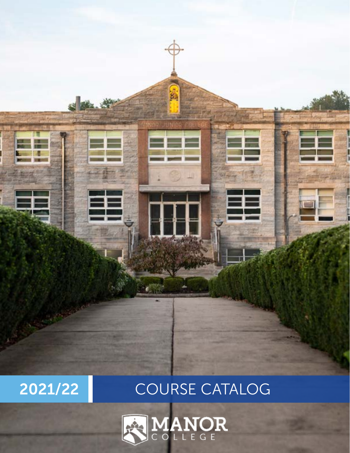



# 2021/22 COURSE CATALOG

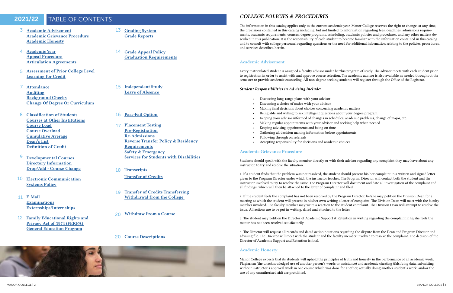# 2021/22 TABLE OF CONTENTS

- 3 Academic Advisement Academic Grievance Procedure Academic Honesty
- 4 [Academic Year](#page-2-0) [Appeal Procedure](#page-2-0) [Articulation Agreements](#page-2-0)
- [Assessment of Prior College Level](#page-2-0)  5 [Learning for Credit](#page-2-0)
- [Attendance](#page-3-0) [Auditing](#page-3-0) [Background Checks](#page-3-0) [Change Of Degree Or Curriculum](#page-3-0) 7
- 8 [Classification of Students](#page-4-0) [Courses at Other Institutions](#page-4-0) [Course Load](#page-4-0) [Course Overload](#page-4-0) [Cumulative Average](#page-4-0) [Dean's List](#page-4-0) [Definition of Credit](#page-4-0)
- [Developmental Courses](#page-4-0) [Directory Information](#page-4-0) [Drop/Add - Course Change](#page-4-0) 9
- [Electronic Communication](#page-5-0) **[Systems Policy](#page-5-0)** 10
- 11 [E-Mail](#page-5-0) [Examinations](#page-5-0) [Externships/Internships](#page-5-0)
- 12 Family Educational Rights and [Privacy Act of 1974 \(FERPA\)](#page-6-0)  [General Education Program](#page-6-0)
- 13 [Grading System](#page-6-0) [Grade Reports](#page-6-0)
- 14 [Grade Appeal Policy](#page-7-0) [Graduation Requirements](#page-7-0)
- 15 [Independent Study](#page-7-0) [Leave of Absence](#page-7-0)
- 16 [Pass-Fail Option](#page-8-0)
- [Placement Testing](#page-8-0) [Pre-Registration](#page-8-0) [Re-Admissions](#page-8-0) [Reverse Transfer Policy & Residency](#page-8-0)  [Requirements](#page-8-0) [Safety & Emergency](#page-8-0) [Services for Students with Disabilities](#page-8-0) 17
- 18 [Transcripts](#page-9-0) Transfer of Credits
- [Transfer of Credits Transferring](#page-9-0)  [Withdrawal from the College](#page-9-0)  19
- [Withdraw From a Course](#page-10-0)   $20<sup>2</sup>$
- 20 [Course Descriptions](#page-10-0)



# *COLLEGE POLICIES & PROCEDURES*

The information in this catalog applies only to the current academic year. Manor College reserves the right to change, at any time, the provisions contained in this catalog including, but not limited to, information regarding fees, deadlines, admissions requirements, academic requirements, courses, degree programs, scheduling, academic policies and procedures, and any other matters described in this publication. It is the responsibility of each student to become familiar with the information contained in this catalog and to consult with college personnel regarding questions or the need for additional information relating to the policies, procedures, and services described herein.

# Academic Advisement

Every matriculated student is assigned a faculty advisor under her/his program of study. The advisor meets with each student prior to registration in order to assist with and approve course selection. The academic advisor is also available as needed throughout the semester to provide academic counseling. All non-degree seeking students will register through the Office of the Registrar.

# *Student Responsibilities in Advising Include:*

- Discussing long-range plans with your advisor
- Discussing a choice of major with your advisor
- Making final decisions about choices concerning academic matters
- Being able and willing to ask intelligent questions about your degree program
- Keeping your advisor informed of changes in schedules, academic problems, change of major, etc.
- Making regular appointments with your advisor and seeking help when needed
- Keeping advising appointments and being on time
- Gathering all decision making information before appointments
- Following through on referrals
- Accepting responsibility for decisions and academic choices

# Academic Grievance Procedure

Students should speak with the faculty member directly or with their advisor regarding any complaint they may have about any instructor, to try and resolve the situation.

1. If a student finds that the problem was not resolved, the student should present his/her complaint in a written and signed letter given to the Program Director under which the instructor teaches. The Program Director will contact both the student and the instructor involved to try to resolve the issue. The Program Director will document and date all investigation of the complaint and all findings, which will then be attached to the letter of complaint and filed.

2. If the student feels the complaint has not been resolved by the Program Director, he/she may petition the Division Dean for a meeting at which the student will present in his/her own writing a letter of complaint. The Division Dean will meet with the faculty member involved. The faculty member may write a reaction to the student complaint. The Division Dean will attempt to resolve the issue. All actions are to be put in writing, dated and attached to the letter.

3. The student may petition the Director of Academic Support & Retention in writing regarding the complaint if he/she feels the matter has not been resolved satisfactorily.

4. The Director will request all records and dated action notations regarding the dispute from the Dean and Program Director and advising file. The Director will meet with the student and the faculty member involved to resolve the complaint. The decision of the Director of Academic Support and Retention is final.

# Academic Honesty

Manor College expects that its students will uphold the principles of truth and honesty in the performance of all academic work. Plagiarism (the unacknowledged use of another person's words or assistance) and academic cheating (falsifying data, submitting without instructor's approval work in one course which was done for another, actually doing another student's work, and/or the use of any unauthorized aid) are prohibited.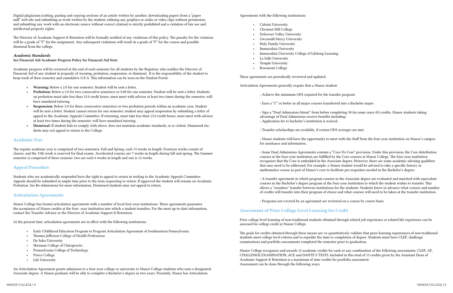<span id="page-2-0"></span>Digital plagiarism (cutting, pasting and copying sections of an article written by another; downloading papers from a "paper mill" web site and submitting as work written by the student; utilizing any graphics or audio or video clips without permission; and submitting any work with an electronic source without correct citation) is strictly prohibited and a violation of fair use and intellectual property rights.

The Director of Academic Support & Retention will be formally notified of any violations of this policy. The penalty for the violation will be a grade of "F" for the assignment. Any subsequent violations will result in a grade of "F" for the course and possible dismissal from the college.

# *Academic Standards*

See Financial Aid-Academic Progress Policy for Financial Aid Note

Academic progress will be reviewed at the end of each semester for all students by the Registrar, who notifies the Director of Financial Aid of any student in jeopardy of warning, probation, suspension, or dismissal. It is the responsibility of the student to keep track of their semester and cumulative G.P.A. This information can be seen on the Student Portal.

- Early Childhood Education Program to Program Articulation Agreement of Southeastern Pennsylvania
- Thomas Jefferson College of Health Professions
- De Sales University
- Sherman College of Chiropractic
- Pennsylvania College of Technology
- Peirce College
- Life University
- Warning: Below a 2.0 for one semester. Student will be sent a letter.
- **Probation:** Below a 2.0 for two consecutive semesters or 0.00 for one semester. Student will be sent a letter. Students on probation must take less than 15.0 credit hours; must meet with advisor at least two times during the semester; will have mandated tutoring.
- Suspension: Below 2.0 for three consecutive semesters or two probation periods within an academic year. Student will be sent a letter. Student cannot return for one semester; student may appeal suspension by submitting a letter of appeal to the Academic Appeals Committee. If returning, must take less than 15.0 credit hours; must meet with advisor at least two times during the semester; will have mandated tutoring.
- Dismissal: If student fails to comply with above, does not maintain academic standards, or is violent. Dismissed students may not appeal to return to the College.

# Academic Year

The regular academic year is comprised of two semesters: Fall and Spring, each 15 weeks in length. Fourteen weeks consist of classes, and the 15th week is reserved for final exams. Accelerated courses are 7 weeks in length during fall and spring. The Summer semester is comprised of three sessions: two are each 6 weeks in length and one is 12 weeks.

# Appeal Procedure

Students who are academically suspended have the right to appeal to return in writing to the Academic Appeals Committee. Appeals should be submitted in ample time prior to the term requesting to return. If approved the student will remain on Academic Probation. See Re-Admissions for more information. Dismissed students may not appeal to return.

# Articulation Agreements

Manor College has formal articulation agreements with a number of local four-year institutions. These agreements guarantee the acceptance of Manor credits at the four- year institution into which a student transfers. For the most up-to-date information, contact the Transfer Advisor or the Director of Academic Support & Retention.

At the present time, articulation agreements are in effect with the following institutions:

An Articulation Agreement grants admission to a four-year college or university to Manor College students who earn a designated Associate degree. A Manor graduate will be able to complete a Bachelor's degree in two years. Presently, Manor has Articulation

Agreements with the following institutions:

- Cabrini University
- Chestnut Hill College
- Delaware Valley University
- Gwynedd-Mercy University
- Holy Family University
- Immaculata University
- Immaculata University College of Lifelong Learning
- La Salle University
- Temple University
- Rosemont College

These agreements are periodically reviewed and updated.

Articulation Agreements generally require that a Manor student:

◦ Achieve the minimum GPA required for the transfer program

◦ Earn a "C" or better in all major courses transferred into a Bachelor major

◦ Sign a "Dual Admissions Intent" form before completing 30 (in some cases 45) credits. Manor students taking advantage of Dual Admissions receive benefits including: ◦ Application fee to bachelor's institution is waived.

◦ Transfer scholarships are available, if certain GPA averages are met.

◦ Manor students will have the opportunity to meet with the Staff from the four-year institution on Manor's campus

for assistance and information.

◦ Some Dual Admissions Agreements contain a "Core-To-Core" provision. Under this provision, the Core distribution courses at the four-year institution are fulfilled by the Core courses at Manor College. The four-year institution recognizes that the Core is embedded in the Associate degree. However, there are some academic advising qualifiers that may need to be addressed. For example: a Manor student would be advised to take a specific history or mathematics course as part of Manor's core to facilitate pre-requisites needed in the Bachelor's degree.

◦ A transfer agreement in which program courses in the Associate degree are evaluated and matched with equivalent courses in the Bachelor's degree program at the four-year institution to which the student wishes to transfer. This allows a "seamless" transfer between institutions for the students. Students know in advance what courses and number of credits will transfer into their program of choice and what courses will need to be taken at the transfer institution.

◦ Programs not covered by an agreement are reviewed on a course by course basis.

# Assessment of Prior College Level Learning for Credit

Prior college level learning of non-traditional students obtained through related job experience or related life experience can be assessed for college credit at Manor College.

The goals for credits obtained through these means are: to quantitatively validate that prior learning experiences of non-traditional students meet college level criteria and to expedite the time to completion of degree. Students must have CLEP, challenge examinations and portfolio assessments completed the semester prior to graduation.

Manor College recognizes and awards 15 academic credits for each or any combination of the following assessments: CLEP, AP, CHALLENGE EXAMINATION, ACE and DANTE'S TESTS. Included in this total of 15 credits given by the Assistant Dean of Academic Support & Retention is a maximum of nine credits for portfolio assessment. Assessment can be done through the following ways: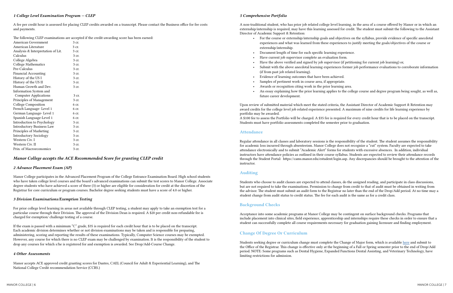# <span id="page-3-0"></span>*1 College Level Examination Program -- CLEP*

A fee per credit hour is assessed for placing CLEP credits awarded on a transcript. Please contact the Business office for fee costs and payments.

The following CLEP examinations are accepted if the credit-awarding score has been earned:

| <b>American Government</b>        | 3 cr. |
|-----------------------------------|-------|
| American Literature               | 3 cr. |
| Analysis & Interpretation of Lit. | 3 cr. |
| Calculus                          | 3 cr. |
| College Algebra                   | 3 cr. |
| College Mathematics               | 3 cr. |
| Pre-Calculus                      | 3 cr. |
| <b>Financial Accounting</b>       | 3 cr. |
| History of the US I               | 3 cr. |
| History of the US II              | 3 cr. |
| Human Growth and Dev.             | 3 cr. |
| Information System and            |       |
| <b>Computer Applications</b>      | 3 cr. |
| Principles of Management          | 3 cr. |
| College Composition               | 6 cr. |
| French Language-Level 1           | 6 cr. |
| German Language-Level 1           | 6 cr. |
| Spanish Language-Level 1          | 6 cr. |
| Introduction to Psychology        | 3 cr. |
| <b>Introductory Business Law</b>  | 3 cr. |
| Principles of Marketing           | 3 cr. |
| <b>Introductory Sociology</b>     | 3 cr. |
| Western Civ. I                    | 3 cr. |
| Western Civ. II                   | 3 cr. |
| Prin. of Macroeconomics           | 3 cr. |

# *Manor College accepts the ACE Recommended Score for granting CLEP credit*

#### *2 Advance Placement Exam (AP)*

Manor College participates in the Advanced Placement Program of the College Entrance Examination Board. High school students who have taken college level courses and the board's advanced examinations can submit the test scores to Manor College. Associate degree students who have achieved a score of three (3) or higher are eligible for consideration for credit at the discretion of the Registrar for core curriculum or program courses. Bachelor degree seeking students must have a score of 4.0 or higher.

# *3 Division Examinations/Exemption Testing*

For prior college level learning in areas not available through CLEP testing, a student may apply to take an exemption test for a particular course through their Division. The approval of the Division Dean is required. A \$20 per credit non-refundable fee is charged for exemption/ challenge testing of a course.

If the exam is passed with a minimum "C" grade, \$35 is required for each credit hour that is to be placed on the transcript. Each academic division determines whether or not division examinations may be taken and is responsible for preparing, administering, scoring and reporting the results of these examinations. Typically, Computer Science courses may be exempted. However, any course for which there is no CLEP exam may be challenged by examination. It is the responsibility of the student to drop any courses for which s/he is registered for and exemption is awarded. See Drop/Add-Course Change.

#### *4 Other Assessments*

Manor accepts ACE approved credit granting scores for Dantes, CAEL (Council for Adult & Experiential Learning), and The National College Credit recommendation Service (CCRS.)

### *5 Comprehensive Portfolio*

A non-traditional student, who has prior job related college level learning, in the area of a course offered by Manor or in which an externship/internship is required, may have this learning assessed for credit. The student must submit the following to the Assistant Director of Academic Support & Retention:

• For the course or externship/internship goals and objectives on the syllabus, provide evidence of specific anecdotal experiences and what was learned from these experiences to justify meeting the goals/objectives of the course or

• Have the above verified and signed by job supervisor (if petitioning for current job learning) or, • Submit with the above anecdotal learning experiences former job performance evaluations to corroborate information

- externship/internship.
- Document length of time for each specific learning experience.
- Have current job supervisor complete an evaluation form.
- 
- (if from past job related learning).
- Evidence of learning outcomes that have been achieved.
- Samples of pertinent work in course area, if appropriate.
- Awards or recognition citing work in the prior learning area.
- future career development.

• An essay explaining how the prior learning applies to the college course and degree program being sought, as well as,

Upon review of submitted material which meet the stated criteria, the Assistant Director of Academic Support & Retention may award credits for the college level job related experience presented. A maximum of nine credits for life learning experience by portfolio may be awarded.

A \$100 fee to assess the Portfolio will be charged. A \$35 fee is required for every credit hour that is to be placed on the transcript. Students must have portfolio assessments completed the semester prior to graduation.

# Attendance

Regular attendance in all classes and laboratory sessions is the responsibility of the student. The student assumes the responsibility for academic loss incurred through absenteeism. Manor College does not recognize a "cut" system. Faculty are expected to take attendance electronically and to submit "Academic Alert" forms for students with excessive absences. In addition, individual instructors have attendance policies as outlined in their course syllabus. Students are expected to review their attendance records through the Student Portal: https://cams.manor.edu/estudent/login.asp. Any discrepancies should be brought to the attention of the instructor.

# Auditing

Students who choose to audit classes are expected to attend classes, do the assigned reading, and participate in class discussions, but are not required to take the examinations. Permission to change from credit to that of audit must be obtained in writing from the advisor. The student must submit an audit form to the Registrar no later than the end of the Drop/Add period. At no time may a student change from audit status to credit status. The fee for each audit is the same as for a credit class.

# Background Checks

Acceptance into some academic programs at Manor College may be contingent on surface background checks. Programs that include placement into clinical sites, field experience, apprenticeship and internships require these checks in order to ensure that a student can successfully complete all course requirements necessary for graduation gaining licensure and finding employment.

# Change Of Degree Or Curriculum

Students seeking degree or curriculum change must complete the Change of Major form, which is available [here](https://manor.edu/wp-content/uploads/2018/08/Manor-College-Change-of-Program-1.pdf) and submit to the Office of the Registrar. This change is effective only at the beginning of a Fall or Spring semester prior to the end of Drop/Add period. NOTE: Some programs such as Dental Hygiene, Expanded Functions Dental Assisting, and Veterinary Technology, have limiting restrictions for admission.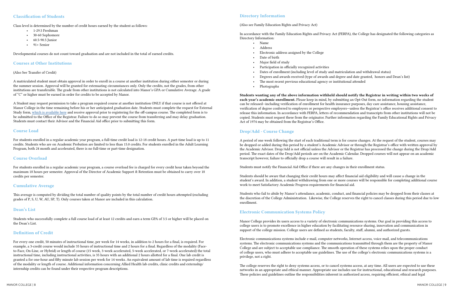# <span id="page-4-0"></span>Classification of Students

Class level is determined by the number of credit hours earned by the student as follows:

- 1-29.5 Freshman
- 30-60 Sophomore
- 60.5-90.5 Junior
- $\cdot$  91+ Senior

Developmental courses do not count toward graduation and are not included in the total of earned credits.

# Courses at Other Institutions

#### (Also See Transfer of Credit)

A matriculated student must obtain approval in order to enroll in a course at another institution during either semester or during the summer session. Approval will be granted for extenuating circumstances only. Only the credits, not the grades, from other institutions are transferable. The grade from other institutions is not calculated into Manor's GPA or Cumulative Average. A grade of "C" or higher must be earned in order for credits to be accepted by Manor.

A Student may request permission to take a program required course at another institution ONLY if that course is not offered at Manor College in the time remaining before his or her anticipated graduation date. Students must complete the request for External Study form, [which is available here](https://manor.edu/academics/registrar/external-study-form/) and receive approval prior to registering for the off-campus course. The completed form is to be submitted to the Office of the Registrar. Failure to do so may prevent the course from transferring and may delay graduation. Students must contact their Advisor and the Financial Aid office prior to submitting this form.

# Course Load

For students enrolled in a regular academic year program, a full-time credit load is 12-18 credit hours. A part-time load is up to 11 credits. Students who are on Academic Probation are limited to less than 15.0 credits. For students enrolled in the Adult Learning Program, both 24 month and accelerated, there is no full-time or part-time designation.

# Course Overload

For students enrolled in a regular academic year program, a course overload fee is charged for every credit hour taken beyond the maximum 18 hours per semester. Approval of the Director of Academic Support & Retention must be obtained to carry over 18 credits per semester.

# Cumulative Average

This average is computed by dividing the total number of quality points by the total number of credit hours attempted (excluding grades of P, S, U, W, AU, SP, T). Only courses taken at Manor are included in this calculation.

# Dean's List

Students who successfully complete a full course load of at least 12 credits and earn a term GPA of 3.5 or higher will be placed on the Dean's List.

# Definition of Credit

For every one credit, 50 minutes of instructional time, per week for 14 weeks, in addition to 2 hours for a final, is required. For example, a 3-credit course would include 35 hours of instructional time and 2 hours for a final. Regardless of the modality (Faceto-Face, On-Line, or Hybrid) or length of course (15 week, 3-week accelerated, 5-week accelerated, or 7-week accelerated) the total instructional time, including instructional activities, is 35 hours with an additional 2 hours allotted for a final. One lab credit is granted a for one-hour and fifty minute lab session per week for 14 weeks. An equivalent amount of lab time is required regardless of the modality or length of course. Additional information concerning Allied Health lab credits, clinic credits and externship/ internship credits can be found under their respective program descriptions.

# Directory Information

#### (Also see Family Education Rights and Privacy Act)

# In accordance with the Family Education Rights and Privacy Act (FERPA), the College has designated the following categories as

Directory Information:

- Name
- Address
- Electronic address assigned by the College
- Date of birth
- Major field of study
- Participation in officially recognized activities
- Dates of enrollment (including level of study and matriculation and withdrawal status)
- 
- The most recent previous educational agency or institutional attended
- Photographs

• Degrees and awards received (type of awards and degree and date granted, honors and Dean's list)

Students wanting any of the above information withheld should notify the Registrar in writing within two weeks of each year's academic enrollment. Please keep in mind, by submitting an Opt-Out form, no information regarding the student can be released--including verification of enrollment for health insurance purposes, day care assistance, housing assistance, verification of degree conferred to employers or perspective employers—unless the Registrar's office receives additional consent to release this information. In accordance with FERPA, letters of recommendation and transcripts from other institutions will not be copied. Students must request these from the originator. Further information regarding the Family Educational Rights and Privacy Act of 1974 may be obtained from the Registrar's Office.

# Drop/Add - Course Change

A period of one week following the start of each traditional term is for course changes. At the request of the student, courses may be dropped or added during this period by a student's Academic Advisor or through the Registrar's office with written approval by the Academic Advisor. Drop/Add is not official unless the Advisor or the Registrar has processed the change during the Drop/Add period. The exact dates of the Drop/Add periods are on the Academic Calendar. Dropped courses will not appear on an academic transcript however, failure to officially drop a course will result in a failure.

Students must notify the Financial Aid Office if there are any changes in their enrollment status.

Students should be aware that changing their credit hours may affect financial aid eligibility and will cause a change in the student's award. In addition, a student withdrawing from one or more courses will be responsible for completing additional course work to meet Satisfactory Academic Progress requirements for financial aid.

Students who fail to abide by Manor's attendance, academic, conduct, and financial policies may be dropped from their classes at the discretion of the College Administration. Likewise, the College reserves the right to cancel classes during this period due to low enrollment.

# Electronic Communication Systems Policy

Manor College provides its users access to a variety of electronic communications systems. Our goal in providing this access to college users is to promote excellence in higher education by facilitating resource sharing, innovation and communication in support of the college mission. College users are defined as students, faculty, staff, alumni, and authorized guests.

Electronic communications systems include e-mail, computer networks, Internet access, voice mail, and telecommunications systems. The electronic communications systems and the communications transmitted through them are the property of Manor College and are subject to acceptable use compliance. The smooth operation of these systems relies upon the proper conduct of college users, who must adhere to acceptable use guidelines. The use of the college's electronic communications systems is a privilege, not a right.

The college reserves the right to deny systems access, or to cancel systems access, at any time. All users are expected to use these networks in an appropriate and ethical manner. Appropriate use includes use for instructional, educational and research purposes. These policies and guidelines outline the responsibilities inherent in authorized access, requiring efficient, ethical and legal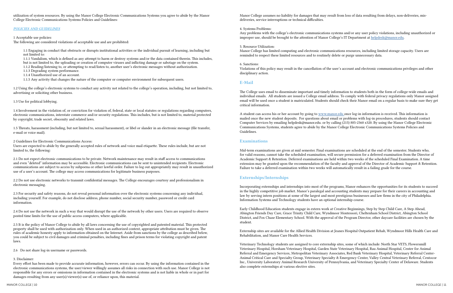<span id="page-5-0"></span>utilization of system resources. By using the Manor College Electronic Communications Systems you agree to abide by the Manor College Electronic Communications Systems Policies and Guidelines:

#### *POLICIES AND GUIDELINES*

#### 1 Acceptable use policies:

The following are considered violations of acceptable use and are prohibited:

1.1 Engaging in conduct that obstructs or disrupts institutional activities or the individual pursuit of learning, including but not limited to:

1.1.1 Vandalism, which is defined as any attempt to harm or destroy systems and/or the data contained therein. This includes, but is not limited to, the uploading or creation of computer viruses and inflicting damage or sabotage on the system.

1.1.2 Reading/listening to, or attempting to read/listen to, another user's electronic messages without authorization.

- 1.1.3 Degrading system performance.
- 1.1.4 Unauthorized use of an account.
- 1.1.5 Any activity that changes the nature of the computer or computer environment for subsequent users.

1.2 Using the college's electronic systems to conduct any activity not related to the college's operation, including, but not limited to, advertising or soliciting other business.

#### 1.3 Use for political lobbying.

1.4 Involvement in the violation of, or conviction for violation of, federal, state or local statutes or regulations regarding computers, electronic communications, interstate commerce and/or security regulations. This includes, but is not limited to, material protected by copyright, trade secret, obscenity and related laws.

1.5 Threats, harassment (including, but not limited to, sexual harassment), or libel or slander in an electronic message (file transfer, e-mail or voice mail).

#### 2 Guidelines for Electronic Communications Access:

Users are expected to abide by the generally accepted rules of network and voice mail etiquette. These rules include, but are not limited to, the following:

Any problems with the college's electronic communications systems and/or any user policy violations, including unauthorized or improper use, should be brought to the attention of Manor College's IT Department at [helpdesk@manor.edu.](mailto:helpdesk@manor.edu)

2.1 Do not expect electronic communications to be private. Network maintenance may result in staff access to communications and even "deleted" information may be accessible. Electronic communications can be sent to unintended recipients. Electronic communications are subject to access by subpoena or other lawful order. Failure to log out appropriately may result in unauthorized use of a user's account. The college may access communications for legitimate business purposes.

2.2 Do not use electronic networks to transmit confidential messages. The College encourages courtesy and professionalism in electronic messaging.

2.3 For security and safety reasons, do not reveal personal information over the electronic systems concerning any individual, including yourself. For example, do not disclose address, phone number, social security number, password or credit card information.

2.4 Do not use the network in such a way that would disrupt the use of the network by other users. Users are required to observe posted time limits for the use of public access computers, where applicable.

2.5 It is the policy of Manor College to abide by all laws concerning the use of copyrighted and patented material. This protected property shall be used with authorization only. When used in an authorized context, appropriate attribution must be given. The rules of academic honesty apply to information obtained on the Internet. Aside from sanctions by the college as described below, you could be subject to civil damages and criminal penalties, including fines and prison terms for violating copyright and patent laws.

2.6 Do not share log-in username or passwords.

#### 3. Disclaimer:

Every effort has been made to provide accurate information, however, errors can occur. By using the information contained in the electronic communications systems, the user/viewer willingly assumes all risks in connection with such use. Manor College is not responsible for any errors or omissions in information contained in the electronic systems and is not liable in whole or in part for damages resulting from any user(s)/viewer(s) use of, or reliance upon, this material.

Manor College assumes no liability for damages that may result from loss of data resulting from delays, non-deliveries, misdeliveries, service interruptions or technical difficulties.

### 4. Systems Problems:

5. Resource Utilization:

Manor College has limited computing and electronic communications resources, including limited storage capacity. Users are reminded to respect these limited resources and to routinely delete or purge unnecessary data.

#### 6. Sanctions:

Violations of this policy may result in the cancellation of the user's account and electronic communications privileges and other disciplinary action.

# E-Mail

The College uses email to disseminate important and timely information to students both in the form of college-wide emails and individual emails. All students are issued a College email address. To comply with federal privacy regulations only Manor assigned email will be used once a student is matriculated. Students should check their Manor email on a regular basis to make sure they get critical information.

A student can access his or her account by going to [www.manor.edu](http://www.manor.edu ) once log-in information is received. This information is mailed once the new student deposits. For questions about email or problems with log-in procedures, students should contact Computer Services by emailing helpdesk@manor.edu. or by calling (215) 885-2360 x320. By using the Manor College Electronic Communications Systems, students agree to abide by the Manor College Electronic Communications Systems Policies and Guidelines.

### Examinations

Mid-term examinations are given at mid semester. Final examinations are scheduled at the end of the semester. Students who, for valid reasons, cannot take the scheduled examination, will secure permission for a deferred examination from the Director of Academic Support & Retention. Deferred examinations are held within two weeks of the scheduled Final Examination. A time extension may be granted upon the recommendation of the faculty and approval of the Director of Academic Support & Retention. Failure to take a deferred examination within two weeks will automatically result in a failing grade for the course.

# Externships/Internships

Incorporating externships and internships into most of the programs, Manor enhances the opportunities for its students to succeed in the highly competitive job market. Manor's paralegal and accounting students may prepare for their careers in accounting and law by serving intern positions at some of the largest and most prestigious businesses and law firms in the city of Philadelphia. Information Systems and Technology students have an optional internship course.

Early Childhood Education students engage in extern work at Creative Beginnings, Step by Step Child Care, A Step Ahead, Abington Friends Day Care, Grace Trinity Child Care, Wyndmoor Montessori, Cheltenham School District, Abington School District, and Fox Chase Elementary School. With the approval of the Program Director, other daycare facilities are chosen by the student.

Externship sites are available for the Allied Health Division at Jeanes Hospital Outpatient Rehab, Wyndmoor Hills Health Care and Rehabilitation, and Manor Care Health Services.

Veterinary Technology students are assigned to core externship sites, some of which include: North Star VETS, Flowersmill Veterinary Hospital, Horsham Veterinary Hospital, Garden State Veterinary Hospital, Rau Animal Hospital, Center for Animal Referral and Emergency Services, Metropolitan Veterinary Associates, Red Bank Veterinary Hospital, Veterinary Referral Center-Animal Critical Care and Specialty Group, Veterinary Specialty & Emergency Center, Valley Central Veterinary Referral, Centocor Inc., University Laboratory Animal Research University of Pennsylvania, and Veterinary Specialty Center of Delaware. Students also complete externships at various elective sites.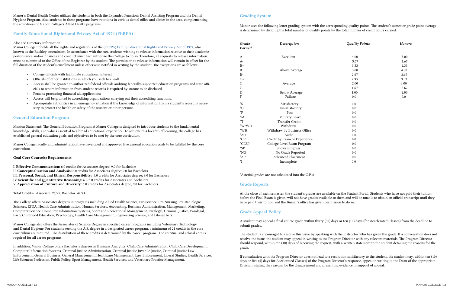| Quality Points | Honors |  |
|----------------|--------|--|
|                |        |  |
| 4.00           | 5.00   |  |
| 3.67           | 4.67   |  |
| 3.33           | 4.33   |  |
| 3.00           | 4.00   |  |
| 2.67           | 3.67   |  |
| 2.33           | 3.33   |  |
| 2.00           | 3.00   |  |
| 1.67           | 2.67   |  |
| 1.00           | 2.00   |  |
| 0.0            | 0.0    |  |
| 0.0            |        |  |
| 0.0            |        |  |
| 0.0            |        |  |
| 0.0            |        |  |
| 0.0            |        |  |
| 0.0            |        |  |
| 0.0            |        |  |
| 0.0            |        |  |
| 0.0            |        |  |
| 0.0            |        |  |
| 0.0            |        |  |
|                |        |  |
| 0.0            |        |  |
| 0.0            |        |  |
| 0.0            |        |  |

<span id="page-6-0"></span>Manor's Dental Health Center utilizes the students in both the Expanded Functions Dental Assisting Program and the Dental Hygiene Program. Also students in these programs have rotations in various dental office and clinics in the area, complementing the soundness of Manor College's Allied Health programs.

# Family Educational Rights and Privacy Act of 1974 (FERPA)

#### Also see Directory Information

Manor College upholds all the rights and regulations of the ([FERPA\) Family Educational Rights and Privacy Act of 1974,](https://www2.ed.gov/policy/gen/guid/fpco/ferpa/index.html) also known as the Buckley amendment. In accordance with the Act, students wishing to release information relative to their academic performance and/or finances and conduct must first authorize the College to do so. Therefore, all requests to release information must be submitted to the Office of the Registrar by the student. The permission to release information will remain in effect for the full duration of the student's enrollment unless otherwise notified in writing by the student. The exceptions are as follows:

- College officials with legitimate educational interest
- Officials of other institutions in which you seek to enroll
- Access shall be granted to authorized federal officials auditing federally-supported education programs and state officials to whom information from student records is required by statute to be disclosed.
- Persons processing financial aid applications
- Access will be granted to accrediting organizations carrying out their accrediting functions.
- Appropriate authorities in an emergency situation if the knowledge of information from a student's record is necessary to protect the health or safety of the student or other persons.

# General Education Program

Mission Statement: The General Education Program at Manor College is designed to introduce students to the fundamental knowledge, skills, and values essential to a broad educational experience. To achieve this breadth of learning, the college has established general education goals and objectives to be met by the core curriculum.

Manor College faculty and administration have developed and approved five general education goals to be fulfilled by the core curriculum.

#### Goal Core Course(s) Requirements:

I. Effective Communication: 6.0 credits for Associates degree; 9.0 for Bachelors

- II. Conceptualization and Analysis: 6.0 credits for Associates degree; 9.0 for Bachelors
- III. Personal, Social, and Ethical Responsibility: 3.0 credits for Associates degree; 9.0 for Bachelors
- IV. Scientific and Quantitative Reasoning: 6.0/8.0 credits for Associates and Bachelors
- V. Appreciation of Culture and Diversity: 6.0 credits for Associates degree; 9.0 for Bachelors

Total Credits- Associate: 27/29; Bachelor: 42/44

The College offers Associates degrees in programs including Allied Health Science, Pre-Science, Pre-Nursing, Pre-Radiologic Sciences, EFDA, Health Care Administration, Human Services, Accounting, Business Administration, Management, Marketing, Computer Science, Computer Information Systems, Sport and Recreational Management, Paralegal, Criminal Justice, Paralegal, Early Childhood Education, Psychology, Health Care Management, Engineering Science, and Liberal Arts.

Manor College also offers the Associates of Science Degree in specified career programs including Veterinary Technology and Dental Hygiene. For students seeking the A.S. degree in a designated career program, a minimum of 21 credits in the core curriculum are required. The distribution of these credits is determined by the career program. The spiritual and ethical core is required for all career programs.

In addition, Manor College offers Bachelor's degrees in Business Analytics, Child Care Administration, Child Care Development, Computer Information Systems, Criminal Justice Administration, Criminal Justice Juvenile Justice, Criminal Justice Law Enforcement, General Business, General Management, Healthcare Management, Law Enforcement, Liberal Studies, Health Services, Life Sciences Profession, Public Policy, Sport Management, Health Services, and Veterinary Practice Management.

# Grading System

Manor uses the following letter grading system with the corresponding quality points. The student's semester grade point average is determined by dividing the total number of quality points by the total number of credit hours carried.

| Grade<br>Earned | Description                  | <b>Quality Points</b> | Honors |
|-----------------|------------------------------|-----------------------|--------|
| А               | Excellent                    | 4.00                  | 5.00   |
| $A-$            |                              | 3.67                  | 4.67   |
| $B+$            |                              | 3.33                  | 4.33   |
| $\mathbf{B}$    | Above Average                | 3.00                  | 4.00   |
| $B-$            |                              | 2.67                  | 3.67   |
| $C+$            |                              | 2.33                  | 3.33   |
| $\mathsf{C}$    | Average                      | 2.00                  | 3.00   |
| $\mathcal{C}$ - |                              | 1.67                  | 2.67   |
|                 | <b>Below Average</b>         | 1.00                  | 2.00   |
| D<br>F          | Failure                      | 0.0                   | 0.0    |
| $^*S$           | Satisfactory                 | 0.0                   |        |
| *U              | Unsatisfactory               | 0.0                   |        |
| *P              | Pass                         | 0.0                   |        |
| $^*M$           | Military Leave               | 0.0                   |        |
| $\rm ^*T$       | <b>Transfer Credit</b>       | 0.0                   |        |
| $*W/WD$         | Withdraw                     | 0.0                   |        |
| $*_{WB}$        | Withdraw by Business Office  | 0.0                   |        |
| *AU             | Audit                        | 0.0                   |        |
| $^{\star}$ CR   | Credit by Exam or Experience | 0.0                   |        |
| *CLEP           | College Level Exam Program   | 0.0                   |        |
| $^{\ast}SP$     | <b>Shows Progress</b>        | 0.0                   |        |
| *NG             | No Grade Reported            | 0.0                   |        |
| $^*AP$          | <b>Advanced Placement</b>    | 0.0                   |        |
| *I              | Incomplete                   | 0.0                   |        |

\*Asterisk grades are not calculated into the G.P.A

# Grade Reports

At the close of each semester, the student's grades are available on the Student Portal. Students who have not paid their tuition before the Final Exam is given, will not have grades available to them and will be unable to obtain an official transcript until they have paid their tuition and the Bursar's office has given permission to do so.

# Grade Appeal Policy

A student may appeal a final course grade within thirty (30) days or ten (10) days (for Accelerated Classes) from the deadline to submit grades.

The student is encouraged to resolve this issue by speaking with the instructor who has given the grade. If a conversation does not resolve the issue, the student may appeal in writing to the Program Director with any relevant materials. The Program Director should respond, within ten (10) days of receiving the request, with a written statement to the student detailing the reasons for the grade.

If consultation with the Program Director does not lead to a resolution satisfactory to the student, the student may, within ten (10) days or five (5) days for Accelerated Classes) of the Program Director's response, appeal in writing to the Dean of the appropriate Division, stating the reasons for the disagreement and presenting evidence in support of appeal.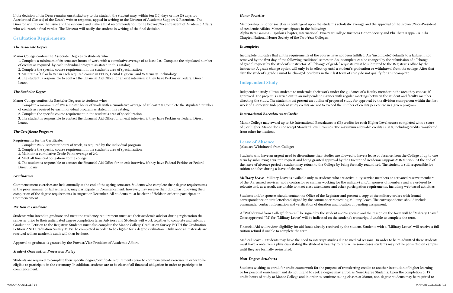<span id="page-7-0"></span>If the decision of the Dean remains unsatisfactory to the student, the student may, within ten (10) days or five (5) days for Accelerated Classes) of the Dean's written response, appeal in writing to the Director of Academic Support & Retention. The Director will review the issue and the evidence and make a final recommendation to the Provost/Vice President of Academic Affairs who will reach a final verdict. The Director will notify the student in writing of the final decision.

# Graduation Requirements

### *The Associate Degree*

Manor College confers the Associate Degrees to students who:

1. Complete a minimum of 60 semester hours of work with a cumulative average of at least 2.0. Complete the stipulated number of credits as required by each individual program as stated in this catalog.

2. Complete the specific course requirement in the student's area of specialization.

3. Maintain a "C" or better in each required course in EFDA, Dental Hygiene, and Veterinary Technology.

4. The student is responsible to contact the Financial Aid Office for an exit interview if they have Perkins or Federal Direct Loans.

# *The Bachelor Degree*

Manor College confers the Bachelor Degrees to students who:

1. Complete a minimum of 120 semester hours of work with a cumulative average of at least 2.0. Complete the stipulated number

- of credits as required by each individual program as stated in this catalog.
- 2. Complete the specific course requirement in the student's area of specialization.

3. The student is responsible to contact the Financial Aid Office for an exit interview if they have Perkins or Federal Direct Loans.

# *The Certificate Program*

Requirements for the Certificate:

- 1. Complete 24-30 semester hours of work, as required by the individual program.
- 2. Complete the specific course requirement in the student's area of specialization.
- 3. Maintain a cumulative Grade Point Average of 2.0.
- 4. Meet all financial obligations to the college.

5. The student is responsible to contact the Financial Aid Office for an exit interview if they have Federal Perkins or Federal Direct Loans.

#### *Graduation*

Commencement exercises are held annually at the end of the spring semester. Students who complete their degree requirements in the prior summer or fall semesters, may participate in Commencement, however, may receive their diplomas following their completion of the degree requirements in August or December. All students must be clear of Holds in order to participate in Commencement.

#### *Petition to Graduate*

Students who intend to graduate and meet the residency requirement must see their academic advisor during registration the semester prior to their anticipated degree completion term. Advisors and Students will work together to complete and submit a Graduation Petition to the Registrar. Students must also complete the Manor College Graduation Survey. BOTH the Graduation Petition AND Graduation Survey MUST be completed in order to be eligible for a degree evaluation. Only once all materials are received will an academic audit will then be done.

Approval to graduate is granted by the Provost/Vice-President of Academic Affairs.

#### *Student Graduation Procession Policy*

Students are required to complete their specific degree/certificate requirements prior to commencement exercises in order to be eligible to participate in the ceremony. In addition, students are to be clear of all financial obligation in order to participate in commencement.

#### *Honor Societies*

Membership in honor societies is contingent upon the student's scholastic average and the approval of the Provost/Vice-President of Academic Affairs. Manor participates in the following: Alpha Beta Gamma - Upsilon Chapter, International Two-Year College Business Honor Society and Phi Theta Kappa - XI Chi Chapter, National Honor Society of the Two-Year Colleges.

#### *Incompletes*

Incomplete indicates that all the requirements of the course have not been fulfilled. An "incomplete," defaults to a failure if not removed by the first day of the following traditional semester. An incomplete can be changed by the submission of a "change of grade" request by the student's instructor. All "change of grade" requests must be submitted to the Registrar's office by the instructor. A grade change option will only be in effect up until a student's graduation or withdrawal from the college. After that date the student's grade cannot be changed. Students in their last term of study do not qualify for an incomplete.

# Independent Study

Independent study allows students to undertake their work under the guidance of a faculty member in the area they choose, if approved. The project is carried out in an independent manner with regular meetings between the student and faculty member directing the study. The student must present an outline of proposed study for approval by the division chairperson within the first week of a semester. Independent study credits are not to exceed the number of credits per course in a given program.

### *International Baccalaureate Credit*

Manor College may award up to 3.0 International Baccalaureate (IB) credits for each Higher Level course completed with a score of 5 or higher. Manor does not accept Standard Level Courses. The maximum allowable credits is 30.0, including credits transferred from other institutions.

# Leave of Absence

(Also see Withdrawal from College)

Students who have an urgent need to discontinue their studies are allowed to have a leave of absence from the College of up to one term by submitting a written request and being granted approval by the Director of Academic Support & Retention. At the end of the leave of absence period a student may return to the College by being formally readmitted. The student is still responsible for tuition and fees during a leave of absence.

*Military Leave* - Military Leave is available only to students who are active-duty service members or activated reserve members of the U.S. armed services (not a contractor or civilian working for the military) and/or spouses of members and are ordered to relocate and, as a result, are unable to meet class attendance and other participation requirements, including web-based activities.

Students and/or spouses should contact the Office of the Registrar and present a copy of the military orders with formal correspondence on unit letterhead signed by the commander requesting Military Leave. The correspondence should include commander contact information and verification of duration and location of pending assignment.

A "Withdrawal from College" form will be signed by the student and/or spouse and the reason on the form will be "Military Leave". Once approved, "M" for "Military Leave" will be indicated on the student's transcript, if unable to complete the term.

Financial Aid will review eligibility for aid funds already received by the student. Students with a "Military Leave" will receive a full tuition refund if unable to complete the term.

Medical Leave - Students may have the need to interrupt studies due to medical reasons. In order to be re-admitted these students must have a note rom a physician stating the student is healthy to return. In some cases students may not be permitted on campus until they are formally re-instated.

# *Non-Degree Students*

Students wishing to enroll for credit coursework for the purpose of transferring credits to another institution of higher learning or for personal enrichment and do not intend to seek a degree may enroll as Non-Degree Students. Upon the completion of 15 credit hours of study at Manor College and in order to continue taking classes at Manor, non-degree students may be required to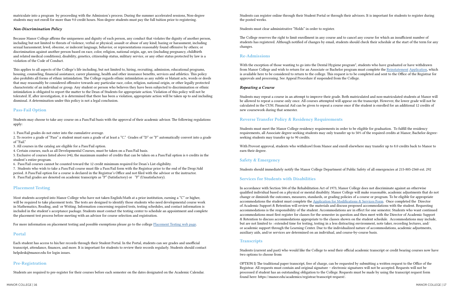<span id="page-8-0"></span>matriculate into a program by proceeding with the Admission's process. During the summer accelerated sessions, Non-degree students may not enroll for more than 9.0 credit hours. Non-degree students must pay the full tuition prior to registering.

# *Non-Discrimination Policy*

Because Manor College affirms the uniqueness and dignity of each person, any conduct that violates the dignity of another person, including but not limited to threats of violence, verbal or physical; assault or abuse of any kind; hazing or harassment, including sexual harassment; lewd, obscene, or indecent language, behavior, or representations reasonably found offensive by others; or discrimination against another person based on race, color, religion, national origin, age, sex (including pregnancy, childbirth and related medical conditions), disability, genetics, citizenship status, military service, or any other status protected by law is a violation of the Code of Conduct.

This applies to all aspects of the College's life including, but not limited to, hiring, recruiting, admission, educational programs, housing, counseling, financial assistance, career planning, health and other insurance benefits, services and athletics. This policy also prohibits all forms of ethnic intimidation. The College regards ethnic intimidation as any subtle or blatant acts, words or deeds that may reasonably be considered offensive towards any particular race, color, religion, national origin, or other legally protected characteristic of an individual or group. Any student or person who believes they have been subjected to discrimination or ethnic intimidation is obligated to report the matter to the Dean of Students for appropriate action. Violation of this policy will not be tolerated. If, after investigation, it is determined that there has been a violation, appropriate action will be taken up to and including dismissal. A determination under this policy is not a legal conclusion.

# Pass-Fail Option

Students may choose to take any course on a Pass/Fail basis with the approval of their academic advisor. The following regulations apply:

1. Pass/Fail grades do not enter into the cumulative average.

2. To receive a grade of "Pass" a student must earn a grade of at least a "C." Grades of "D" or "F" automatically convert into a grade of "Fail."

3. All courses in the catalog are eligible for a Pass/Fail option.

4. Certain courses, such as all Developmental Courses, must be taken on a Pass/Fail basis.

5. Exclusive of courses listed above (#4), the maximum number of credits that can be taken on a Pass/Fail option is 6 credits in the student's entire program.

6. Pass/Fail courses cannot be counted toward the 12 credit minimum required for Dean's List eligibility.

7. Students who wish to take a Pass/Fail course must file a Pass/Fail form with the Registrar prior to the end of the Drop/Add period. A Pass/Fail option for a course is declared in the Registrar's Office and not filed with the advisor or the instructor. 8. Pass/Fail grades are denoted on academic transcripts as "P" (Satisfactory) or "F" (Unsatisfactory).

# Placement Testing

Most students accepted into Manor College who have not taken English/Math at a prior institution, earning a "C" or higher, will be required to take placement tests. The tests are designed to identify those students who need developmental course work in Mathematics, Reading, and/ or Writing. Information concerning required tests, testing schedules, and contact information is included in the student's acceptance package. Students must contact the testing center to schedule an appointment and complete the placement test process before meeting with an advisor for course selection and registration.

For more information on placement testing and possible exemptions please go to the college [Placement Testing web page.](https://manor.edu/admissions/accepted-students/placement-test/)

# Portal

Each student has access to his/her records through their Student Portal. In the Portal, students can see grades and unofficial transcript, attendance, finances, and more. It is important for students to review their records regularly. Students should contact helpdesk@manor.edu for login issues.

# Pre-Registration

Students are required to pre-register for their courses before each semester on the dates designated on the Academic Calendar.

Students can register online through their Student Portal or through their advisors. It is important for students to register during the posted weeks.

Students must clear administrative "Holds" in order to register.

The College reserves the right to limit enrollment in any course and to cancel any course for which an insufficient number of students has registered. Although notified of changes by email, students should check their schedule at the start of the term for any changes.

# Re-Admissions

With the exception of those wanting to go into the Dental Hygiene program\*, students who have graduated or have withdrawn from Manor College and wish to return for an Associate or Bachelor program must complete the [Reinstatement](https://manor.edu/wp-content/uploads/2018/09/Manor-College-Reinstatement-Form-4.pdf) [Application,](https://manor.edu/wp-content/uploads/2018/09/Manor-College-Reinstatement-Form-4.pdf) which is available here to be considered to return to the college. This request is to be completed and sent to the Office of the Registrar for approvals and processing. See Appeal Procedure if suspended from the College.

# *Repeating a Course*

Students may repeat a course in an attempt to improve their grade. Both matriculated and non-matriculated students at Manor will be allowed to repeat a course only once. All courses attempted will appear on the transcript. However, the lower grade will not be calculated in the CUM. Financial Aid can be given to repeat a course once if the student is enrolled for an additional 12 credits of new coursework during that semester.

# Reverse Transfer Policy & Residency Requirements

Students must meet the Manor College residency requirements in order to be eligible for graduation. To fulfill the residency requirements, all Associate degree-seeking students may only transfer up to 50% of the required credits at Manor; Bachelor degreeseeking students may transfer up to 90 credits.

With Provost approval, students who withdrawl from Manor and enroll elsewhere may transfer up to 8.0 credits back to Manor to earn their degree.

# Safety & Emergency

Students should immediately notify the Manor College Department of Public Safety of all emergencies at 215-885-2360 ext. 292

# Services for Students with Disabilities

In accordance with Section 504 of the Rehabilitation Act of 1973, Manor College does not discriminate against an otherwise qualified individual based on a physical or mental disability. Manor College will make reasonable, academic adjustments that do not change or diminish the outcomes, measures, standards, or grading policies of a course or program. To be eligible for appropriate accommodations the student must complete the [Application for Modifications & Services Form.](https://docs.google.com/forms/d/1jU6PasHGl44dlz1eh44ef221r0I29koCgy9bdGZc_8o/viewform?edit_requested=true) Once completed the Director of Academic Support & Retention will review the materials and discuss proposed accommodations with the student. Requesting accommodations is the responsibility of the student. Accommodations are in effect for one semester. Students who want continued accommodations must first register for classes for the semester in question and then meet with the Director of Academic Support & Retention to discuss accommodations appropriate to the classes shown on the student schedule. Accommodations may include, but are not limited to : extended time for testing, testing in a less distracting environment, note taker, recording lectures, and/ or academic support through the Learning Center. Due to the individualized nature of accommodations, academic adjustments, auxiliary aids, and/or services are determined on an individual, and course-by-course basis.

# **Transcripts**

Students (current and past) who would like the College to send their official academic transcript or credit bearing courses now have two options to choose from:

OPTION I) The traditional paper transcript, free of charge, can be requested by submitting a written request to the Office of the Registrar. All requests must contain and original signature – electronic signatures will not be accepted. Requests will not be processed if student has an outstanding obligation to the College. Requests must be made by using the transcript request form found here: https://manor.edu/academics/registrar/transcript-request/.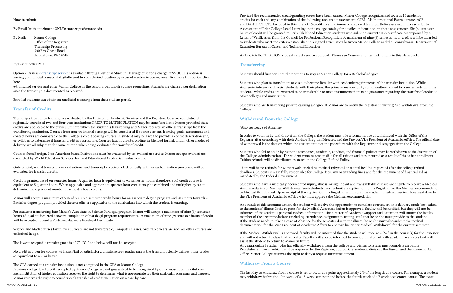#### <span id="page-9-0"></span>How to submit:

By Email (with attachment ONLY): transcripts@manor.edu

- By Mail: Manor College
	- Office of the Registrar Transcript Processing 700 Fox Chase Road Jenkintown, PA 19046

#### By Fax: 215.780.1950

Option 2) A new [e-transcript service](https://tsorder.studentclearinghouse.org/school/select) is available through National Student Clearinghouse for a charge of \$5.00. This option is having your official transcript digitally sent to your desired location by secured electronic conveyance. To choose this option click here

e-transcript service and enter Manor College as the school from which you are requesting. Students are charged per destination once the transcript is documented as received.

Enrolled students can obtain an unofficial transcript from their student portal.

# Transfer of Credits

Transcripts from prior learning are evaluated by the Division of Academic Services and the Registrar. Courses completed at regionally accredited two and four-year institutions PRIOR TO MATRICULATION may be transferred into Manor provided these credits are applicable to the curriculum into which the student is transferring and Manor receives an official transcript from the transferring institution. Courses from non-traditional settings will be considered if course content, learning goals, assessment and contact hours are comparable to the College's credit bearing courses. A student may be asked to provide a course description and/ or syllabus to determine if transfer credit is appropriate. Courses taught on-site, on-line, in blended format, and in other modes of delivery are all subject to the same criteria when being evaluated for transfer of credit.

Courses from Foreign, Non-American based Institutions must be evaluated by an evaluation service. Manor accepts evaluations completed by World Education Services, Inc. and Educational Credential Evaluators, Inc.

Only official, sealed transcripts or evaluations, and transcripts received electronically with an authentication procedure will be evaluated for transfer credits.

Credit is granted based on semester hours. A quarter hour is equivalent to 0.6 semester hours; therefore, a 3.0 credit course is equivalent to 5 quarter hours. When applicable and appropriate, quarter hour credits may be combined and multiplied by 0.6 to determine the equivalent number of semester hour credits.

Manor will accept a maximum of 50% of required semester credit hours for an associate degree program and 90 credits towards a Bachelor degree program provided these credits are applicable to the curriculum into which the student is entering.

For students transferring into Manor's Associate in Science Paralegal program, Manor will accept a maximum of nine (9) semester hours of legal studies credit toward completion of paralegal program requirements. A maximum of nine (9) semester hours of credit will be accepted toward a Post-Baccalaureate Paralegal Certificate.

Science and Math courses taken over 10 years are not transferable; Computer classes, over three years are not. All other courses are unlimited in age.

The lowest acceptable transfer grade is a "C" ("C-" and below will not be accepted)

No credit is given for courses with pass/fail or satisfactory/unsatisfactory grades unless the transcript clearly defines those grades as equivalent to a C or better.

The GPA earned at a transfer institution is not computed in the GPA at Manor College.

Previous college level credits accepted by Manor College are not guaranteed to be recognized by other subsequent institutions. Each institution of higher education reserves the right to determine what is appropriate for their particular programs and degrees. Manor reserves the right to consider each transfer of credit evaluation on a case by case.

Provided the recommended credit-granting scores have been earned, Manor College recognizes and awards 15 academic credits for each and any combination of the following non-credit assessment; CLEP, AP, International Baccalaureate, ACE and DANTE'STESTS. Included in this total of 15 credits is a maximum of nine credits for portfolio assessment. Please refer to Assessment of Prior College Level Learning in the college catalog for detailed information on these assessments. Six (6) semester hours of credit will be granted to Early Childhood Education students who submit a current CDA certificate accompanied by a Letter of Verification from the Council for Professional Recognition. A maximum of nine (9) semester hour credits will be awarded to students who meet the criteria established in a signed articulation between Manor College and the Pennsylvania Department of Education Bureau of Career and Technical Education.

AFTER MATRICULATION, students must receive approval. Please see Courses at other Institutions in this Handbook.

# **Transferring**

Students should first consider their options to stay at Manor College for a Bachelor's degree.

Students who plan to transfer are advised to become familiar with academic requirements of the transfer institution. While Academic Advisors will assist students with their plans, the primary responsibility for all matters related to transfer rests with the student. While credits are expected to be transferable to most institutions there is no guarantee regarding the transfer of credits to other colleges and universities.

Students who are transferring prior to earning a degree at Manor are to notify the registrar in writing. See Withdrawal from the College

# Withdrawal from the College

(Also see Leave of Absence)

In order to voluntarily withdraw from the College, the student must file a formal notice of withdrawal with the Office of the Registrar after consulting with their Advisor, Program Director, and the Provost/Vice President of Academic Affairs. The official date of withdrawal is the date on which the student initiates the procedure with the Registrar or disengages from the College.

Students who fail to abide by Manor's attendance, academic, conduct, and financial policies may be withdrawn at the discretion of the College Administration. The student remains responsible for all tuition and fees incurred as a result of his or her enrollment. Tuition refunds will be distributed as stated in the College Refund Policy.

There will be no refunds for withdrawals, including medical (physical or mental health), requested after the college refund deadlines. Students remain fully responsible for College fees, any outstanding fines and for the repayment of financial aid as mandated by the Federal Government.

Students who have a medically documented injury, illness, or significant and transmittable disease are eligible to receive a Medical Accommodation or Medical Withdrawal. Such students must submit an application to the Registrar for the Medical Accommodation or Medical Withdrawal. Upon receipt of the application, the Registrar will inform the student to submit medical documentation to the Vice President of Academic Affairs who must approve the Medical Accommodation.

As a result of this accommodation, the student will receive the opportunity to complete coursework in a delivery mode best suited to the students' illness. If the request for the Medical Accommodation is approved, faculty will be notified, but they will not be informed of the student's personal medical information. The director of Academic Support and Retention will inform the faculty member of the accommodations (including attendance, assignments, testing, etc.) that he or she must provide to the student. If the student needs to take a Leave of Absence for the semester due to the illness, he or she must also submit the medical documentation for the Vice President of Academic Affairs to approve his or her Medical Withdrawal for the current semester.

If the Medical Withdrawal is approved, faculty will be informed that the student will receive a "W" in the course(s) for the semester and will not return to class that semester. Faculty will also be informed to provide the student with academic resources that will assist the student to return to Manor in future.

Any matriculated student who has officially withdrawn from the college and wishes to return must complete an online Reinstatement Form, which must be approved by the Registrar, appropriate academic division, the Bursar, and the Financial Aid Office. Manor College reserves the right to deny a request for reinstatement.

# Withdraw From a Course

The last day to withdraw from a course is set to occur at a point approximately 2/3 of the length of a course. For example, a student may withdraw before the 10th week of a 15-week semester and before the fourth week of a 7 week accelerated course. The exact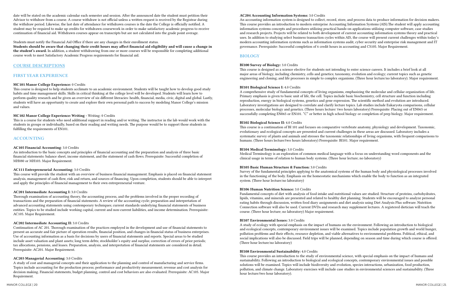<span id="page-10-0"></span>date will be stated on the academic calendar each semester and session. After the announced date the student must petition their Advisor to withdraw from a course. A course withdraw is not official unless a written request is received by the Registrar during the withdraw period. Likewise, the last date of attendance for withdrawn courses is the date the College is officially notified. A student may be required to make up credits for withdrawn coursework in order to make satisfactory academic progress to receive continuation of financial aid. Withdrawn courses appear on transcripts but are not calculated into the grade point average.

#### Students must notify the Financial Aid Office if there are any changes in their enrollment status.

Students should be aware that changing their credit hours may affect financial aid eligibility and will cause a change in the student's award. In addition, a student withdrawing from one or more courses will be responsible for completing additional course work to meet Satisfactory Academic Progress requirements for financial aid.

### COURSE DESCRIPTIONS

# FIRST YEAR EXPERIENCE

#### MC101 Manor College Experience: 0 Credits

This course is designed to help students acclimate to an academic environment. Students will be taught how to develop good study habits and time management skills. Skills in critical thinking at the college level will be developed. Students will learn how to perform quality research and be given an overview of six different literacies: health, financial, media, civic, digital and global. Lastly, students will have an opportunity to create and explore their own personal path to success by modeling Manor College's mission and values.

#### MC102 Manor College Experience: Writing - Writing: 0 Credits

This is a course for students who need additional support in reading and/or writing. The instructor in the lab would work with the students in groups or individually, based on their reading and writing needs. The purpose would be to support those students in fulfilling the requirements of EN101.

### ACCOUNTING

#### AC105 Financial Accounting: 3.0 Credits

An introduction to the basic concepts and principles of financial accounting and the preparation and analysis of three basic financial statements: balance sheet, income statement, and the statement of cash flows. Prerequisite: Successful completion of MH080 or MH103. Major Requirement.

#### AC111 Entrepreneurial Accounting: 3.0 Credits

This course will provide the student with an overview of business financial management. Emphasis is placed on financial statement analysis, management of cash flow, risk and return, and sources of financing. Upon completion, students should be able to interpret and apply the principles of financial management to their own entrepreneurial venture.

#### AC201 Intermediate Accounting I: 3.0 Credits

Thorough examination of accounting theory, the accounting process, and the problems involved in the proper recording of transactions and the preparation of financial statements. A review of the accounting cycle; preparation and interpretation of advanced accounting statements using contemporary techniques; current standards underlying financial statements of business entities. Topics to be studied include working capital, current and non-current liabilities, and income determination. Prerequisite: AC105. Major Requirement.

#### AC202 Intermediate Accounting II: 3.0 Credits

Continuation of AC 201. Thorough examination of the practices employed in the development and use of financial statements to present an accurate and fair picture of operation results, financial position, and changes in financial status of business enterprises. Use of accounting information as a basis for decisions by users of financial statements and reports. Special areas to be studied include asset valuation and plant assets; long term debts; stockholder's equity and surplus; correction of errors of prior periods; tax allocations, pensions, and leases. Preparation, analysis, and interpretation of financial statements are considered in detail. Prerequisite: AC201. Major Requirement.

### AC203 Managerial Accounting: 3.0 Credits

A study of cost and managerial concepts and their application to the planning and control of manufacturing and service firms. Topics include accounting for the production process; performance and productivity measurement; revenue and cost analysis for decision making. Financial statements, budget planning, control and cost behaviors are also evaluated. Prerequisite: AC105. Major Requirement.

#### AC204 Accounting Information Systems: 3.0 Credits

An accounting information system is designed to collect, record, store, and process data to produce information for decision makers. This course provides an introduction to modern enterprise Accounting Information Systems (AIS).The student will apply accounting information systems concepts and procedures utilizing practical hands-on applications utilizing computer software, case studies and research projects. Projects will be related to both development of current accounting information systems theory and practical uses. In addition to studying select business transaction cycles within AIS, the course will present current challenges within today's modern accounting information systems such as information systems audit, cyber security and enterprise risk management and IT governance. Prerequisite: Successful completion of 6 credit hours in accounting and CS105. Major Requirement.

### BIOLOGY

#### BI100 Survey of Biology: 3.0 Credits

This course is designed as a science elective for students not intending to enter science careers. It includes a brief look at all major areas of biology, including chemistry, cells and genetics; taxonomy, evolution and ecology; current topics such as genetic engineering and cloning; and life processes in simple to complex organisms. (Three hour lecture/no laboratory). Major requirement.

#### BI101 Biological Science I: 4.0 Credits

A comprehensive study of fundamental concepts of living organisms, emphasizing the molecular and cellular organization of life. Primary emphasis is given to basic unit of life, the cell. Topics include basic biochemistry, cell structure and function including reproduction, energy in biological systems, genetics and gene expression. The scientific method and evolution are introduced. Laboratory investigations are designed to correlate and clarify lecture topics. Lab studies include Eukaryota comparisons, cellular processes, molecular biology and genetics. (Three hours lecture/ two hours laboratory) Prerequisite: Placing out of EN065 or successfully completing EN065 or EN101. "C" or better in high school biology or completion of prep biology. Major requirement.

#### BI102 Biological Science II: 4.0 Credits

This course is a continuation of BI 101 and focuses on comparative vertebrate anatomy, physiology and development. Taxonomic, evolutionary and ecological concepts are presented and current challenges in these areas are discussed. Laboratory includes a systematic survey of plants and animals and stresses the taxonomic relationships of living organisms, with frequent comparisons to humans. (Three hours lecture/two hours laboratory) Prerequisite: BI101. Major requirement.

#### BI104 Medical Terminology: 3.0 Credits

Medical Terminology is an exploration of common medical language with a focus on understanding word components and the clinical usage in terms of relation to human body systems. (Three hour lecture; no laboratory)

#### BI105 Basic Human Structure & Function: 3.0 Credits

Survey of the fundamental principles applying to the anatomical systems of the human body and physiological processes involved in the functioning of the body. Emphasis on the homeostatic mechanisms which enable the body to function as an integrated system. (Three hour lecture/no laboratory)

#### BI106 Human Nutrition Science: 3.0 Credits

Fundamental concepts of diet with analysis of food intake and nutritional values are studied. Structure of proteins, carbohydrates, lipids, vitamins, and minerals are presented and related to healthy diet planning. Students will be encouraged to analyze personal eating habits through discussion, written food diary assignments and diet analysis using Diet Analysis Plus software. Nutrition Connection software will also be used. Current DVDs and research may supplement lectures. A registered dietician will teach the course. (Three hour lecture; no laboratory) Major requirement.

#### BI107 Environmental Issues: 3.0 Credits

A study of ecology with special emphasis on the impact of humans on the environment. Following an introduction to biological and ecological concepts, contemporary environment issues will be examined. Topics include population growth and world hunger, pollution problems and their effects, resource depletion, and viable alternatives to environmental problems. Political, ethical, and social implications will also be discussed. Field trips will be planned, depending on season and time during which course is offered. (Three hour lecture/no laboratory)

#### BI108 Environmental Sustainability: 4.0 Credits

This course provides an introduction to the study of environmental science, with special emphasis on the impact of humans and sustainability. Following an introduction to biological and ecological concepts, contemporary environmental issues and possible solutions will be examined. Topics will include biodiversity and evolution, species interactions, urbanization, food production, pollution, and climate change. Laboratory exercises will include case studies in environmental sciences and sustainability. (Three hour lecture/two hour laboratory).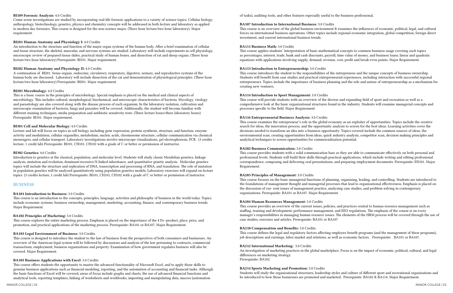#### BI109 Forensic Analysis: 4.0 Credits

Crime scene investigations are studied by incorporating real-life forensic applications to a variety of science topics. Cellular biology, anthropology, biotechnology, genetics, physics and chemistry concepts will be addressed in both lecture and laboratory as applied to modern day forensics. This course is designed for the non-science major. (Three hour lecture/two hour laboratory). Major requirement.

#### BI201 Human Anatomy and Physiology I: 4.0 Credits

An introduction to the structure and function of the major organ systems of the human body. After a brief examination of cellular and tissue structure, the skeletal, muscular, and nervous systems are studied. Laboratory will include experiments in cell physiology, microscopic review of prepared tissue slides, practical study of human bones, and dissection of rat and sheep organs. (Three hour lecture/two hour laboratory) Prerequisite: BI101. Major requirement.

#### BI202 Human Anatomy and Physiology II: 4.0 Credits

A continuation of BI201. Sense organs, endocrine, circulatory, respiratory, digestive, urinary, and reproductive systems of the human body are discussed. Laboratory will include dissection of the cat and demonstration of physiological principles. (Three hour lecture/two hour laboratory) Prerequisite: BI201. Major requirement.

#### BI203 Microbiology: 4.0 Credits

This is a basic course in the principles of microbiology. Special emphasis is placed on the medical and clinical aspects of microbiology. This includes cultural, morphological, biochemical, and microscopic characteristics of bacteria. Mycology, virology and parasitology are also covered along with the disease process of each organism. In the laboratory isolation, cultivation and microscopic examination of bacteria, fungi and parasites will be covered. Additionally, the student will become familiar with different staining techniques, media preparation and antibiotic sensitivity tests. (Three lecture hours/three laboratory hours) Prerequisite: BI101. Major requirement.

#### BI301 Cell and Molecular Biology: 4.0 Credits

Lecture and lab will focus on topics in cell biology including gene expression, protein synthesis, structure, and function, enzyme activity and modulation, cellular organelles, metabolism, nucleic acids, chromosome structure, cellular communication via chemical messengers, and cellular transport. Laboratory investigations involve microscope visualizations, gel electrophoresis, PCR. (3 credits lecture, 1 credit lab) Prerequisite: BI101, CH101, CH102 with a grade of C or better or permission of instructor.

#### BI302 Genetics: 4.0 Credits

Introduction to genetics at the classical, population, and molecular level. Students will study classic Mendelian genetics, linkage analysis, mutation and evolution, dominant/recessive/X-linked inheritance, and quantitative genetic analysis. Molecular genetics topics will include the structure and replication of DNA, transcription and processing of RNA, and translation. The role of mutation in population genetics will be analyzed quantitatively using population genetics models. Laboratory exercises will expand on lecture topics. (3 credits lecture, 1 credit lab) Prerequisite: BI101, CH101, CH102 with a grade of C or better or permission of instructor.

#### BUSINESS

#### BA101 Introduction to Business: 3.0 Credits

This course is an introduction to the concepts, principles, language, activities and philosophy of business in the world today. Topics include economic systems, business ownership, management, marketing, accounting, finance, and contemporary business trends. Major Requirement.

#### BA102 Principles of Marketing: 3.0 Credits

This course explores the entire marketing process. Emphasis is placed on the importance of the 4 Ps--product, place, price, and promotion, and practical applications of the marketing process. Prerequisite: BA101 or BA107. Major Requirement.

#### BA103 Legal Environment of Business: 3.0 Credits

This course is designed to introduce the student to the law of business from the perspectives of both consumers and businesses. An overview of the American legal system will be followed by discussions and analysis of the law pertaining to contracts, commercial transactions, employment, business organizations and property. Examination of how government regulates business will also be covered. Major Requirement.

#### BA105 Business Applications with Excel: 3.0 Credits

This course offers students the opportunity to master the advanced functionality of Microsoft Excel, and to apply those skills to genuine business applications such as financial modeling, reporting, and the automation of accounting and financial tasks. Although the basic functions of Excel will be covered, areas of focus include graphs and charts, the use of advanced financial functions and analytical tools, reporting templates, linking of worksheets and workbooks, importing and manipulating data, macros (automation

of tasks), auditing tools, and other features especially useful to the business professional.

# BA107 Introduction to International Business: 3.0 Credits

This course is an overview of the global business environment It examines the influences of economic, political, legal, and cultural forces on international business operations. Other topics include regional economic integration, global competition, foreign direct investment, and current international business trends.

#### BA111 Business Math: 3.0 Credits

This course applies students' interpretation of basic mathematical concepts to common business usage covering such topics as percentages, interest, trade, bank and cash discounts, payroll, time value of money, and business loans; linear and quadratic equations with applications involving supply, demand, revenue, cost, profit and break-even points. Major Requirement.

#### BA113 Introduction to Entrepreneurship: 3.0 Credits

This course introduces the student to the responsibilities of the entrepreneur and the unique concepts of business ownership. Students will benefit from case studies and practical entrepreneurial experiences, including interaction with successful regional entrepreneurs. Topics include the importance of business planning and the role and nature of entrepreneurship as a mechanism for creating new ventures.

# BA114 Introduction to Sport Management: 3.0 Credits

This course will provide students with an overview of the diverse and expanding field of sport and recreation as well as a comprehensive look at the basic organizational structures found in the industry. Students will examine managerial concepts and processes specific to the field. Major Requirement.

#### BA116 Entrepreneurial Business Analysis: 3.0 Credits

This course examines the entrepreneur's role in the global economy as an exploiter of opportunities. Topics include the creative search for ideas, the innovation process, and the opportunity analysis to screen for the best ideas. Learning activities cover the decisions needed to transform an idea into a business opportunity. Topics covered include the common sources of ideas, the environmental scan, creating opportunities from ideas, quick industry analysis, competitor scan, decision making principles and analytical techniques to screen opportunities for commercialization potential.

#### BA202 Business Communication: 3.0 Credits

This course provides students with a solid communication base so they are able to communicate effectively on both personal and professional levels. Students will build their skills through practical applications, which include writing and editing professional correspondence, composing and delivering oral presentations, and preparing employment documents. Prerequisite: EN101. Major Requirement.

#### BA203 Principles of Management: 3.0 Credits

This course focuses on the basic managerial functions of planning, organizing, leading, and controlling. Students are introduced to the foundations of management thought and managerial processes that lead to organizational effectiveness. Emphasis is placed on the discussion of cur- rent issues of management practice, analyzing case studies, and problem-solving in contemporary organizations. Prerequisite: BA101 or BA107. Major Requirement.

#### BA204 Human Resources Management: 3.0 Credits

This course provides an overview of the current issues, policies, and practices central to human resource management such as staffing, training and development, performance management, and EEO regulations. The emphasis of the course is on every manager's responsibilities in managing human resource issues. The elements of the HRM process will be covered through the use of case studies, exercises and articles. Prerequisite: BA101 or BA107

#### BA210 Compensation and Benefits: 3.0 Credits

This course defines the legal and regulatory factors affecting employee benefit programs (and the management of these programs), job descriptions and earnings, labor market and relations, as well as economic factors. Prerequisite: BA101 or BA107.

#### BA212 International Marketing: 3.0 Credits

An investigation of marketing practices in the global marketplace. Focus is on the impact of economic, political, cultural, and legal differences on marketing strategy. Prerequisite: BA102.

# BA214 Sports Marketing and Promotion: 3.0 Credits

Students will study the organizational structures, leadership styles and culture of different sport and recreational organizations and be introduced to how those businesses are promoted and marketed. Prerequisite: BA102 & BA114. Major Requirement.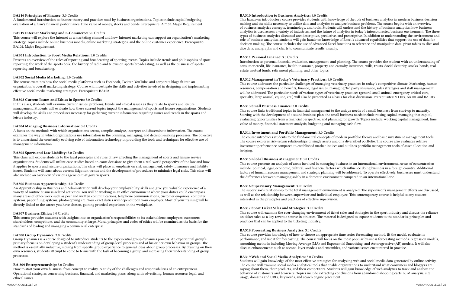#### BA216 Principles of Finance: 3.0 Credits

A fundamental introduction to finance theory and practices used by business organizations. Topics include capital budgeting, evaluation of a firm's financial performance, time value of money, stocks and bonds. Prerequisite: AC105. Major Requirement.

#### BA219 Internet Marketing and E-Commerce: 3.0 Credits

This course will explore the Internet as a marketing channel and how Internet marketing can support an organization's marketing strategy. Topics include online business models, online marketing strategies, and the online customer experience. Prerequisite: BA102. Major Requirement.

#### BA301 Introduction to Sport Media Relations: 3.0 Credits

Presents an overview of the roles of reporting and broadcasting of sporting events. Topics include trends and philosophies of sport reporting, the work of the sports desk, the history of radio and television sports broadcasting, as well as the business of sports reporting and broadcasting.

#### BA302 Social Media Marketing: 3.0 Credits

The course examines how the social media platforms such as Facebook, Twitter, YouTube, and corporate blogs fit into an organization's overall marketing strategy. Course will investigate the skills and activities involved in designing and implementing effective social media marketing strategies. Prerequisite: BA102

#### BA303 Current Issues and Ethics in Sports: 3.0 Credits

In this class, students will examine current issues, problems, trends and ethical issues as they relate to sports and leisure management. Students will evaluate how these current topics impact the management of sports and leisure organizations. Students will develop the skills and procedures necessary for gathering current information regarding issues and trends in the sports and leisure industry.

#### BA304 Managing Business Information: 3.0 Credits

A focus on the methods with which organizations access, compile, analyze, interpret and disseminate information. The course examines the way in which organizations use information in the planning, managing, and decision-making processes. The objective is to understand the constantly evolving role of information technology in providing the tools and techniques for effective use of management information.

#### BA305 Sports and Law Liability: 3.0 Credits

This class will expose students to the legal principles and rules of law affecting the management of sports and leisure service organizations. Students will utilize case studies based on court decisions to give them a real-world perspective of the law and how it applies to sports and leisure organizations. The class will place an emphasis on risk management, safety, insurance and liability issues. Students will learn about current litigation trends and the development of procedures to minimize legal risks. This class will also include an overview of various agencies that govern sports.

#### BA306 Business Apprenticeship: 3.0 Credits

An Apprenticeship in Business and Administration will develop your employability skills and give you valuable experience of a variety of routine business-related activities. You will be working in an office environment where your duties could encompass many areas of office work such as post and written communications, telephone communications, customer enquiries, computer systems, paper filing systems, photocopying etc. Your exact duties will depend upon your employer. Most of your training will be directly linked to the career you have chosen, gaining practical experience in the workplace.

#### BA307 Business Ethics: 3.0 Credits

This course provides students with insights into an organization's responsibilities to its stakeholders: employees, customers, shareholders, competitors, and the community at large. Moral principles and codes of ethics will be examined as the basis for the standards of leading and managing a commercial enterprise.

#### BA308 Group Dynamics: 3.0 Credits

Group Dynamics is a course designed to introduce students to the experiential group dynamics process. An experiential group's primary focus is on developing a student's understanding of group-level processes and of his or her own behavior in groups. The method is essentially inductive, moving from specific group experience to general ideas about group processes. By drawing on their own resources, students attempt to come to terms with the task of becoming a group and increasing their understanding of group processes.

#### BA 309 Entrepreneurship: 3.0 Credits

How to start your own business: from concept to reality. A study of the challenges and responsibilities of an entrepreneur. Operational strategies concerning business, financial, and marketing plans, along with advertising, human resource, legal, and ethical issues.

#### BA310 Introduction to Business Analytics: 3.0 Credits

This hands-on introductory course provides students with knowledge of the role of business analytics in modern business decision making and the skills necessary to utilize data and analytics to analyze business problems. The course begins with an overview of business analytics concepts, terminology, and tools. Students will understand the history of business analytics, how business analytics is used across a variety of industries, and the future of analytics in today's interconnected business environment. The three types of business analytics discussed are: descriptive, predictive, and prescriptive. In addition to understanding the environment and role of business analytics, students will gain hands-on knowledge of Excel's advanced capabilities that support the use of data for decision making. The course includes the use of advanced Excel functions to reference and manipulate data, pivot tables to slice and dice data, and graphs and charts to communicate results visually.

#### BA311 Personal Finance: 3.0 Credits

Introduction to personal financial evaluation, management, and planning. The course provides the student with an understanding of consumer credit, life insurance, health insurance, property and casualty insurance, wills, trusts, Social Security, stocks, bonds, real estate, mutual funds, retirement planning, and other topics.

#### BA312 Management in Today's Veterinary Practices: 3.0 Credits

This course addresses the particular challenges of managing veterinary practices in today's competitive climate. Marketing, human resources, compensation and benefits, finance, legal issues, managing 3rd party insurance, sales strategies and staff management will be addressed. The particular needs of various types of veterinary practices (general small animal, emergency critical care, specialty, large animal, equine, etc.) will also be presented as a basis for class discussion. Prerequisites: VT103, BA101 and BA 203

#### BA313 Small Business Finance: 3.0 Credits

This course links traditional topics in financial management to the unique needs of a small business from start-up to maturity. Starting with the development of a sound business plan, the small business needs include raising capital, managing that capital, evaluating opportunities from a financial perspective, and planning for growth. Topics include: working capital management, time value of money, financial statement analysis, budgeting and managing cash flow.

# BA314 Investment and Portfolio Management: 3.0 Credits The course introduces students to the fundamental concepts of modern portfolio theory and basic investment management tools. hedging.

The course explores risk-return relationships of single assets and of a diversified portfolio. The course also evaluates relative investment performance compared to established market indices and outlines portfolio management tools of asset allocation and

#### BA315 Global Business Management: 3.0 Credits

This course presents an analysis of areas involved in managing business in an international environment. Areas of concentration include: political, legal, economic, cultural, and financial factors which influence doing business in a foreign country. Additional factors of human resource management and strategic planning will be addressed. To operate effectively, businesses must understand the differences between managing solely in a domestic environment compared to an international one.

#### BA316 Supervisory Management: 3.0 Credits

The supervisor's relationship to the total management environment is analyzed. The supervisor's management efforts are discussed, as well as the relationship between supervisor and individual employee. This contemporary course is helpful to any student interested in the principles and practices of effective supervision.

# BA317 Sport Ticket Sales and Strategies: 3.0 Credits

This course will examine the ever-changing environment of ticket sales and strategies in the sport industry and discuss the reliance on ticket sales as a key revenue source in athletics. The material is designed to expose students to the standards, principles and practices that can be applied to the ticketing industry.

#### BA318 Forecasting Business Analytics: 3.0 Credits

This course provides knowledge of how to choose an appropriate time series forecasting method, fit the model, evaluate its performance, and use it for forecasting. The course will focus on the most popular business forecasting methods: regression models, smoothing methods including Moving Average (MA) and Exponential Smoothing, and Autoregressive (AR) models. It will also discuss enhancements such as second-layer models and ensembles, and various issues encountered in practice.

#### BA319 Web and Social Media Analytics: 3.0 Credits

Students will gain knowledge of the most effective strategies for analyzing web and social media data generated by online activity. The course will examine social media analytical tools that enable organizations to understand what consumers and bloggers are saying about them, their products, and their competitors. Students will gain knowledge of web analytics to track and analyze the behavior of customers and browsers. Topics include extracting conclusions from abandoned shopping carts, RFM analysis, site usage, domains and URLs, keywords, and search engine placement.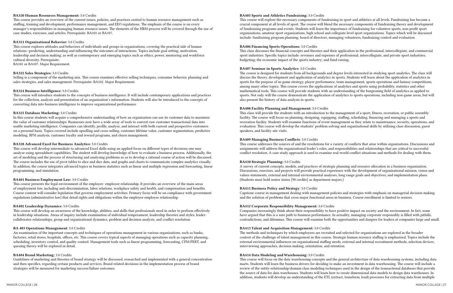#### BA320 Human Resources Management: 3.0 Credits

This course provides an overview of the current issues, policies, and practices central to human resource management such as staffing, training and development, performance management, and EEO regulations. The emphasis of the course is on every manager's responsibilities in managing human resource issues. The elements of the HRM process will be covered through the use of case studies, exercises, and articles. Prerequisite: BA101 or BA107.

#### BA321 Organizational Behavior: 3.0 Credits

This course explores attitudes and behaviors of individuals and groups in organizations, covering the practical side of human relations--predicting, understanding and influencing the outcomes of interactions. Topics include goal setting, motivation, leadership and decision making, as well as contemporary and emerging topics such as ethics, power, mentoring and workforce cultural diversity. Prerequisite:

BA101 or BA107. Major Requirement.

#### BA322 Sales Strategies: 3.0 Credits

Selling is a component of the marketing mix. This course examines effective selling techniques, consumer behavior, planning and sales strategies, and sales management. Prerequisite: BA102. Major Requirement.

#### BA324 Business Intelligence: 3.0 Credits

This course will introduce students to the concepts of business intelligence. It will include contemporary applications and practices for the collection, analysis and presentation of an organization's information. Students will also be introduced to the concepts of converting data into business intelligence to improve organizational performance

#### BA325 Database Marketing: 3.0 Credits

In this course students will acquire a comprehensive understanding of how an organization can use its customer data to maximize the value of customer relationships. Businesses now have a wide array of tools to convert raw customer transactional data into usable marketing intelligence. Companies can identify, profile, analyze, and interact with both current and prospective customers on a personal basis. Topics covered include upselling and cross-selling, customer lifetime value, customer segmentation, predictive modeling, RFM analysis, customer loyalty and reward programs, and churn management.

#### BA328 Advanced Excel for Business Analytics: 3.0 Credits

This course will develop intermediate to advanced Excel skills using an applied focus on different types of decisions one may analyze using spreadsheet capabilities. The student will develop knowledge of how to evaluate a business process. Additionally, the art of modeling and the process of structuring and analyzing problems so as to develop a rational course of action will be discussed. The course includes the use of pivot tables to slice and dice data, and graphs and charts to communicate complex analytics visually. In addition, the course integrates advanced topics in business statistics such as linear and multiple regression and forecasting, linear programming, and simulation.

#### BA401 Business Employment Law: 3.0 Credits

This course presents the legal environment of the employer- employee relationship. It provides an overview of the main areas of employment law, including anti-discrimination, labor relations, workplace safety and health, and compensation and benefits. Course content will consider legislation that governs employment activities. Primary focus will be on compliance with government regulations (administrative law) that detail rights and obligations within the employer-employee relationship.

#### BA402 Leadership Dynamics: 3.0 Credits

This course will develop an awareness of the knowledge, abilities, and skills that professionals need in order to perform effectively in leadership situations. Areas of inquiry include examination of individual temperament, leadership theories and styles, leadercollaborator relationships, group and organizational dynamics, problem and decision analysis, and conflict resolution.

#### BA 403 Operations Management: 3.0 Credits

An examination of the important concepts and techniques of operations management in various organizations, such as banks, factories, retail stores, hospitals, offices, etc. This course covers typical aspects of managing operations such as capacity planning, scheduling, inventory control, and quality control. Management tools such as linear programming, forecasting, CPM/PERT, and queuing theory will be explored in detail.

#### BA404 Brand Marketing: 3.0 Credits

Guidelines of marketing and theories of brand strategy will be discussed, researched and implemented with a general concentration and then specifics, regarding certain products and services. Brand related decisions in the implementation process of brand strategies will be measured for marketing success/failure outcomes.

#### BA405 Sports and Athletics Fundraising: 3.0 Credits

This course will explore the necessary components of fundraising in sport and athletics at all levels. Fundraising has become a crucial component at all levels of sport. The course will blend the necessary components of fundraising theory and development of fundraising programs and events. Students will learn the importance of fundraising for volunteer sports, non-profit sport organizations, amateur sport organizations, high school and collegiate level sport organizations. Topics which will be discussed include: fundraising program planning, board of directors, managing volunteers, fundraising control and evaluation.

#### BA406 Financing Sports Operations: 3.0 Credits

This class discusses the financial concepts and theories and their application in the professional, intercollegiate, and commercial sport industries. Specific topics include: revenues and expenses of professional, intercollegiate, and private sport industries; budgeting; the economic impact of the sports industry; and fund-raising.

#### BA407 Seminar in Sports Analytics: 3.0 Credits

The course is designed for students from all backgrounds and degree levels interested in studying sport analytics. The class will discuss the theory, development and application of analytics in sports. Students will learn about the application of analytics in sports for the purpose of in-game strategy, player performance, team management, sports operations and fantasy competitions, among many other topics. This course covers the applications of analytics and sports using probability, statistics and other mathematical tools. This course will provide students with an understanding of the burgeoning field of analytics as applied to sports. Not only will the course demonstrate the application of analytics to sports operations, including non-game areas, but will also present the history of data analysis in sports.

#### BA408 Facility Planning and Management: 3.0 Credits

This class will provide the students with an introduction to the management of a sport, fitness, recreation, or public assembly facility. The course will focus on planning, designing, equipping, staffing, scheduling, financing and managing a sports and recreation facility. Students will examine functions of event management as they relate to maintenance, security, operations, and evaluation. This course will develop the students' problem solving and organizational skills by utilizing class discussion, guest speakers, and facility site visits.

#### BA409 Managing Business Conflicts: 3.0 Credits

This course addresses the sources of and the resolutions for a variety of conflicts that arise within organizations. Discussions and assignments will address the organizational leader's roles, and responsibilities and relationships that are critical to successful conflict resolution. A case study approach is used to examine real-world conflict situations and methods for dealing with them.

#### BA410 Strategic Planning: 3.0 Credits

A survey of current concepts, models, and practices of strategic planning and resource allocation in a business organization. Discussions, exercises, and projects will provide practical experience with the development of organizational mission, vision and values statements, external and internal environmental analyses, long range goals and objectives, and implementation plans. (Students must hold senior status [90 credits] as department majors.)

#### BA411 Business Policy and Strategy: 3.0 Credits

Capstone course in management dealing with management policies and strategies with emphasis on managerial decision making and the solution of problems that cross major functional areas in business. Course enrollment is limited to seniors.

# BA412 Corporate Responsibility Management: 3.0 Credits

Companies increasingly think about their responsibility to have positive impact on society and the environment. In fact, some have argued that this is a sure path to business performance. In actuality, managing corporate responsibly is filled with pitfalls, contradictions, and dilemmas. This course will examine both the opportunities and dangers for leaders at companies large and small.

#### BA413 Talent and Acquisition Management: 3.0 Credits

The methods and techniques by which employees are recruited and selected for organizations are explored in the broader context of the challenge of talent management in this course. Strategic human resource staffing is emphasized. Topics include the external environmental influences on organizational staffing needs, external and internal recruitment methods, selection devices, interviewing approaches, decision making, orientation, and retention.

#### BA414 Data Modeling and Warehousing: 3.0 Credits

This course will focus on the data warehousing concepts and the general architecture of data warehousing systems, including data marts. Students will learn the business drivers for deciding to make an investment in data warehousing. The course will include a review of the entity-relationship/domain class modeling techniques used in the design of the transactional databases that provide the source of data for data warehouses. Students will learn how to create dimensional data models to design data warehouses. In addition, students will develop an understanding of the ETL (extract, transform, load) processes for extracting data from multiple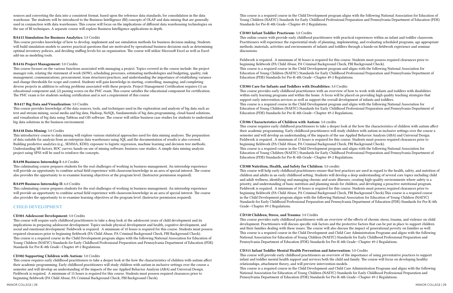sources and converting the data into a consistent format, based upon the reference data standards, for consolidation in the data warehouse. The students will be introduced to the Business Intelligence (BI) concepts of OLAP and data mining that are generally used in conjunction with data warehouses. This course will focus on the implications of different data warehousing technologies on the use of BI techniques. A separate course will explore Business Intelligence applications in depth.

#### BA415 Simulation for Business Analytics: 3.0 Credits

This course provides knowledge of how to develop, implement and use simulation methods for business decision making. Students will build simulation models to answer practical questions that are motivated by operational business decisions such as determining optimal inventory policies, and deciding staffing levels for an organization. The course will utilize Microsoft Excel as well as Excel add-ins as modeling tools.

### BA416 Project Management: 3.0 Credits

This course focuses on the various functions associated with managing a project. Topics covered in the course include: the project manager role, relating the statement of work (SOW), scheduling processes, estimating methodologies and budgeting, quality, risk management, communications, procurement, team structures/practices, and understanding the importance of establishing variance and change thresholds for scope and control. Students will gain knowledge in starting, controlling, managing, and completing diverse projects in addition to solving problems associated with these projects. Project Management Certification requires (1) an educational component and, (2) passing scores on the PMC exam. This course satisfies the educational component for certification. The PMC exam is for students seeking certification and is not a requirement of this course

# BA417 Big Data and Visualization: 3.0 Credits

This course provides knowledge of the data sources, tools, and techniques used in the exploration and analysis of big data such as: text and stream mining, social media and big data, Hadoop, NoSQL, fundamentals of big data programming, cloud-based solutions, and visualization of big data using Tableau and GIS software. The course will utilize business case studies for students to understand big data solutions in the business environment.

# BA418 Data Mining: 3.0 Credits

This introductory course to data mining will explore various statistical approaches used for data mining analyses. The preparation of data suitable for analysis from an enterprise data warehouses using SQL and the documentation of results is also covered. Building predictive analytics (e.g., SEMMA, KDD); exposure to logistic regression, machine learning and decision tree methods; Understanding lift factors, ROC curves; hands-on use of mining software; business case studies. A simple data mining analysis project using SPSS will be used to reinforce the concepts.

# BA498 Business Internship I: 6.0 Credits

This culminating course prepares students for the real challenges of working in business management. An internship experience will provide an opportunity to combine actual field experience with classroom knowledge in an area of special interest. The course also provides the opportunity to re-examine learning objectives at the program level. (Instructor permission required).

# BA499 Business Internship II: 6.0 Credits

This culminating course prepares students for the real challenges of working in business management. An internship experience will provide an opportunity to combine actual field experience with classroom knowledge in an area of special interest. The course also provides the opportunity to re-examine learning objectives at the program level. (Instructor permission required).

# CHILD DEVELOPMENT

# CD301 Adolescent Development: 3.0 Credits

This course will require early childhood practitioners to take a deep look at the adolescent years of child development and its implications in preparing adolescent development. Topics include physical development and health, cognitive development, and social and emotional development. Fieldwork is required. A minimum of 10 hours is required for this course. Students must possess required clearances prior to beginning fieldwork (PA Child Abuse, PA Criminal Background Check, FBI Background Check). This course is a required course in the Child Development program aligns with the following National Association for Education of Young Children (NAEYC) Standards for Early Childhood Professional Preparation and Pennsylvania Department of Education (PDE) Standards for Pre-K-4th Grade—Chapter 49-2 Regulations.

# CD302 Supporting Children with Autism: 3.0 Credits

This course requires early childhood practitioners to take a deeper look at the how the characteristics of children with autism affect their academic programming. Early childhood practitioners will study children with autism in inclusive settings over the course a semester and will develop an understanding of the impacts of the use Applied Behavior Analysis (ABA) and Universal Design. Fieldwork is required. A minimum of 15 hours is required for this course. Students must possess required clearances prior to beginning fieldwork (PA Child Abuse, PA Criminal Background Check, FBI Background Check).

This course is a required course in the Child Development program aligns with the following National Association for Education of Young Children (NAEYC) Standards for Early Childhood Professional Preparation and Pennsylvania Department of Education (PDE) Standards for Pre-K-4th Grade—Chapter 49-2 Regulations.

# CD303 Infant Toddler Practicum: 3.0 Credits

This online course with provide early childhood practitioners with practical experiences within an infant and toddler classroom. Practitioners will experience the experiential study of planning, implementing, and evaluating scheduled programs, age appropriate methods, materials, activities and environments of infants and toddlers through a hands-on fieldwork experience and seminar discussions.

Fieldwork is required. A minimum of 30 hours is required for this course. Students must possess required clearances prior to beginning fieldwork (PA Child Abuse, PA Criminal Background Check, FBI Background Check). This course is a required course in the Child Development program and aligns with the following National Association for Education of Young Children (NAEYC) Standards for Early Childhood Professional Preparation and Pennsylvania Department of Education (PDE) Standards for Pre-K-4th Grade—Chapter 49-2 Regulations.

# CD304 Care for Infants and Toddlers with Disabilities: 3.0 Credits

This course provides early childhood practitioners with an overview of how to work with infants and toddlers with disabilities within early learning programs and within the home. A focus will be placed on providing high quality teaching strategies that support early intervention services as well as support the overall development of infants and toddlers. This course is a required course in the Child Development program and aligns with the following National Association for Education of Young Children (NAEYC) Standards for Early Childhood Professional Preparation and Pennsylvania Department of Education (PDE) Standards for Pre-K-4th Grade—Chapter 49-2 Regulations.

This course requires early childhood practitioners to take a deeper look at the how the characteristics of children with autism affect their academic programming. Early childhood practitioners will study children with autism in inclusive settings over the course a semester and will develop an understanding of the impacts of the use Applied Behavior Analysis (ABA) and Universal Design. Fieldwork is required. A minimum of 15 hours is required for this course. Students must possess required clearances prior to

# CD306 Characteristics of Children with Autism: 3.0 credits beginning fieldwork (PA Child Abuse, PA Criminal Background Check, FBI Background Check). This course is a required course in the Child Development program and aligns with the following National Association for Education (PDE) Standards for Pre-K-4th Grade—Chapter 49-2 Regulations.

Education of Young Children (NAEYC) Standards for Early Childhood Professional Preparation and Pennsylvania Department of

CD308 Nutrition, Health, and Safety for Children: 3.0 credits This course will help early childhood practitioners ensure that best practices are used in regard to the health, safety, and nutrition of children and adults in an early childhood setting. Students will develop a deep understanding of several core topics including child and adult wellness, identifying and managing chronic and acute illnesses, creating high-quality environments where safety is a priority, and understanding of basic nutrition and planning meals for children, and developing a proactive nutritional program. Fieldwork is required. A minimum of 10 hours is required for this course. Students must possess required clearances prior to beginning fieldwork (PA Child Abuse, PA Criminal Background Check, FBI Background Check).This course is a required course in the Child Development program aligns with the following National Association for Education of Young Children (NAEYC) Standards for Early Childhood Professional Preparation and Pennsylvania Department of Education (PDE) Standards for Pre-K-4th Grade—Chapter 49-2 Regulations.

# CD310 Children, Stress, and Trauma: 3.0 Credits

This course provides early childhood practitioners with an overview of the effects of chronic stress, trauma, and violence on child development. Practitioners will discuss specific risk factors and the protective factors that can be put in place to support children and their families dealing with these issues. The course will also discuss the impact of generational poverty on families as well. This course is a required course in the Child Development and Child Care Administration Programs and aligns with the following National Association for Education of Young Children (NAEYC) Standards for Early Childhood Professional Preparation and Pennsylvania Department of Education (PDE) Standards for Pre-K-4th Grade—Chapter 49-2 Regulations.

# CD311 Infant Toddler Mental Health Prevention and Intervention: 3.0 Credits

This course will provide early childhood practitioners an overview of the importance of using preventative practices to support infant and toddler mental health support and services both the child and family. The course will focus on developing healthy relationships, attachment theory, and will preview intervention models. This course is a required course in the Child Development and Child Care Administration Programs and aligns with the following National Association for Education of Young Children (NAEYC) Standards for Early Childhood Professional Preparation and Pennsylvania Department of Education (PDE) Standards for Pre-K-4th Grade—Chapter 49-2 Regulations.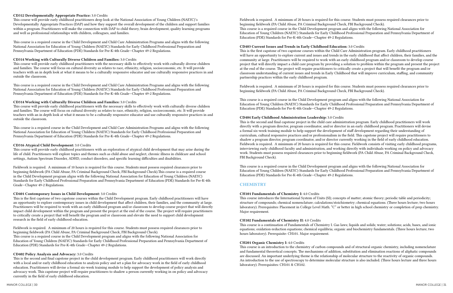#### CD312 Developmentally Appropriate Practice: 3.0 Credits

This course will provide early childhood practitioners deep look at the National Association of Young Children (NAEYC)'s Developmentally Appropriate Practices (DAP) and how they support the overall development of the children and support families within a program. Practitioners will make the connection with DAP to child theory, brain development, quality learning programs and well as professional relationships with children, colleagues, and families.

This course is a required course in the Child Development and Child Care Administration Programs and aligns with the following National Association for Education of Young Children (NAEYC) Standards for Early Childhood Professional Preparation and Pennsylvania Department of Education (PDE) Standards for Pre-K-4th Grade—Chapter 49-2 Regulations.

# CD314 Working with Culturally Diverse Children and Families: 3.0 Credits

This course will provide early childhood practitioners with the necessary skills to effectively work with culturally diverse children and families. The course will focus on cultural diversity as relates to race, ethnicity, religion, socioeconomic, etc. It will provide teachers with an in depth look at what it means to be a culturally responsive educator and use culturally responsive practices in and outside the classroom.

This course is a required course in the Child Development and Child Care Administration Programs and aligns with the following National Association for Education of Young Children (NAEYC) Standards for Early Childhood Professional Preparation and Pennsylvania Department of Education (PDE) Standards for Pre-K-4th Grade—Chapter 49-2 Regulations.

# CD314 Working with Culturally Diverse Children and Families: 3.0 Credits

This course will provide early childhood practitioners with the necessary skills to effectively work with culturally diverse children and families. The course will focus on cultural diversity as relates to race, ethnicity, religion, socioeconomic, etc. It will provide teachers with an in depth look at what it means to be a culturally responsive educator and use culturally responsive practices in and outside the classroom.

This course is a required course in the Child Development and Child Care Administration Programs and aligns with the following National Association for Education of Young Children (NAEYC) Standards for Early Childhood Professional Preparation and Pennsylvania Department of Education (PDE) Standards for Pre-K-4th Grade—Chapter 49-2 Regulations.

# CD316 Atypical Child Development: 3.0 Credits

This course will provide early childhood practitioners with an exploration of atypical child development that may arise during the life of child. Practitioners will explore topics and themes such as child abuse and neglect, chronic illness in childcare and school settings, Autism Spectrum Disorder, ADHD, conduct disorders, and specific learning difficulties and disabilities.

Fieldwork is required. A minimum of 10 hours is required for this course. Students must possess required clearances prior to beginning fieldwork (PA Child Abuse, PA Criminal Background Check, FBI Background Check).This course is a required course in the Child Development program aligns with the following National Association for Education of Young Children (NAEYC) Standards for Early Childhood Professional Preparation and Pennsylvania Department of Education (PDE) Standards for Pre-K-4th Grade—Chapter 49-2 Regulations.

# CD401 Contemporary Issues in Child Development: 3.0 Credits

This is the first capstone of two capstone courses within the Child Development program. Early childhood practitioners will have an opportunity to explore contemporary issues in child development that affect children, their families, and the community at large. Practitioners will be required to work with an early childhood program and/or classroom to develop course project that will directly impact child development within the program and present the project at the end of the course. The project will require practitioners to critically create a project that will benefit the program and/or classroom and elevate the need to support child development research in the field of early childhood education.

Fieldwork is required. A minimum of 20 hours is required for this course. Students must possess required clearances prior to beginning fieldwork (PA Child Abuse, PA Criminal Background Check, FBI Background Check). This course is a required course in the Child Development program and aligns with the following National Association for Education of Young Children (NAEYC) Standards for Early Childhood Professional Preparation and Pennsylvania Department of Education (PDE) Standards for Pre-K-4th Grade—Chapter 49-2 Regulations.

# CD402 Policy Analysis and Advocacy: 3.0 Credits

This is the second and final capstone project in the child development program. Early childhood practitioners will work directly with a local and/or early childhood education to analysis policy and set a plan for advocacy work in the field of early childhood education. Practitioners will devise a formal six-week training module to help support the development of policy analysis and advocacy work. This capstone project will require practitioners to shadow a person currently working in on policy and advocacy currently in the field of early childhood education.

Fieldwork is required. A minimum of 20 hours is required for this course. Students must possess required clearances prior to beginning fieldwork (PA Child Abuse, PA Criminal Background Check, FBI Background Check). This course is a required course in the Child Development program and aligns with the following National Association for Education of Young Children (NAEYC) Standards for Early Childhood Professional Preparation and Pennsylvania Department of Education (PDE) Standards for Pre-K-4th Grade—Chapter 49-2 Regulations.

# CD403 Current Issues and Trends in Early Childhood Education: 3.0 Credits

This is the first capstone of two capstone courses within the Child Care Administration program. Early childhood practitioners will have an opportunity to explore current and issues and trends in the early childhood that affect children, their families, and the community at large. Practitioners will be required to work with an early childhood program and/or classroom to develop course project that will directly impact a child care program by providing a solution to problem within the program and present the project at the end of the course. The project will require practitioners to critically create a project that will benefit the program and/or classroom understanding of current issues and trends in Early Childhood that will improve curriculum, staffing, and community partnership practices within the early childhood program.

Fieldwork is required. A minimum of 20 hours is required for this course. Students must possess required clearances prior to beginning fieldwork (PA Child Abuse, PA Criminal Background Check, FBI Background Check).

This course is a required course in the Child Development program and aligns with the following National Association for Education of Young Children (NAEYC) Standards for Early Childhood Professional Preparation and Pennsylvania Department of Education (PDE) Standards for Pre-K-4th Grade—Chapter 49-2 Regulations.

CD404 Early Childhood Administration Leadership: 3.0 Credits This is the second and final capstone project in the child care administration program. Early childhood practitioners will work directly with a program director, program coordinator, and/or director in an early childhood program. Practitioners will devise a formal six-week training module to help support the development of staff development regarding their understanding of curriculum, cultural responsive practices and/or professionalism in the field. This capstone project will require practitioners to shadow a program director, program coordinator, and/or director currently working in the field of early childhood education. Fieldwork is required. A minimum of 20 hours is required for this course. Fieldwork consists of visiting early childhood programs, interviewing early childhood faculty and administration, and working directly with individuals working on policy and advocacy work. Students must possess required clearances prior to beginning fieldwork (PA Child Abuse, PA Criminal Background Check, FBI Background Check).

This course is a required course in the Child Development program and aligns with the following National Association for Education of Young Children (NAEYC) Standards for Early Childhood Professional Preparation and Pennsylvania Department of Education (PDE) Standards for Pre-K-4th Grade—Chapter 49-2 Regulations.

# **CHEMISTRY**

# CH101 Fundamentals of Chemistry I: 4.0 Credits

This course introduces the International System of Units (SI); concepts of matter; atomic theory; periodic table and periodicity; structure of compounds; chemical nomenclature; calculations/stoichiometry; chemical equations. (Three hours lecture; two hours laboratory). Prerequisites: Placement in College Level Math. "C" or better in high school chemistry or completion of prep chemistry. Major requirement.

# CH102 Fundamentals of Chemistry II: 4.0 Credits

This course is a continuation of Fundamentals of Chemistry I. Gas laws; liquids and solids; water; solutions; acids, bases, and ionic equations; oxidation-reduction equations; chemical equilibria; organic and biochemistry fundamentals. (Three hours lecture; two hours laboratory). Prerequisite: CH101. Major requirement.

# CH201 Organic Chemistry I: 4.0 Credits

This course is an introduction to the chemistry of carbon compounds and of structural organic chemistry, including nomenclature and fundamental theoretical concepts. The mechanisms of addition, substitution and elimination reactions of aliphatic compounds are discussed. An important underlying theme is the relationship of molecular structure to the reactivity of organic compounds. An introduction to the use of spectroscopy to determine molecular structure is also included. (Three hours lecture and three hours laboratory). Prerequisites: CH101 & CH102.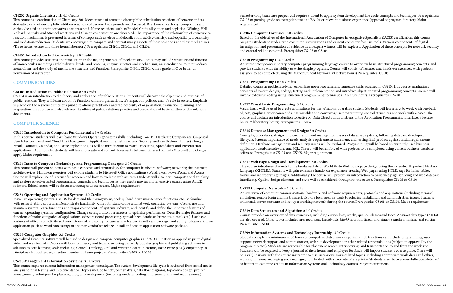#### CH202 Organic Chemistry II: 4.0 Credits

This course is a continuation of Chemistry 201. Mechanisms of aromatic electrophilic substitution reactions of benzene and its derivatives and of nucleophilic addition reactions of carbonyl compounds are discussed. Reactions of carbonyl compounds and carboxylic acid and their derivatives are presented. Name reactions such as Friedel-Crafts alkylation and acylation, Witting, Hell-Volhard-Zelinski, and Michael reactions and Claisen condensation are discussed. The importance of the relationship of structure to reaction mechanism is presented in terms of concepts such as electron delocalization, acidity-basicity, nucleophilicity, aromaticity and oxidation-reduction. Students are encouraged to compare and contrast many aspects of these reactions and their mechanisms. (Three hours lecture and three hours laboratory) Prerequisites: CH101, CH102, and CH201.

#### CH401 Introduction to Biochemistry: 3.0 Credits

This course provides students an introduction to the major principles of biochemistry. Topics may include structure and function of biomolecules including carbohydrates, lipids, and proteins, enzyme kinetics and mechanisms, an introduction to intermediary metabolism, and the study of membrane structure and function. Prerequisite: BI301, CH201 with a grade of C or better or permission of instructor.

# COMMUNICATIONS

#### CM104 Introduction to Public Relations: 3.0 Credit

CM104 is an introduction to the theory and application of public relations. Students will discover the objective and purpose of public relations. They will learn about it's function within organizations, it's impact on politics, and it's role in society. Emphasis is placed on the responsibilities of a public relations practitioner and the necessity of organization, evaluation, planning, and preparation. This course will also address the ethics of public relations practice and preparation of basic written public relations documents.

### COMPUTER SCIENCE

#### CS105 Introduction to Computer Fundamentals: 3.0 Credits

In this course, students will learn basic Windows Operating Systems skills (including Core PC Hardware Components, Graphical User Interface, Local and Cloud File Management, Applications, Internet Browsers, Security, and key System Utilities), Google Email, Contacts, Calendar, and Drive applications, as well as introduction to Word Processing, Spreadsheet and Presentation applications. Additionally, students will learn to create and convert documents between different format (Microsoft and Google apps). Major requirement.

#### CS106 Intro to Computer Technology and Programming Concepts: 3.0 Credits

This course will present students with basic concepts and terminology for computer hardware; software; networks; the Internet; mobile devices. Hands-on exercises will expose students to Microsoft Office applications (Word, Excel, PowerPoint, and Access). Course will explore use of Internet for research and how to evaluate web sources. Students will also learn computational thinking and explore object-oriented programming concepts and techniques as they create movies and interactive games using ALICE software. Ethical issues will be discussed throughout the course. Major requirement.

#### CS181 Operating and Application Systems: 3.0 Credits

Install an operating system. Use OS for data and file management, backup, hard-drive maintenance functions, etc. Be familiar with general utility programs. Demonstrate familiarity with both stand-alone and network operating systems. Create, use and maintain system Learn functions and major components of systems software, and identify and define the important features of current operating systems. configuration. Change configuration parameters to optimize performance. Describe major features and functions of major categories of applications software (word processing, spreadsheet, database, browsers, e-mail, etc.). Use basic features of office productivity software. Demonstrate ability to learn a new feature in software package, and ability to learn a known application (such as word processing) in another vendor's package. Install and test an application software package.

An overview of computer communications, hardware and software requirements, protocols and applications (including terminal emulation, remote login and file transfer). Explore local area network topologies, installation and administration issues. Students will install server software and set up a working network during the course. Prerequisite: CS105 or CS106. Major requirement.

### CS203 Computer Graphics: 3.0 Credits

Specialized Graphics software will be used to design and compose computer graphics and 3-D animation as applied in print, digital video and web formats. Course will focus on theory and technique, using currently popular graphic and publishing software in addition to core learning goals including: Critical Thinking, Oral and Written Communications, Basic Principles (Competency in Discipline), Ethical Issues, Effective member of Team projects. Prerequisite: CS105 or CS106.

#### CS205 Management Information Systems: 3.0 Credits

This course explores current information management techniques. The system development life cycle is reviewed from initial needs analysis to final testing and implementation. Topics include benefit/cost analysis, data flow diagrams, top-down design, project management, techniques for planning program development (including modular coding, implementation, and maintenance.)

Semester-long team case project will require student to apply system development life cycle concepts and techniques. Prerequisites: CS105 or passing grade on exemption test and BA101 or relevant business experience (approval of program director). Major requirement.

#### CS206 Computer Forensics: 3.0 Credits

Based on the objectives of the International Association of Computer Investigative Specialists (IACIS) certification, this course prepares students to understand computer investigations and current computer forensic tools. Various components of digital investigation and presentation of evidence as an expert witness will be explored. Application of these concepts for network security and control will be explored. Prerequisite: CS105 or CS106.

### CS210 Programming I: 3.0 Credits

An introductory contemporary computer programming language course to overview basic structured programming concepts, and provide students with the ability to write simple programs. Course will consist of lectures and hands-on exercises, with projects assigned to be completed using the Manor Student Network. (3 lecture hours) Prerequisites: CS106.

#### CS211 Programming II: 3.0 Credits

Detailed course in problem solving, expanding upon programming language skills acquired in CS210. This course emphasizes concepts of system design, coding, testing and implementation and introduce object oriented programming concepts. Course will involve extensive coding using structured programming techniques. (3 lecture hours) Prerequisites: CS210.

#### CS212 Visual Basic Programming: 3.0 Credits

Visual Basic will be used to create applications for the Windows operating system. Students will learn how to work with pre-built objects, graphics, enter commands, use variables and constants, use programming control structures and work with classes. The course will include an introduction to Active X Data Objects and functions of the Application Programming Interface.(3 lecture hours, 2 laboratory hours) Prerequisites: CS106.

#### CS215 Database Management and Design: 3.0 Credits

Concepts, procedures, design, implementation and management issues of database systems, following database development life cycle. Stresses importance of needs analysis, requirements statement, and testing final product against initial requirements definition. Database management and security issues will be explored. Programming will be based on currently used business application database software, and SQL. Theory will be reinforced with projects to be completed using current business database software. Prerequisites: CS105 and CS205. Major requirement.

#### CS217 Web Page Design and Development: 3.0 Credits

This course introduces students to the fundamentals of World Wide Web home page design using the Extended Hypertext Markup Language (XHTML). Students will gain extensive hands- on experience creating Web pages using HTML tags for links, tables, forms, and incorporating images. Additionally, the course will present an introduction to basic web page scripting and web database interfacing. Quality design elements and style will be considered throughout the course. Prerequisite: CS105 or CS106

#### CS218 Computer Networks: 3.0 Credits

#### CS219 Data Structures and Algorithms: 3.0 Credits

Course provides an overview of data structures, including arrays, lists, stacks, queues, classes and trees. Abstract data types (ADTs) are also covered. Other topics included are: recursion, linked-lists, big-O notation, linear and binary searches, hashing and sorting. Prerequisite: CS210.

#### CS299 Information Systems and Technology Internship: 3.0 Credits

Students complete a minimum of 80 hours of computer-related work experience. Job functions can include programming, user support, network support and administration, web site development or other related responsibilities (subject to approval by the program director). Students are responsible for placement search, interviewing, and transportation to and from the work site. Students will be required to keep a journal of their hours, and employer feedback will impact student's course grade. There will be six (6) sessions with the course instructor to discuss various work-related topics, including appropriate work dress and ethics, working in teams, managing your manager, how to deal with stress, etc. Prerequisite: Students must have successfully completed (C or better) at least nine credits in Information Systems and Technology courses. Major requirement.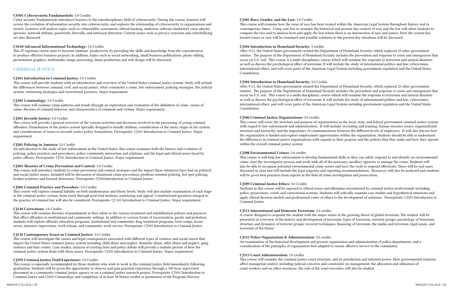#### CS301 Cybersecurity Fundamentals: 3.0 Credits

Cyber security Fundamentals introduces learners to the interdisciplinary field of cybersecurity. During the course, learners will review the evolution of information security into cybersecurity, and explores the relationship of cybersecurity to organizations and society. Learners will analyze topics such as vulnerability assessment, ethical hacking, malicious software (malware), virus attacks, spyware, network defense, passwords, firewalls, and intrusion detection. Current issues such as privacy concerns and cyberbullying are also discussed.

# CS410 Advanced Informational Technology: 3.0 Credits

This IT capstone course aims to increase students' productivity by providing the skills and knowledge from the concentration to produce effective business projects. In addition, topics such as social networking, small business publications, photo editing, presentation graphics, multimedia, image processing, demo production and web design will be discussed.

# CRIMINAL JUSTICE

# CJ101 Introduction to Criminal Justice: 3.0 Credits

This course will provide students with an introduction and overview of the United States criminal justice system. Study will include the differences between criminal, civil, and social justice, what constitutes a crime, law enforcement, policing strategies, the judicial system, sentencing strategies and correctional practices. Major requirement.

# CJ102 Criminology: 3.0 Credits

This course will examine crime patterns and trends through an exploration and evaluation of the definition of crime, causes of crime, theories of criminal behavior, and characteristics of criminals and victims. Major requirement.

# CJ201 Juvenile Justice: 3.0 Credits

This course will provide a general overview of the various activities and decisions involved in the processing of young criminal offenders. Examination of the justice system specially designed to handle children, consideration of the many stages in the system, and considerations of issues in juvenile justice policy formulation. Prerequisite: CJ101 Introduction to Criminal Justice. Major requirement.

# CJ202 Policing in America: 3.0 Credits

An introduction to the study of law enforcement in the United States, this course examines both the history and evolution of policing, police practices and procedures, police-community interaction and relations, and the legal and ethical issues faced by police officers. Prerequisite: CJ101 Introduction to Criminal Justice. Major requirement.

# CJ203 Theories of Crime Prevention and Control: 3.0 Credits

This course will introduce students to crime prevention and control strategies and the impact these initiatives have had on political and social justice issues. Included will be discussion of situational crime prevention, problem-oriented policing, hot spot policing, broken windows and focused deterrence. Prerequisite: CJ101Introduction to Criminal Justice

# CJ204 Criminal Practice and Procedure: 3.0 Credits

This course will explore criminal liability on both misdemeanor and felony levels. Study will also include examination of each stage in the criminal justice system, from arrest through post-trial motions, sentencing and appeal. Constitutional questions integral to the practice of criminal law will also be considered. Prerequisite: CJ 101 Introduction to Criminal Justice. Major requirement.

# CJ210 Corrections: 3.0 Credits

This course will examine theories of punishment as they relate to the various treatment and rehabilitation policies and practices that affect offenders in institutional and community settings. In addition to various forms of incarceration, parole and probation, students will explore offender education programs, institutional and community drug treatment programs, boot camps, house arrest, intensive supervision, work release, and community work service. Prerequisite: CJ101 Introduction to Criminal Justice.

# CJ218 Contemporary Issues in Criminal Justice: 3.0 Credits

This course will investigate the causes and legal consequences associated with different types of violence and social unrest that impact the United States criminal justice system including child abuse and neglect, domestic abuse, elder abuse and neglect, gang violence and hate crimes. Case studies, analysis of existing laws and policy debate will provide a realistic picture of how the criminal justice system deals with these issues. Prerequisite: CJ101 Introduction to Criminal Justice. Major requirement.

# CJ299 Criminal Justice Field Experience: 3.0 Credits

This course is especially recommended for those students who wish to work in the criminal justice field immediately following graduation. Students will be given the opportunity to observe and gain practical experience through a 100 hour supervised placement in a community criminal justice agency or on a criminal justice research project. Prerequisite: CJ101 Introduction to Criminal Justice and CJ102 Criminology and completion of at least 30 Manor credits or permission of the Program Director.

# CJ302 Race, Gender, and the Law: 3.0 Credits

This course will examine how the issue of race has been treated within the American Legal System throughout history and in contemporary times. Using case law to examine the historical and present day context of race and the law will allow students to compare the two and to analyze facts and apply the law where there is an intersection of race and justice. How the system has treated issues or race will be examined and possible solutions to the present day situations will be discussed.

# CJ304 Introduction to Homeland Security: 3 credits

After 9/11, the United States government created the Department of Homeland Security, which replaced 22 other government entities. The purpose of the Department of Homeland Security includes the prevention and response to crisis and emergencies that occur on U.S. soil. This course is a multi-disciplinary course which will examine the response to terrorism and natural disasters as well as discuss the psychological effect of terrorism. It will include the study of international politics and law, cybercrimes, international ethics, and will cover parts of the American Legal System including government regulation and the United States Constitution.

# CJ304 Introduction to Homeland Security: 3.0 Credits

After 9/11, the United States government created the Department of Homeland Security, which replaced 22 other government entities. The purpose of the Department of Homeland Security includes the prevention and response to crisis and emergencies that occur on U.S. soil. This course is a multi-disciplinary course which will examine the response to terrorism and natural disasters as well as discuss the psychological effect of terrorism. It will include the study of international politics and law, cybercrimes, international ethics, and will cover parts of the American Legal System including government regulation and the United States Constitution.

# CJ306 Criminal Justice Organizations: 3.0 credits

This course will cover the structure and purpose of organizations in the local, state, and federal government criminal justice system with regard to law enforcement and administration. It will include: recruiting and training, human resource issues, organizational structure and hierarchy, and the importance of communications between the different levels of employees. It will also discuss how the organization is funded and explore employment opportunities within the organization. Students should be able to understand the differences in criminal justice organizations with regards to their purpose and the policies that they make and how they operate within the overall criminal justice system.

# CJ308 Environmental Crimes: 3.0 credits

This course is will help law enforcement to develop fundamental skills so they can safely respond to and identify an environmental crime, start the investigative process and work with all of the necessary ancillary agencies to manage the crime. Students will also be able to recognize potential environmental crime scenes and have the tools to respond effectively. There will be real cases discussed in class and will include the legal response and reporting recommendations. Resources will also be analyzed and students will be given best practices from experts in the field of crime investigation and prosecution.

# CJ309 Criminal Justice Ethics: 3.0 Credits

Students in this course will be exposed to ethical issues and dilemmas encountered by criminal justice professionals including, police, prosecutors, courts and correctional systems. Students will critically examine case studies and hypothetical situations and apply ethical decision models and professional codes of ethics to the development of solutions. Prerequisite: CJ101 Introduction to Criminal Justice.

CJ311 International and Domestic Terrorism: 3.0 credits A course designed to acquaint the student with the major issues in the growing threat of global terrorism. The student will be presented an overview of the history and development of terrorism, types of terrorism, terrorist groups, psychology of terrorism, structure and dynamics of terrorist groups, terrorist techniques, financing of terrorism, the media and terrorism, legal issues, and terrorism of the future.

CJ312 Police Organization & Administration: 3.0 credits An examination of the historical development and present organization and administration of police departments, and a consideration of the principles of organization best adapted to ensure effective service to the community.

# CJ313 Court Administration: 3.0 credits

This course will examine the criminal justice court structure, and its jurisdiction and inherent power. How governmental relations affect managerial control, including judicial concerns and constraints on management, the allocation and utilization of court workers and on other resources- the role of the court executive will also be studied.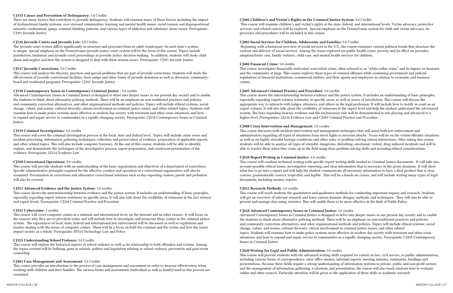#### CJ315 Causes and Prevention of Delinquency: 3.0 Credits

There are many factors that contribute to juvenile delinquency. Students will examine many of these factors including the impact of dysfunctional family systems, over-stressed communities, learning and mental health issues, racial tension and disproportional minority confinement, gangs, criminal thinking patterns, and various types of addiction and substance abuse issues. Prerequisite: CJ201 Juvenile Justice.

#### CJ316 Juvenile Courts and Juvenile Law: 3.0 Credits

The juvenile court system differs significantly in structure and processes from its adult counterpart. As each state's system is unique, special emphasis on the Pennsylvania juvenile justice court system will be the focus of this course. Topics include jurisdiction, treatment and juvenile court proceedings in juvenile justice decision-making. In addition, students will study child abuse and neglect and how the system is designed to deal with these serious issues. Prerequisite: CJ201 Juvenile Justice.

#### CJ317 Juvenile Corrections: 3.0 Credits

This course will analyze the theories, practices and special problems that are part of juvenile corrections. Students will study the effectiveness of juvenile correctional facilities, boot camps and other forms of juvenile detention as well as diversion, communitybased and residential programs. Prerequisite: CJ201 Juvenile Justice.

#### CJ318 Comtemporary Issues in Contemporary Criminal Justice : 3.0 credits

Advanced Contemporary Issues in Criminal Justice is designed to delve into deeper issues in our present day society and to enable the students to think about alternative policing methods. There will be an emphasis on non-traditional practices and policies, and community correction alternatives, and other organizational methods and policies. Topics will include ethical systems; social change, values, and norms; cultural diversity; citizen involvement in criminal justice issues; and other related topics. Students will examine how to make police systems more effective in modern day society with terrorism and other crisis situations, and how to expand and repair service to communities in a rapidly changing society. Prerequisite: CJ218 Contemporary Issues in Criminal Justice.

#### CJ319 Criminal Investigations: 3.0 credits

This course will cover the criminal investigation process at the local, state and federal level. Topics will include crime scene and incident processing, information gathering techniques, collection and preservation of evidence, preparation of applicable reports, and other related topics. This will also include computer forensics. At the end of this course, students will be able to identify, explain, and demonstrate the techniques of the investigative process, report preparation, and courtroom presentation of the evidence. Prerequisite: LE216 Evidence Law

#### CJ320 Correctional Operations: 3.0 credits

This course investigates financially motivated, nonviolent crime, often referred to as "white-collar crime," and its impact on business and the community at large. This course explores these types of criminal offenses while examining government and judicial regulations of financial institutions, commercial entities, and their agents and employees in relation to economic and business crimes.

This course will provide students with an understanding of the basic organization and objectives of a department of corrections. Specific administrative principles required for the effective conduct and operation of a correctional organization will also be examined. Privatization in corrections and alternative correctional solutions such as day-reporting centers, parole and probation will also be covered.

#### CJ321 Advanced Evidence and the Justice System: 3.0 credits

This course shows the interrelationship between evidence and the justice system. It includes an understanding of basic principles, especially regarding expert witness testimony in specific areas. It will also talk about the credibility of witnesses at the fact witness and expert levels. Prerequisite: CJ204 Criminal Practice and Procedure

#### CJ322 Cybercrime: 3 credits

This course will cover computer crimes at a national and international level, on the Internet and in other venues. It will focus on the reasons why they are so prevalent today and will include how to investigate and prosecute these crimes in the criminal justice system. The experiences of local, state, federal and international law enforcement will be discussed as well as regulations and treaties dealing with the issues of computer crimes. There will be a focus on both the criminal and the victim and how the issues impact society as a whole. Prerequisite: PP314 Technology Law and Policy

#### CJ325 Understanding School Violence: 3.0 Credits

This course will explore the historical aspects of school violence as well as its relationship to both offenders and victims. Among the topics covered will be bullying, guns in schools, politics and legislation relating to school violence, prevention and post-event counseling.

#### CJ401 Case Management and Assessment: 3.0 Credits

This course provides an introduction to the process of case management and assessment in order to increase effectiveness when working with children and their families. The various forms and assessments (individual as well as family) used in this process are examined.

#### CJ402 Children's and Victim's Rights in the Criminal Justice System: 3.0 Credits This course will examine children's and victim's rights at the state, federal, and international levels. Victim advocacy, protective services, and related careers will be explored. Special emphasis on the Pennsylvania system for child and victim advocacy, its processes and procedures will be included in this course.

# CJ403 Social Services for Children, Adolescents and Families: 3.0 Credits

 Beginning with a historical overview of social services in the U.S., the course examines current political trends that structure the content and delivery of social services. Among the issues explored are public health crises, poverty and its effect on juveniles, adoption/foster care, family violence, child care, and mental health services for children.

# CJ404 Financial Crime: 3.0 credits

# CJ405 Advanced Criminal Practice and Procedure: 3.0 credits

This course shows the interrelationship between evidence and the justice system. It includes an understanding of basic principles, especially regarding expert witness testimony in specific areas, as well as issues of jurisdiction. This course will discuss the appropriate way to interacts with judges, attorneys, and others in the legal profession. It will include how to testify in court as an expert witness. It will also talk about the credibility of witnesses at the expert level and help the student understand the adversarial system. The laws regarding hearsay evidence and the exclusionary rule will be demonstrated in role playing and advanced to a higher level. Prerequisites: LE216 Evidence Law and CJ204 Criminal Practice and Procedure.

# CJ408 Crisis Intervention and Management: 3.0 credits

This course discusses both incident intervention and management techniques that will assist both law enforcement and administrators regarding all types of situations from street fights to terrorist attacks. Focus will be on the victim/offender situations as well as on highly stressful hostage conditions and other risky or problem-solving citizen interactions. After taking this course, students will be able to analyze all types of stressful, dangerous, disturbing, emotional, violent, drug-induced incidents and will be able to resolve them when they come up in the field using their problem solving skills and including ethical considerations.

# CJ410 Report Writing in Criminal Justice: 3.0 credits

This course will combine technical writing with specific report writing skills needed in Criminal Justice documents. It will take into account possible ethical issues, investigative reporting, and clear information that is necessary in the given situation. It will show what has to go into a report and will help the student communicate all necessary information to have a final product that is clear, concise, grammatically correct, respectful, and legible. This will be a hands-on course, and will include writing many types of legal documents, including memos, reports.

# CJ412 Research Methods: 3.0 credits

This course will teach students the quantitative and qualitative methods for conducting important inquiry and research. Students will get an overview of relevant research and learn various formats, designs, methods, and techniques. They will also be able to present and manage data using statistics. This will enable them to be more effective in the field of Public Policy.

# CJ418 Advanced Contemporary Issues in Criminal Justice: 3.0 credits

Advanced Contemporary Issues in Criminal Justice is designed to delve into deeper issues in our present day society and to enable the students to think about alternative policing methods. There will be an emphasis on non-traditional practices and policies, and community correction alternatives, and other organizational methods and policies. Topics will include ethical systems; social change, values, and norms; cultural diversity; citizen involvement in criminal justice issues; and other related topics. Students will examine how to make police systems more effective in modern day society with terrorism and other crisis situations, and how to expand and repair service to communities in a rapidly changing society. Prerequisite: CJ418 Contemporary Issues in Criminal Justice.

# CJ420 Writing for Legal and Public Administration: 3.0 credits

This course will provide students with the advanced writing skills required for careers in law, civil service, or public administration, including various forms of correspondence, inter-office memos, informal reports, meeting minutes, summaries, briefings and presentations. Because these fields require a strong understanding of information systems in private, public and non-profit sectors and the management of information gathering, evaluation, and presentation, the course will also teach students how to evaluate online and other sources. Particular attention will be given to the application of these skills in academic research.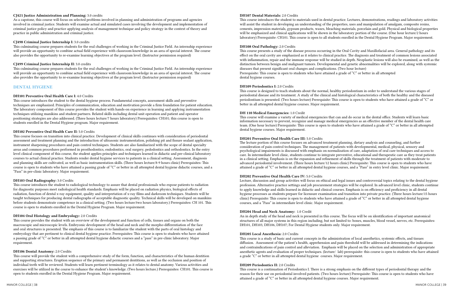#### CJ421 Justice Administration and Planning: 3.0 credits

As a capstone, this course will focus on selected problems involved in planning and administration of programs and agencies involved in criminal justice. Students will examine actual and simulated cases involving the development and implementation of criminal justice policy and practice applying analysis of management technique and policy strategy in the context of theory and practice in public administration and criminal justice.

#### CJ498 Criminal Justice Internship I: 3.0 credits

This culminating course prepares students for the real challenges of working in the Criminal Justice Field. An internship experience will provide an opportunity to combine actual field experience with classroom knowledge in an area of special interest. The course also provides the opportunity to re-examine learning objectives at the program level. (Instructor permission required)

#### CJ499 Criminal Justice Internship II: 3.0 credits

This culminating course prepares students for the real challenges of working in the Criminal Justice Field. An internship experience will provide an opportunity to combine actual field experience with classroom knowledge in an area of special interest. The course also provides the opportunity to re-examine learning objectives at the program level. (Instructor permission required)

### DENTAL HYGIENE

#### DH101 Preventive Oral Health Care I: 4.0 Credits

This course introduces the student to the dental hygiene process. Fundamental concepts, assessment skills and preventive techniques are emphasized. Principles of communication, education and motivation provide a firm foundation for patient education. The laboratory component of this course provides the student with hands-on experience in learning and applying instrumentation techniques utilizing manikins and student partners. Related skills including dental unit operation and patient and operator positioning strategies are also addressed. (Three hours lecture/7 hours laboratory) Prerequisites: CH101; this course is open to students enrolled in the Dental Hygiene program. Major requirement.

#### DH102 Preventive Oral Health Care II: 5.0 Credits

This course focuses on transition into clinical practice. Development of clinical skills continues with consideration of periodontal assessment and treatment planning and the introduction of ultrasonic instrumentation, polishing pit and fissure sealant application, instrument sharpening procedures and pain control techniques. Students are also familiarized with the scope of dental specialty areas and common procedures performed in prosthodontics, endodontics, oral surgery, pedodontics and orthodontics. In the entry level clinical component of this course, the student applies principles and techniques learned in didactic and pre-clinical laboratory courses to actual clinical practice. Students render dental hygiene services to patients in a clinical setting. Assessment, diagnosis and planning skills are cultivated, as well as basic instrumentation skills. (Three hours lecture/8-9 hours clinic) Prerequisites: This course is open to students who have attained a passing grade of "C" or better in all attempted dental hygiene didactic courses, and a "Pass" in pre-clinic laboratory. Major requirement.

#### DH103 Oral Radiography: 3.0 Credits

This course introduces the student to radiological technology to assure that dental professionals who expose patients to radiation for diagnostic purposes meet radiological health standards. Emphasis will be placed on radiation physics, biological effects of radiation, function of dental x-ray equipment, quality and interpretation of x-ray films and darkroom techniques. Students will be taught techniques for producing dental radiographs of acceptable diagnostic quality. Technical skills will be developed on manikins before students demonstrate competence in a clinical setting. (Two hours lecture/two hours laboratory.) Prerequisites: CH 101. This course is open to students enrolled in the Dental Hygiene Program. Major requirement.

#### DH104 Oral Histology and Embryology: 2.0 Credits

This course provides the student with an overview of the development and function of cells, tissues and organs on both the macroscopic and microscopic levels. Embryonic development of the head and neck and the morpho-differentiation of the face and oral structures is presented. The emphasis of this course is to familiarize the student with the parts of oral histology and embryology that are pertinent to clinical dental hygiene practice. Prerequisites: This course is open to students who have attained a passing grade of "C" or better in all attempted dental hygiene didactic courses and a "pass" in pre-clinic laboratory. Major requirement.

#### DH106 Dental Anatomy: 2.0 Credits

This course will provide the student with a comprehensive study of the form, function, and characteristics of the human dentition and supporting structures. Eruption sequence of the primary and permanent dentitions, as well as the occlusion and position of individual teeth will be reviewed. Students will learn pertinent terminology as it relates to dental anatomy. Various activities and exercises will be utilized in the course to enhance the student's knowledge. (Two hours lecture.) Prerequisites: CH101. This course is open to students enrolled in the Dental Hygiene Program. Major requirement.

#### MANOR COLLEGE | 38 MANOR COLLEGE | 39 MANOR COLLEGE | 39 MANOR COLLEGE | 39 MANOR COLLEGE | 39 MANOR COLLEGE | 39

### DH107 Dental Materials: 2.0 Credits

This course introduces the student to materials used in dental practice. Lectures, demonstrations, readings and laboratory activities will assist the student in developing an understanding of the properties, uses and manipulation of amalgam, composite resins, cements, impression materials, gypsum products, waxes, bleaching materials, porcelain and gold. Physical and biological properties will be emphasized and clinical applications will be shown in the laboratory portion of the course. (One hour lecture/2 hours laboratory) Prerequisite: CH101. This course is open to all students enrolled in the Dental Hygiene Program. Major requirement.

# DH108 Oral Pathology: 2.0 Credits

This course presents a study of the disease process occurring in the Oral Cavity and Maxillofacial area. General pathology and its effect on the oral cavity are emphasized as it relates to clinical practice. The diagnosis and treatment of common lesions associated with inflammation, repair and the immune response will be studied in depth. Neoplastic lesions will also be examined, as well as the distinction between benign and malignant tumors. Developmental and genetic abnormalities will be explored, along with systemic diseases that present significant oral changes and complications. (Two hour lecture) Prerequisite: This course is open to students who have attained a grade of "C" or better in all attempted dental hygiene courses.

### DH109 Periodontics I: 2.0 Credits

This course is designed to teach students about the normal, healthy periodontium in order to understand the various stages of periodontal disease and its treatment. A study of the clinical and histological characteristics of both the healthy and the diseased periodontium is presented. (Two hours lecture) Prerequisite: This course is open to students who have attained a grade of "C" or better in all attempted dental hygiene courses. Major requirement.

### DH 110 Medical Emergencies: 1.0 Credit

This course will examine a variety of medical emergencies that can and do occur in the dental office. Students will learn basic information necessary to prevent, recognize and manage medical emergencies as an effective member of the dental health care team. (One hour lecture) Prerequisite: This course is open to students who have attained a grade of "C" or better in all attempted dental hygiene courses. Major requirement.

# DH201 Preventive Oral Health Care III: 5.0 Credits

The lecture portion of this course focuses on advanced treatment planning, dietary analysis and counseling, and further consideration of pain control techniques. The management of patients with developmental, medical, physical, sensory and psychological impairments is discussed with emphasis on normalization of care, adaptation of oral care techniques and access to care. In intermediate level clinic, students continue to integrate preventive, educational and therapeutic care as they treat patients in a clinical setting. Emphasis is on the expansion and refinement of skills through the treatment of patients with moderate to advanced periodontal involvement. (Three hours lecture/12 hours clinic) Prerequisite: This course is open to students who have attained a grade of "C" or better in all attempted dental hygiene courses, and a "Pass" in entry level clinic. Major requirement.

# DH202 Preventive Oral Health Care IV: 5.0 Credits

Lecture, discussion and group activities will focus on ethical and legal issues and controversial topics relating to the dental hygiene profession. Alternative practice settings and job procurement strategies will be explored. In advanced level clinic, students continue to apply knowledge and skills learned in didactic and clinical courses. Emphasis is on efficiency and proficiency in all dental hygiene processes as students prepare for licensure examination and transition into private practice. (Three hours lecture/15 hours clinic) Prerequisite: This course is open to students who have attained a grade of "C" or better in all attempted dental hygiene courses, and a "Pass" in intermediate level clinic. Major requirement.

# DH204 Head and Neck Anatomy: 1.0 Credit

An in depth study of the head and neck is presented in this course. The focus will be on identification of important anatomical structures of all major systems in this region including, but not limited to: bones, muscles, blood vessel, nerves, etc. Prerequisites: DH101, DH103, DH106, DH107; For Dental Hygiene students only. Major requirement.

#### DH205 Local Anesthesia: 2.0 Credits

This course is a study of basic and current concepts in the administration of local anesthetics, systemic effects, and tissues diffusion. Assessment of the patient's health, apprehension and pain threshold will be addressed in determining the indications and contraindications of pain control and alleviation. Emphasis will be placed on the selection and administration of appropriate anesthetic agents and evaluation of proper techniques. (lecture/ lab) prerequisite: this course is open to students who have attained a grade "C" or better in all attempted dental hygiene courses. Major requirement.

#### DH209 Periodontics II: 2.0 Credits

This course is a continuation of Periodontics I. There is a strong emphasis on the different types of periodontal therapy and the reason for their use on periodontal involved patients. (Two hours lecture) Prerequisite: This course is open to students who have attained a grade of "C" or better in all attempted dental hygiene courses. Major requirement.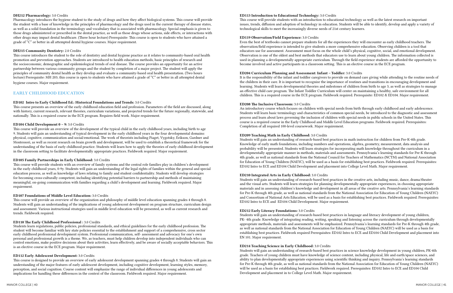#### DH212 Pharmacology: 3.0 Credits

Pharmacology introduces the hygiene student to the study of drugs and how they affect biological systems. This course will provide the student with a base of knowledge in the principles of pharmacology and the drugs used in the current therapy of disease states, as well as a solid foundation in the terminology and vocabulary that is associated with pharmacology. Special emphasis is given to those drugs administered or prescribed in the dental practice, as well as those drugs whose actions, side effects, or interactions with other drugs may impact dental healthcare. (Three hour lecture) Prerequisite: This course is open to students who have attained a grade of "C" or better in all attempted dental hygiene courses. Major requirement.

#### DH215 Community Dentistry: 2.0 Credits

This course introduces the student to the role of dentistry and dental hygiene practice as it relates to community-based oral health promotion and prevention approaches. Students are introduced to health education methods, basic principles of research and the socioeconomic, demographic and epidemiological trends of oral disease. The course provides an opportunity for an active partnership between various community groups and the student by completion of a major project. The student will apply the principles of community dental health as they develop and evaluate a community-based oral health presentation. (Two hours lecture) Prerequisite: MH 203; this course is open to students who have attained a grade of "C" or better in all attempted dental hygiene courses. Major requirement.

# EARLY CHILDHOOD EDUCATION

#### ED102 Intro to Early Childhood Ed.: Historical Foundations and Trends: 3.0 Credits

This course presents an overview of the early childhood education field and profession. Parameters of the field are discussed, along with history, current research, relevant theories, curriculum variations, and projected trends for the future regionally, statewide, and nationally. This is a required course in the ECE program. Requires field work. Major requirement.

#### ED104 Child Development 0 – 9: 3.0 Credits

This course will provide an overview of the development of the typical child in the early childhood years, including birth to age 9. Students will gain an understanding of typical development in the early childhood years in the four developmental domains: physical, cognitive, communication and social/emotional. The work of theorists including Piaget, Vygotsky, Erikson, Gardner and Montessori, as well as recent research on brain growth and development, will be used to establish a theoretical framework for the understanding of the basis of early childhood practice. Students will learn how to apply the theories of early childhood development in the classroom setting to facilitate developmentally appropriate practices. Fieldwork required. Major requirement.

#### ED105 Family Partnerships in Early Childhood: 3.0 Credits

This course will provide students with an overview of family systems and the central role families play in children's development in the early childhood years, 0-9y. Students will gain an understanding of the legal rights of families within the general and special education process, as well as knowledge of laws relating to family and student confidentiality. Students will develop strategies for becoming cross-culturally competent, including identifying potential barriers to partnership and methods of maintaining meaningful, on-going communication with families regarding a child's development and learning. Fieldwork required. Major requirement.

#### ED107 Foundations of Middle Level Education: 3.0 Credits

This course will provide an overview of the organization and philosophy of middle level education spanning grades 4 through 8. Students will gain an understanding of the implications of young adolescent development on program structure, curriculum design and assessment. Various instructional strategies used in middle level education will be presented, as well as current research and trends. Fieldwork required.

#### ED110 The Early Childhood Professional : 3.0 Credits

Students learn regulations, public policies, professional standards, and ethical guidelines for the early childhood profession. The student will become familiar with key state policies essential to the establishment and support of a comprehensive, cross sector early childhood professional development system. Professional communication, self- assessment and advocacy for one's own personal and professional growth is a theme. We, as teachers, must help children develop into independent individuals who can control emotions, make positive decisions about their activities, learn effectively, and be aware of socially acceptable behaviors. This is an elective course in the ECE program. Major requirement.

#### ED112 Early Adolescent Development: 3.0 Credits

This course is designed to provide an overview of early adolescent development spanning grades 4 through 8. Students will gain an understanding of the major features of early adolescent development, including cognitive development, learning styles, memory, perception, and social cognition. Course content will emphasize the range of individual differences in young adolescents and implications for handling these differences in the context of the classroom. Fieldwork required. Major requirement.

This course will provide students with an introduction to educational technology as well as the latest research on important issues, trends, diffusion and adoption of technology in education. Students will be able to identify, develop and apply a variety of

# ED113 Introduction to Educational Technology: 3.0 Credits technological skills to meet the increasingly diverse needs of 21st century learners.

#### ED119 Observation/Field Experience: 3.0 Credits

Even the best of textbooks cannot prepare students for all the experiences they will encounter as early childhood teachers. The observation/field experience is intended to give students a more comprehensive education. Observing children is a tool that educators use for assessment. Assessment must focus on the whole child's physical, cognitive, social, and emotional development. Observation is one of the oldest and best methods that educators use to learn about young children. The information collected is used in planning a developmentally appropriate curriculum. Through the field experience students are afforded the opportunity to become involved and active participants in a classroom setting. This is an elective course in the ECE program.

# ED204 Curriculum Planning and Assessment: Infant – Toddler: 3.0 Credits

It is the responsibility of the infant and toddler caregivers to provide on demand care giving while attending to the routine needs of the children in their care. It is important to recognize the importance of routines and transitions in encouraging development and learning. Students will learn developmental theories and milestones of children from birth to age 3, as well as strategies to manage an effective child care program. The Infant Toddler Curriculum will center on maintaining a healthy, safe environment for all children. This is a required course in the ECE program. Fieldwork required. Prerequisite: ED102 & ED104. Major requirement.

#### ED208 The Inclusive Classroom: 3.0 Credits

An introductory course which focuses on children with special needs from birth through early childhood and early adolescence. Students will learn basic terminology and characteristics of common special needs, be introduced to the diagnostic and assessment process and learn about laws governing the inclusion of children with special needs in public schools in the United States. This course is a required course in the Early Childhood and Middle Level Education programs. Fieldwork required. Prerequisites: Completion of all required 100-level coursework. Major requirement.

#### ED209 Teaching Math in Early Childhood: 3.0 Credits

Students will gain an understanding of research-based best practices in math instruction for children from Pre-K-4th grade. Knowledge of early math foundations, including numbers and operations, algebra, geometry, measurement, data analysis and probability will be presented. Students will learn strategies for incorporating math knowledge throughout the curriculum in a developmentally appropriate manner in methods, materials and assessments. Pennsylvania's learning standards for Pre-K through 4th grade, as well as national standards from the National Council for Teachers of Mathematics (NCTM) and National Association for Education of Young Children (NAEYC), will be used as a basis for establishing best practices. Fieldwork required. Prerequisites: ED102 Intro to ECE and ED104 Child Development and placement into College Level Math. Major requirement.

### ED210 Integrated Arts in Early Childhood: 3.0 Credits

Students will gain an understanding of research-based best practices in the creative arts, including music, dance, drama/theater and the visual arts. Students will learn strategies for planning developmentally appropriate experiences, in choosing appropriate materials and in assessing children's knowledge and development in all areas of the creative arts. Pennsylvania's learning standards for Pre-K through 4th grade, as well as national standards from the National Association for Education of Young Children (NAEYC) and Consortium of National Arts Education, will be used as a basis for establishing best practices. Fieldwork required. Prerequisites: ED102 Intro to ECE and ED104 Child Development. Major requirement.

#### ED212 Early Literacy Foundations: 3.0 Credits

Students will gain an understanding of research-based best practices in language and literacy development of young children, PK- 4th grade. Knowledge of integrating reading, writing, speaking and listening across the curriculum through developmentally appropriate methods, materials and assessments will be emphasized. Pennsylvania's learning standards for Pre-K through 4th grade, as well as national standards from the National Association for Education of Young Children (NAEYC) will be used as a basis for establishing best practices. Fieldwork required Prerequisites: ED102 Intro to ECE and ED104 Child Development and placement into EN 101. Major requirement.

ED214 Teaching Science in Early Childhood: 3.0 Credits Students will gain an understanding of research-based best practices in science knowledge development in young children, PK-4th grade. Teachers of young children must have knowledge of science content, including physical, life and earth/space sciences, and ability to plan developmentally appropriate experiences using scientific thinking and inquiry. Pennsylvania's learning standards for Pre-K through 4th grade, as well as national standards from the National Association for Education of Young Children (NAEYC) will be used as a basis for establishing best practices. Fieldwork required. Prerequisites: ED102 Intro to ECE and ED104 Child Development and placement in to College Level Math. Major requirement.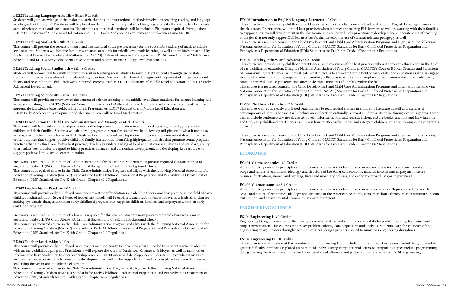#### ED305 Introduction to English Language Learners: 3.0 Credits

This course will provide early childhood practitioners an overview what is means teach and support English Language Learners in the classroom. Practitioners will initial best practices when it comes to teaching ELL learners as well as working with their families to support their overall development in the classroom. The course will help practitioners develop a deep understanding of teaching strategies that not only support ELL learners but further develop the use of cultural relevant pedagogy as well. This course is a required course in the Child Development and Child Care Administration Programs and aligns with the following National Association for Education of Young Children (NAEYC) Standards for Early Childhood Professional Preparation and Pennsylvania Department of Education (PDE) Standards for Pre-K-4th Grade—Chapter 49-2 Regulations.

#### ED307 Liability, Ethics, and Advocacy: 3.0 Credits

This course will provide early childhood practitioners with overview of the best practices when it comes to ethical code in the field of early childhood education. Using the National Association of Young Children (NAEYC)'s Code of Ethical Conduct and Statement of Commitment, practitioners will investigate what it means to advocate for the field of early childhood education as well as engage in ethical conduct with four groups: children, families, colleagues (coworkers and employers), and community and society. Lastly, practitioners will discuss proactive measures to decrease incidents of liability within the field. This course is a required course in the Child Development and Child Care Administration Programs and aligns with the following National Association for Education of Young Children (NAEYC) Standards for Early Childhood Professional Preparation and Pennsylvania Department of Education (PDE) Standards for Pre-K-4th Grade—Chapter 49-2 Regulations.

#### ED309 Children's Literature: 3.0 Credits

This course will require early childhood practitioners to read several classics in children's literature as well as a number of contemporary children's books. It will include an exploration culturally relevant children's literature through various genres. These genres include contemporary novel, classic novel, historical fiction, and realistic fiction, picture books, and folk and fairy tales. In addition, early childhood practitioners will learn how to effectively choose and integrate children literature throughout a program's curriculum.

This course is a required course in the Child Development and Child Care Administration Programs and aligns with the following National Association for Education of Young Children (NAEYC) Standards for Early Childhood Professional Preparation and Pennsylvania Department of Education (PDE) Standards for Pre-K-4th Grade—Chapter 49-2 Regulations.

# ECONOMICS

#### EC101 Macroeconomics: 3.0 Credits

An introductory course in principles and problems of economics with emphasis on macroeconomics. Topics considered are the scope and nature of economics, ideology and structure of the American economy, national income and employment theory, business fluctuations, money and banking, fiscal and monetary policies, and economic growth. Major requirement.

#### EC102 Microeconomics: 3.0 Credits

An introductory course in principles and problems of economics with emphasis on microeconomics. Topics considered are the scope and nature of economics, ideology and structure of the American economy, consumer choice theory, market structure, income distribution, and environmental economics. Major requirement.

# ENGINEERING SCIENCE

#### ES101 Engineering I: 3.0 Credits

Engineering Design I provides for the development of analytical and communication skills by problem solving, teamwork and project presentation. This course emphasizes problem solving, data acquisition and analysis. Students learn the elements of the engineering design process through execution of actual design projects applied to numerous engineering disciplines.

#### ES102 Engineering II: 3.0 Credits

This course is a continuation of the introduction to Engineering I and includes another interactive team-oriented design project of greater difficulty. Emphasis is placed on numerical analysis using computational software. Supporting topics include programming, data gathering, analysis, presentation and consideration of alternate and past solutions. Prerequisite: ES101 Engineering I.

#### ED221 Teaching Language Arts 4th – 8th: 3.0 Credits

Students will gain knowledge of the major research, theories and instructional methods involved in teaching reading and language arts to grades 4 through 8. Emphasis will be placed on the interdisciplinary nature of language arts with the middle level curricular areas of science, math and social studies. Use of state and national standards will be included. Fieldwork required. Prerequisites: ED107 Foundations of Middle Level Education and ED112 Early Adolescent Development and placement into EN 101.

#### ED231 Teaching Math 4th – 8th: 3.0 Credits

This course will present the research, theory and instructional strategies necessary for the successful teaching of math to middle level students. Students will become familiar with state standards for middle level math learning as well as standards presented by the National Council for Teachers of Mathematics (NCTM). Fieldwork required. Prerequisites: ED 107 Foundations of Middle Level Education and ED 112 Early Adolescent Development and placement into College Level Mathematics.

#### ED241 Teaching Social Studies 4th – 8th: 3 Credits

Students will become familiar with content inherent in teaching social studies to middle level students through use of state standards and recommendations from national organizations. Various instructional strategies will be presented alongside current theory and research in the field. Fieldwork required. Prerequisites: ED 107 Foundations of Middle Level Education and ED112 Early Adolescent Development.

#### ED251 Teaching Science 4th – 8th: 3.0 Credits

This course will provide an overview of the content of science teaching at the middle level. State standards for science learning will be presented along with NCTM (National Council for Teachers of Mathematics) and NSES standards to provide students with an appropriate knowledge base. Fieldwork required. Prerequisites: ED107 Foundations of Middle Level Education and ED112 Early Adolescent Development and placement into College Level Mathematics.

#### ED301 Introduction to Child Care Administration and Management: 3.0 Credits

This course will help early childhood practitioners develop a sound foundation in administrating a high-quality program for children and their families. Students will shadow a program director for several weeks to develop full picture of what it means to be program director in a center as well. Students will explore several core topics including creating a mission statement to drive center practices that support positive child and family interactions, identifying high-quality policies that promote sound program practices that are ethical and follow best practice, develop an understanding of local and national regulations and standard, ability to articulate best practice in regard to hiring practices, finances, and curriculum development, and developing key resources to support positive family-school communication.

Fieldwork is required. A minimum of 10 hours is required for this course. Students must possess required clearances prior to beginning fieldwork (PA Child Abuse, PA Criminal Background Check, FBI Background Check).

This course is a required course in the Child Care Administration Program and aligns with the following National Association for Education of Young Children (NAEYC) Standards for Early Childhood Professional Preparation and Pennsylvania Department of Education (PDE) Standards for Pre-K-4th Grade—Chapter 49-2 Regulations.

#### ED302 Leadership in Practice: 3.0 Credits

This course will provide early childhood practitioners a strong foundation in leadership theory and best practice in the field of early childhood administration. Several types of leadership models will be explored, and practitioners will develop a leadership plan for making systematic changes within an early childhood program that supports children, families, and employees within an early childhood program.

Fieldwork is required. A minimum of 5 hours is required for this course. Students must possess required clearances prior to beginning fieldwork (PA Child Abuse, PA Criminal Background Check, FBI Background Check).

This course is a required course in the Child Care Administration Program and aligns with the following National Association for Education of Young Children (NAEYC) Standards for Early Childhood Professional Preparation and Pennsylvania Department of Education (PDE) Standards for Pre-K-4th Grade—Chapter 49-2 Regulations.

#### ED303 Teacher Leadership: 3.0 Credits

This course will provide early childhood practitioners an opportunity to delve into what is needed to support teacher leadership with an early childhood program. Practitioners will explore the work of Danielson, Katzmeyer & Moyer, as well as many other scholars who have worked on teacher leadership research. Practitioners will develop a deep understanding of what it means to be a teacher leader, review the barriers to its development, as well as the supports that need to be in place to ensure that teacher leadership thrives in and outside the classroom.

This course is a required course in the Child Care Administration Program and aligns with the following National Association for Education of Young Children (NAEYC) Standards for Early Childhood Professional Preparation and Pennsylvania Department of Education (PDE) Standards for Pre-K-4th Grade—Chapter 49-2 Regulations.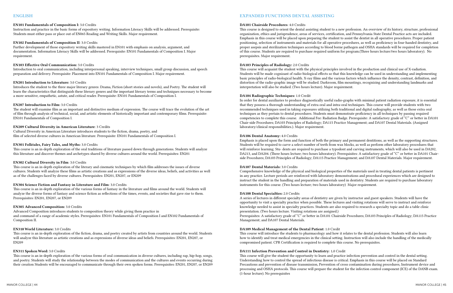### EN101 Fundamentals of Composition I: 3.0 Credits

Instruction and practice in the basic forms of expository writing. Information Literacy Skills will be addressed. Prerequisite: Students must either pass or place out of EN065 Reading and Writing Skills. Major requirement.

#### EN102 Fundamentals of Composition II: 3.0 Credits

Further development of those expository writing skills mastered in EN101 with emphasis on analysis, argument, and documentation. Information Literacy Skills will be addressed. Prerequisite: EN101 Fundamentals of Composition I. Major requirement.

#### EN103 Effective Oral Communication: 3.0 Credits

Introduction to oral communication, including interpersonal speaking, interview techniques, small group discussion, and speech preparation and delivery. Prerequisite: Placement into EN101 Fundamentals of Composition I. Major requirement.

#### EN201 Introduction to Literature: 3.0 Credits

Introduces the student to the three major literary genres: Drama, Fiction (short stories and novels), and Poetry. The student will learn the characteristics that distinguish these literary genres and the important literary terms and techniques necessary to become a more sensitive, empathetic, astute, and critical reader. Prerequisite: EN101 Fundamentals of Composition I.

#### EN207 Introduction to Film: 3.0 Credits

The student will examine film as an important and distinctive medium of expression. The course will trace the evolution of the art of film through analysis of technical, social, and artistic elements of historically important and contemporary films. Prerequisite: EN101 Fundamentals of Composition I.

#### EN209 Cultural Diversity in American Literature: 3 Credits

Cultural Diversity in American Literature introduces students to the fiction, drama, poetry, and film of selected diverse cultures in American literature. Prerequisite: EN101 Fundamentals of Composition I.

#### EN301 Folktales, Fairy Tales, and Myths: 3.0 Credits

This course is an in-depth exploration of the oral traditions of literature passed down through generations. Students will analyze this literature and discover themes and archetypes shared by diverse cultures around the world. Prerequisites: EN201

#### EN302 Cultural Diversity in Film: 3.0 Credits

This course is an in-depth exploration of the literary and cinematic techniques by which film addresses the issues of diverse cultures. Students will analyze these films as artistic creations and as expressions of the diverse ideas, beliefs, and activities as well as of the challenges faced by diverse cultures. Prerequisites: EN201, EN207, or EN209

#### EN304 Science Fiction and Fantasy in Literature and Film: 3.0 Credits

This course is an in-depth exploration of the various forms of fantasy in the literature and films around the world. Students will analyze the diverse forms of fantasy and science fiction as reflections of the times, events, and societies that gave rise to them. Prerequisites: EN201, EN207, or EN209

#### EN305 Advanced Composition: 3.0 Credits

Advanced Composition introduces students to composition theory while giving them practice in and command of a range of academic styles. Prerequisites: EN101 Fundamentals of Composition I and EN102 Fundamentals of Composition II.

#### EN310 World Literature: 3.0 Credits

This course is an in-depth exploration of the fiction, drama, and poetry created by artists from countries around the world. Students will analyze this literature as artistic creations and as expressions of diverse ideas and beliefs. Prerequisites: EN201, EN207, or EN209

#### EN311 Spoken Word: 3.0 Credits

This course is an in-depth exploration of the various forms of oral communication in diverse cultures, including rap, hip-hop, songs, and poetry. Students will study the relationship between the modes of communication and the cultures and events occurring during their creation Students will be encouraged to communicate through their own spoken forms. Prerequisites: EN201, EN207, or EN209

# EXPANDED FUNCTIONS DENTAL ASSISTING

#### DA101 Chairside Procedures: 4.0 Credits

This course is designed to orient the dental assisting student to a new profession. An overview of its history, structure, professional organization, ethics and jurisprudence, areas of services, certification, and Pennsylvania State Dental Practice acts are included. Emphasis in this course will be placed upon preparing the student to assist the dentist in all operative procedures. Proper patient positioning, selection of instruments and materials for all operative procedures, as well as proficiency in four-handed dentistry, and proper asepsis and sterilization techniques according to blood borne pathogen and OSHA standards will be required for completion of this course. Students are required to purchase required uniform for program.(Three hours lecture/two hours laboratory). No prerequisites. Major requirement.

#### DA103 Principles of Radiology: 2.0 Credits

This course will acquaint the student with the physical principles involved in the production and clinical use of X-radiation. Students will be made cognizant of radio-biological effects so that this knowledge can be used in understanding and implementing basic principles of radio-biological health. X-ray films and the various factors which influence the density, contrast, definition, and distortion of the radio-graphic image will be studied. Darkroom, film mountings, recognizing and understanding landmarks and interpretation will also be studied. (Two hours lecture). Major requirement.

#### DA104 Radiographic Techniques: 1.0 Credit

In order for dental auxiliaries to produce diagnostically useful radio-graphs with minimal patient radiation exposure, it is essential that they possess a thorough understanding of extra oral and intra-oral techniques. This course will provide students with two recommended techniques used in taking exposures utilizing both traditional and digital radiography, as well as those extra oral techniques as they pertain to dental procedures. Students must demonstrate proficiency in all techniques by passing required competencies to complete this course. Additional Fee: Radiation Badge. Prerequisite: A satisfactory grade of "C" or better in DA101 Chair-side Procedures; DA103 Principles of Radiology; DA115 Practice Management; and DA107 Dental Materials. (Assigned laboratory/clinical responsibilities.). Major requirement.

#### DA106 Dental Anatomy: 4.0 Credits

Emphasis is placed upon the form and function of both the primary and permanent dentitions, as well as the supporting structures. Students will be required to carve a select number of teeth from wax blocks, as well as perform other laboratory procedures that will reinforce learning. Stu- dents are required to purchase a typodont and carving instruments, which will also be used in DA202, DA213, and DA204. (Three hours lecture; two hours laboratory). Prerequisites: A satisfactory grade of "C" or better in DA101 Chairside Procedures; DA103 Principles of Radiology; DA115 Practice Management; and DA107 Dental Materials. Major requirement.

#### DA107 Dental Materials: 3.0 Credits

Comprehensive knowledge of the physical and biological properties of the materials used in treating dental patients is pertinent in any practice. Lecture periods are reinforced with laboratory demonstrations and procedural experiences which are designed to instruct the student in the handling and preparation of materials used in dentistry. Students are required to purchase laboratory instruments for this course. (Two hours lecture; two hours laboratory) Major requirement.

#### DA108 Dental Specialties: 2.0 Credits

A series of lectures in different specialty areas of dentistry are given by instructor and guest speakers. Students will have the opportunity to visit a specialty practice when possible. These lectures and visiting rotations will serve to instruct and reinforce knowledge needed to assist in specialty practices. Students are also required to research a specialty topic and do a table clinic presentation. (Two hours lecture. Visiting rotations are assigned.) Prerequisites: A satisfactory grade of "C" or better in DA101 Chairside Procedures; DA103 Principles of Radiology; DA115 Practice Management; and DA107 Dental Materials.

#### DA109 Medical Management of the Dental Patient: 1.0 Credit

This course will introduce the students to pharmacology and how it relates to the dental profession. Students will also learn how to identify and treat medical emergencies in the clinical setting. Instruction will also include the handling of the medically compromised patient. CPR Certification is required to complete this course. No prerequisites.

# DA111 Infection Prevention and Control in Dentistry: 1.0 Credit

This course will give the student the opportunity to learn and practice infection prevention and control in the dental setting. Understanding how to control the spread of infectious disease is critical. Emphasis in this course will be placed on Standard Precautions and prevention of disease transmission, Prevention of cross contamination during procedures, Instrument device and processing and OSHA protocols. This course will prepare the student for the infection control component (ICE) of the DANB exam. (1-hour lecture). No prerequisites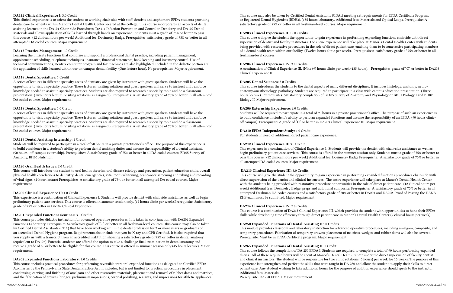#### DA112 Clinical Experience I: 3.0 Credit

This clinical experience is to orient the student to working chair-side with staff, dentists and sophomore EFDA students providing dental care to patients within Manor's Dental Health Center located at the college. This course incorporates all aspects of dental assisting learned in the DA101 Chair-side Procedures, DA111 Infection Prevention and Control in Dentistry and DA107 Dental Materials and allows application of skills learned through hands on experience. Students must a grade of 75% or better to pass this course. (12 clinical hours per week) Additional fee: Dosimetry Badge. Prerequisite: satisfactory grade of 75% or better in all attempted DA coded courses. Major requirement.

#### DA115 Practice Management: 1.0 Credit

Learning the intricate functions that comprise and support a professional dental practice, including patient management, appointment scheduling, telephone techniques, insurance, financial statements, book keeping and inventory control. Use of technical communications, Dentrix computer program and fax machines are also highlighted. Included in the didactic portion are the application of skills learned within our on-campus dental facility. (One lecture hour). No prerequisites. Major requirement.

#### DA118 Dental Specialties: 1 Credit

A series of lectures in different specialty areas of dentistry are given by instructor with guest speakers. Students will have the opportunity to visit a specialty practice. These lectures, visiting rotations and guest speakers will serve to instruct and reinforce knowledge needed to assist in specialty practices. Students are also required to research a specialty topic and do a classroom presentation. (Two hours lecture. Visiting rotations as assigned.) Prerequisites: A satisfactory grade of 75% or better in all attempted DA coded courses. Major requirement.

#### DA118 Dental Specialties: 1.0 Credit

A series of lectures in different specialty areas of dentistry are given by instructor with guest speakers. Students will have the opportunity to visit a specialty practice. These lectures, visiting rotations and guest speakers will serve to instruct and reinforce knowledge needed to assist in specialty practices. Students are also required to research a specialty topic and do a classroom presentation. (Two hours lecture. Visiting rotations as assigned.) Prerequisites: A satisfactory grade of 75% or better in all attempted DA coded courses. Major requirement.

#### DA119 Dental Assisting Internship: 1 Credit

Students will be required to participate in a total of 90 hours in a private practitioner's office. The purpose of this experience is to build confidence in a student's ability to perform dental assisting duties and assume the responsibility of a dental assistant. (90 hours -off campus externship). Prerequisites: A satisfactory grade of 75% or better in all DA coded courses, BI105 Survey of Anatomy, BI106 Nutrition

#### DA120 Oral Health Issues: 2.0 Credit

This course will introduce the student to oral health theories, oral disease etiology and prevention, patient education skills, overall physical health correlations to dentistry, dental emergencies, vital tooth whitening, oral cancer screening and taking and recording of vital signs. (2-hour lecture) Prerequisite: A satisfactory grade of 75% or better in all attempted DA coded courses. Major requirement.

#### DA200 Clinical Experience II: 1.0 Credit

This experience is a continuation of Clinical Experience I. Students will provide dentist with chairside assistance, as well as begin preliminary patient care services. This course is offered in summer session only. (12 hours clinic per week).Prerequisite: Satisfactory grade of 75% or better in DA102 Clinical Experience I.

#### DA201 Expanded Functions Seminar: 3.0 Credits

This course provides didactic instruction for advanced operative procedures. It is taken in con- junction with DA202 Expanded Functions Laboratory. Prerequisite: Satisfactory grade of "C" or better in all freshman-level courses. This course may also be taken by Certified Dental Assistants (CDA) that have been working within the dental profession for 3 or more years or graduates of an accredited Dental Hygiene program. Requirements also include that you be X-ray and CPR Certified. It is also required that you supply us with a transcript from an accredited institution showing a satisfactory grade of 75% or better in dental anatomy (equivalent to DA106). Potential students are offered the option to take a challenge final examination in dental anatomy and receive a grade of 85 or better to be eligible for this course. This course is offered in summer session only (45 hours lecture). Major requirement.

#### DA202 Expanded Functions Laboratory: 4.0 Credits

This course includes practical procedures for performing reversible intraoral expanded functions as delegated to Certified EFDA Auxiliaries by the Pennsylvania State Dental Practice Act. It includes, but is not limited to, practical procedures in placement, condensing, carving, and finishing of amalgam and other restorative materials, placement and removal of rubber dams and matrices, and the fabrication of crowns, bridges, preliminary impressions, coronal polishing, sealants, and impressions for athletic appliances.

This course may also be taken by Certified Dental Assistants (CDAs) meeting set requirements for EFDA Certificate Program, or Registered Dental Hygienists (RDHs). (135 hours laboratory. Additional fees: Materials and Optical Loops. Prerequisite: A satisfactory grade of 75% or better in all freshman-level courses. Major requirement.

#### DA203 Clinical Experience III: 2.0 Credits

This course will give the student the opportunity to gain experience in performing expanding functions chairside with direct supervision of dentist and faculty instructors. The entire experience will take place at Manor's Dental Health Center with students being provided with restorative procedures in the role of direct patient care, enabling them to become active participating members of a dental health team within our facility. (Twelve hours clinic per week). Prerequisites: satisfactory grade of 75% or better in all freshman-level courses.

#### DA204 Clinical Experience IV: 3.0 Credits

A continuation of Clinical Experience III. (Nine (9) hours clinic per week=135 hours). Prerequisite: grade of "C" or better in DA203 Clinical Experience III

#### DA205 Dental Sciences: 3.0 Credits

This course introduces the students to the dental aspects of many different disciplines. It includes histology, anatomy, neuroanatomy/anesthesiology, pathology. Students are required to participate in a class wide campus education presentation. (Three hours lecture). Prerequisites: Satisfactory completion of BI 105 Survey of Anatomy and Physiology or BI101 Biology I and BI102 Biology II. Major requirement.

#### DA206 Externship Experience: 2.0 Credits

Students will be required to participate in a total of 90 hours in a private practitioner's office. The purpose of such an experience is to build confidence in student's ability to perform expanded functions and assume the responsibility of an EFDA. (90 hours clinicoff campus). Prerequisite: A grade of "C" or better in DA203 Clinical Experience III. Major requirement.

#### DA210 EFDA Independent Study: 1.0 Credit

For students in need of additional direct patient care experience.

#### DA212 Clinical Experience II: 3.0 Credit

This experience is a continuation of Clinical Experience I. Students will provide the dentist with chair-side assistance as well as begin preliminary patient care services. This course is offered in the summer session only. Students must a grade of 75% or better to pass this course. (12 clinical hours per week) Additional fee: Dosimetry Badge Prerequisite: A satisfactory grade of 75% or better in all attempted DA coded courses. Major requirement.

#### DA213 Clinical Experience III: 3.0 Credits

This course will give the student the opportunity to gain experience in performing expanded functions procedures chair-side with direct supervision of the dentist and clinical instructors. The entire experience will take place at Manor's Dental Health Center with the students being provided with restorative procedure opportunities in the role of direct patient care. (12 clinical hours per week) Additional fees: Dosimetry Badge, preps and additional composite. Prerequisite: A satisfactory grade of 75% or better in all attempted Freshman DA coded courses and a satisfactory grade of 80% or better in DA201 and DA202. Proof of Passing the DANB RHS exam must be submitted. Major requirement.

#### DA214 Clinical Experience IV: 2.0 Credits

This course is a continuation of DA213 Clinical Experience III, which provides the student with opportunities to hone their EFDA skills while developing time efficiency through direct patient care in Manor's Dental Health Center (9 clinical hours per week)

### DA250 Expanded Functions of Dental Assisting I: 5.0 Credits

This module provides classroom and laboratory instruction for advanced operative procedures, including amalgam, composite, and temporary procedures. Fabrication of temporary crowns, placement of matrices, wedges, and rubber dams will also be covered. Prerequisite: Must be in EFDA Certificate program. Major requirement.

# DA265 Expanded Functions of Dental Assisting II: 1 Credit Additional fees: Materials.

This course follows the completion of DA 250 EFDA I. Students are required to complete a total of 90 hours performing expanded duties. All of these required hours will be spent at Manor's Dental Health Center under the direct supervision of faculty dentist and clinical instructors. The student will be responsible for two clinic rotations (6 hours) per week for 15 weeks. The purpose of this experience is to strengthen and perfect the skills that were taught in DA 250 and allow the student to apply their skills to direct patient care. Any student wishing to take additional hours for the purpose of addition experience should speak to the instructor.

Prerequisite: DA250 EFDA I. Major requirement.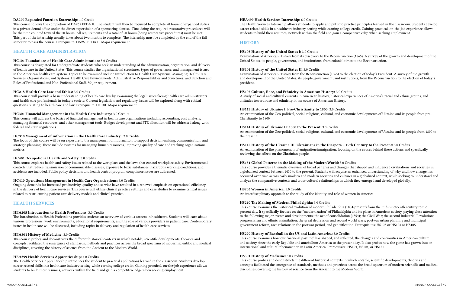#### DA270 Expanded Function Externship: 1.0 Credit

This course follows the completion of DA265 EFDA II. The student will then be required to complete 20 hours of expanded duties in a private dental office under the direct supervision of a sponsoring dentist. Time doing the required restorative procedures will be the time counted toward the 20 hours. All requirements and a total of 20 hours (doing restorative procedures) must be met. This part of the internship usually takes about two months to complete. The internship must be completed by the end of the fall semester to pass the course. Prerequisite: DA265 EFDA II. Major requirement.

# HEALTH CARE ADMINISTRATION

#### HC101 Foundations of Health Care Administration: 3.0 Credits

This course is designated for Undergraduate students who seek an understanding of the administration, organization, and delivery of health care in the United States. This course studies the organizational structures, types of governance, and management issues in the American health care system. Topics to be examined include Introduction to Health Care Systems; Managing Health Care Services, Organizations, and Systems; Health Care Environments; Administrative Responsibilities and Structures; and Function and Roles of Professional and Non-Professional Staff. Major requirement.

#### HC218 Health Care Law and Ethics: 3.0 Credits

This course will provide a basic understanding of health care law by examining the legal issues facing health care administrators and health care professionals in today's society. Current legislation and regulatory issues will be explored along with ethical questions relating to health care and law. Prerequisite: HC101. Major requirement.

#### HC301 Financial Management in the Health Care Industry: 3.0 Credits

This course will address the basics of financial management in health care organizations including accounting, cost analysis, managing financial resources, and other management tools. Budget development and FTE allocation will be addressed along with federal and state regulations.

#### HC310 Management of information in the Health Care Industry: 3.0 Credits

The focus of this course will be on exposure to the management of information to support decision-making, communication, and strategic planning. These include systems for managing human resources, improving quality of care and tracking organizational metrics.

#### HC401 Occupational Health and Safety: 3.0 credits

This course explores health and safety issues related to the workplace and the laws that control workplace safety. Environmental controls that reduce transmission of communicable diseases, exposure to toxic substances, hazardous working conditions, and accidents are included. Public policy decisions and health control program compliance issues are addressed.

#### HC410 Operations Management in Health Care Organizations: 3.0 Credits

Ongoing demands for increased productivity, quality and service have resulted in a renewed emphasis on operational efficiency in the delivery of health care services. This course will utilize clinical practice settings and case studies to examine critical issues related to restructuring patient care delivery models and clinical practice.

# HEALTH SERVICES

#### HEA205 Introduction to Health Professions: 3.0 Credits

The Introduction to Health Professions provides students an overview of various careers in healthcare. Students will learn about various professions, work environments, educational requirements, and the role of various providers in patient care. Contemporary issues in healthcare will be discussed, including topics in delivery and regulation of health care services.

### HEA301 History of Medicine: 3.0 Credits

This course probes and deconstructs the different historical contexts in which notable, scientific developments, theories and concepts facilitated the emergence of standards, methods and practices across the broad spectrum of modern scientific and medical disciplines, covering the history of science from the Ancient to the Modern World.

#### HEA399 Health Services Apprenticeship: 4.0 Credits

The Health Services Apprenticeship introduces the student to practical applications learned in the classroom. Students develop career related skills in a healthcare industry setting while earning college credit. Gaining practical, on-the-job experience allows students to build their resumes, network within the field and gain a competitive edge when seeking employment.

#### HEA499 Health Services Internship: 6.0 Credits

The Health Services Internship allows students to apply and put into practice principles learned in the classroom. Students develop career related skills in a healthcare industry setting while earning college credit. Gaining practical, on-the-job experience allows students to build their resumes, network within the field and gain a competitive edge when seeking employment.

### **HISTORY**

# HS103 History of the United States I: 3.0 Credits

Examination of American History from its discovery to the Reconstruction (1865). A survey of the growth and development of the United States, its people, government, and institutions, from colonial times to the Reconstruction.

#### HS104 History of the United States II: 3.0 Credits

Examination of American History from the Reconstruction (1865) to the election of today's President. A survey of the growth and development of the United States, its people, government, and institutions, from the Reconstruction to the election of today's president.

HS105 Culture, Race, and Ethnicity in American History: 3.0 Credits A study of social and cultural currents in American history, historical experiences of America's racial and ethnic groups, and attitudes toward race and ethnicity in the course of American History.

HS113 History of Ukraine I: Pre-Christianity to 1800: 3.0 Credits An examination of the Geo-political, social, religious, cultural, and economic developments of Ukraine and its people from pre-Christianity to 1800

HS114 History of Ukraine II: 1800 to the Present: 3.0 Credits An examination of the Geo-political, social, religious, cultural, and economic developments of Ukraine and its people from 1800 to the present.

HS115 History of the Ukraine III: Ukrainians in the Diaspora – 19th Century to the Present: 3.0 Credits An examination of the phenomenon of emigration/immigration, focusing on the causes behind these actions and specifically reviewing the effects on the Ukrainian people.

# HS151 Global Patterns in the Making of the Modern World: 3.0 Credits

This course provides a thematic overview of broad patterns and changes that shaped and influenced civilizations and societies in a globalized context between 1450 to the present. Students will acquire an enhanced understanding of why and how change has occurred over time across early modern and modern societies and cultures in a globalized context, while seeking to understand and analyze the comparative contexts and cross-cultural relationships in which they emerged and developed globally.

#### HS205 Women in America: 3.0 Credits

An interdisciplinary approach to the study of the identity and role of women in America.

#### HS210 The Making of Modern Philadelphia: 3.0 Credits

This course examines the historical evolution of modern Philadelphia (1854-present) from the mid-nineteenth century to the present day. It specifically focuses on the "modernization" of Philadelphia and its place in American society, paying close attention to the following major events and developments: the act of consolidation (1854); the Civil War; the second Industrial Revolution; progressivism and ethnic assimilation; the great depression and second world wars; postwar urban planning and municipal government reform, race relations in the postwar period, and gentrification. Prerequisites: HS103 or HS104 or HS105

#### HS220 History of Baseball in the US and Latin America: 3.0 Credits

This course examines how our "national pastime" has shaped, and reflected, the changes and continuities in American culture and society since the early Republic and antebellum America to the present day. It also probes how the game has grown into an international and cultural phenomenon in Latin America. Prerequisite: HS103, HS104, or HS151

#### HS301 History of Medicine: 3.0 Credits

This course probes and deconstructs the different historical contexts in which notable, scientific developments, theories and concepts facilitated the emergence of standards, methods and practices across the broad spectrum of modern scientific and medical disciplines, covering the history of science from the Ancient to the Modern World.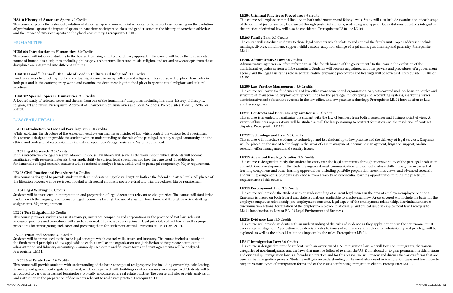#### HS310 History of American Sport: 3.0 Credits

This course explores the historical evolution of American sports from colonial America to the present day, focusing on the evolution of professional sports; the impact of sports on American society; race, class and gender issues in the history of American athletics; and the impact of American sports on the global community. Prerequisite: HS105

# HUMANITIES

#### HUM100 Introduction to Humanities: 3.0 Credits

This course will introduce students to the humanities using an interdisciplinary approach. The course will focus the fundamental nature of humanities disciplines, including philosophy, architecture, literature, music, religion, and art and how concepts from these disciplines are integrated into different cultures.

### HUM301 Food "Channel": The Role of Food in Culture and Religion": 3.0 Credits

Food has always held both symbolic and ritual significance in many cultures and religions. This course will explore those roles in both past and in the contemporary world and examine the deep meaning that food plays in specific ritual religious and cultural practices.

#### HUM302 Special Topics in Humanities: 3.0 Credits

A focused study of selected issues and themes from one of the humanities' disciplines, including literature, history, philosophy, religion, art and music. Prerequisite: Approval of Chairperson of Humanities and Social Sciences. Prerequisites: EN201, EN207, or EN209.

# LAW (PARALEGAL)

### LE101 Introduction to Law and Para-legalism: 3.0 Credits

While exploring the structure of the American legal system and the principles of law which control the various legal specialties, this course is designed to provide the student with an understanding of the role of the paralegal in today's legal community and the ethical and professional responsibilities incumbent upon today's legal assistants. Major requirement.

#### LE102 Legal Research: 3.0 Credits

In this introduction to legal research, Manor's in-house law library will serve as the workshop in which students will become familiarized with research materials, their applicability to various legal specialties and how they are used. In addition to fundamentals of legal research, students will be trained to analyze issues, a skill vital to paralegal competency. Major requirement.

#### LE103 Civil Practice and Procedure: 3.0 Credits

This course is designed to provide students with an understanding of civil litigation both at the federal and state levels. All phases of the litigation process will be reviewed in detail with special emphasis upon pre-trial and trial procedures. Major requirement.

#### LE104 Legal Writing: 3.0 Credits

Students will be instructed in interpretation and preparation of legal documents relevant to civil practice. The course will familiarize students with the language and format of legal documents through the use of a sample form book and through practical drafting assignments. Major requirement.

#### LE201 Tort Litigation: 3.0 Credits

This course prepares students to assist attorneys, insurance companies and corporations in the practice of tort law. Relevant insurance practices and procedures will also be reviewed. The course covers primary legal principles of tort law as well as proper procedures for investigating such cases and preparing them for settlement or trial. Prerequisite: LE101 or LN101.

#### LE202 Trusts and Estates: 3.0 Credits

Students will be introduced to the basic legal concepts which control wills, trusts and intestacy. The course includes a study of the fundamental principles of law applicable to each, as well as the organization and jurisdiction of the probate court, estate administration and fiduciary accounting. Commonly used estate and fiduciary forms and trust agreements will be analyzed. Prerequisite: LE101.

#### LE203 Real Estate Law: 3.0 Credits

This course will provide students with understanding of the basic concepts of real property law including ownership, sale, leasing, financing and government regulation of land, whether improved, with buildings or other features, or unimproved. Students will be introduced to various issues and terminology typically encountered in real estate practice. The course will also provide analysis of and instruction in the preparation of documents relevant to real estate practice. Prerequisite: LE101.

#### LE204 Criminal Practice & Procedure: 3.0 credits

This course will explore criminal liability on both misdemeanor and felony levels. Study will also include examination of each stage of the criminal justice system, from arrest through post-trial motions, sentencing and appeal. Constitutional questions integral to the practice of criminal law will also be considered. Prerequisites: LE101 or LN101

#### LE205 Family Law: 3.0 Credits

The course will introduce students to those legal concepts which relate to and control the family unit. Topics addressed include marriage, divorce, annulment, support, child custody, adoption, change of legal name, guardianship and paternity. Prerequisite: LE101.

### LE206 Administrative Law: 3.0 Credits

Administrative agencies are often referred to as "the fourth branch of the government." In this course the evolution of the administrative justice system will be examined. Students will become acquainted with the powers and procedures of a government agency and the legal assistant's role in administrative grievance procedures and hearings will be reviewed. Prerequisite: LE 101 or LN101.

#### LE209 Law Practice Management: 3.0 Credits

This course will cover the fundamentals of law office management and organization. Subjects covered include: basic principles and structure of management, employment opportunities for the paralegal, timekeeping and accounting systems, marketing issues, administrative and substantive systems in the law office, and law practice technology. Prerequisite: LE101 Introduction to Law and Para-legalism.

#### LE211 Contracts and Business Organizations: 3.0 Credits

This course is intended to familiarize the student with the law of business from both a consumer and business point of view. A variety of business organizations will be studied as will the law pertaining to contract formation and the resolution of contract disputes. Prerequisite: LE 101

#### LE212 Technology and Law: 3.0 Credits

This course will introduce students to technology and its relationship to law practice and the delivery of legal services. Emphasis will be placed on the use of technology in the areas of case management, document management, litigation support, on-line research, office management, and security issues.

#### LE213 Advanced Paralegal Studies: 3.0 Credits

This course is designed to ready the student for entry into the legal community through intensive study of the paralegal profession and additional development of the student's organizational, communication, and critical analysis skills through an experiential learning component and other learning opportunities including portfolio preparation, mock interviews, and advanced research and writing assignments. Students may choose from a variety of experiential learning opportunities to fulfill the practicum requirements of this course.

#### LE215 Employment Law: 3.0 Credits

This course will provide the student with an understanding of current legal issues in the area of employer/employee relations. Emphasis is placed on both federal and state regulations applicable to employment law. Areas covered will include the basis for the employer-employee relationship, pre-employment concerns, legal aspect of the employment relationship, discrimination issues, discrimination actions, termination of the employer-employee relationship, and ethical issue in employment law. Prerequisite: LE101 Introduction to Law or BA103 Legal Environment of Business.

#### LE216 Evidence Law: 3.0 Credits

This course will provide students with an understanding of the rules of evidence as they apply, not only in the courtroom, but at every stage of litigation. Application of evidentiary rules to issues of communication, relevance, admissibility and privilege will be explored, as well as the ethical limitations imposed by the rules. Prerequisite: LE101.

#### LE217 Immigration Law: 3.0 Credits

This course is designed to provide students with an overview of U.S. immigration law. We will focus on immigrants, the various categories of non-immigrants, and the laws that must be followed to enter the U.S. from abroad or to gain permanent resident status and citizenship. Immigration law is a form-based practice and for this reason, we will review and discuss the various forms that are used in the immigration process. Students will gain an understanding of the vocabulary used in immigration cases and learn how to prepare various types of immigration forms and of the issues confronting immigration clients. Prerequisite: LE101.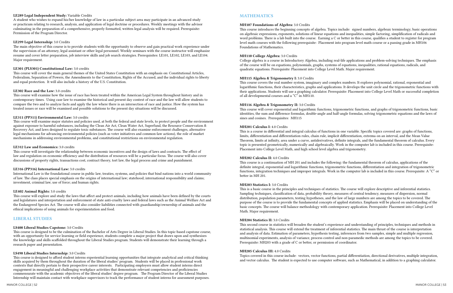#### LE289 Legal Independent Study: Variable Credits

A student who wishes to expand his/her knowledge of law in a particular subject area may participate in an advanced study or practicum relating to research, analysis, and application of legal doctrine or procedures. Weekly meetings with the advisor culminating in the preparation of a comprehensive, properly formatted, written legal analysis will be required. Prerequisite: Permission of the Program Director.

# LE299 Legal Internship: 3.0 Credits

The main objective of this course is to provide students with the opportunity to observe and gain practical work experience under the supervision of an attorney, legal assistant or other legal personnel. Weekly seminars with the course instructor will emphasize resume and cover letter preparation, job interview skills and job search strategies. Prerequisites: LE101, LE102, LE103, and LE104. Major requirement.

# LE301 (PLS301) Constitutional Law: 3.0 credits

This course will cover the main general themes of the United States Constitution with an emphasis on: Constitutional Articles, Federalism, Separation of Powers, the Amendments to the Constitution, Rights of the Accused, and the individual rights to liberty and equal protection. It will also include a history of the U.S. Constitution.

# LE302 Race and the Law: 3.0 credits

This course will examine how the issue of race has been treated within the American Legal System throughout history and in contemporary times. Using case law to examine the historical and present day context of race and the law will allow students to compare the two and to analyze facts and apply the law where there is an intersection of race and justice. How the system has treated issues or race will be examined and possible solutions to the present day situations will be discussed.

# LE311 (PP311) Environmental Law: 3.0 credits

This course will examine major statutes and policies used, at both the federal and state levels, to protect people and the environment against exposure to harmful substances, including the Clean Air Act, Clean Water Act, Superfund, the Resource Conservation & Recovery Act, and laws designed to regulate toxic substances. The course will also examine enforcement challenges, alternative legal mechanisms for advancing environmental policies (such as voter initiatives and common-law actions), the role of market mechanisms in addressing environmental problems, and constitutional restrictions on environmental regulation.

# LE312 Law and Economics: 3.0 credits

This course will investigate the relationship between economic incentives and the design of laws and contracts. The effect of law and regulation on economic efficiency and the distribution of resources will be a particular focus. The course will also cover discussions of property rights, transactions cost, contract theory, tort law, the legal process and crime and punishment.

# LE316 (PP316) International Law: 3.0 credits

International Law is the foundational course in public law, treaties, systems, and policies that bind nations into a world community of law. The class places special emphasis on the origins of international law; statehood; international responsibility and claims; investment, criminal law, use of force; and human rights.

# LE402 Animal Rights: 3.0 credits

This course will explore and study the laws that affect and protect animals, including how animals have been defined by the courts and legislatures and interpretation and enforcement of state anti-cruelty laws and federal laws such as the Animal Welfare Act and the Endangered Species Act. The course will also consider liabilities connected with guardianship/ownership of animals and the ethical implications of using animals for experimentation and food.

# LIBERAL STUDIES

# LS400 Liberal Studies Capstone: 3.0 Credits

This course is designed to be the culmination of the Bachelor of Arts Degree in Liberal Studies. In this topic-based capstone course, with an opportunity for service learning or field experience, students complete a major project that draws upon and synthesizes the knowledge and skills scaffolded throughout the Liberal Studies program. Students will demonstrate their learning through a research paper and presentation.

# LS498 Liberal Studies Internship: 3.0 Credits

This course is designed to afford student interns experiential learning opportunities that integrate analytical and critical thinking skills acquired by them throughout the duration of the liberal studies' program. Students will be placed in professional work contexts that directly pertain to their prospective career interests. Participating employers must allow student interns direct engagement in meaningful and challenging workplace activities that demonstrate relevant competencies and proficiencies commensurate with the academic objectives of the liberal studies' degree program. The Program Director of the Liberal Studies Internship will maintain contact with workplace supervisors to track the performance of student interns for assessment purposes.

# MATHEMATICS

# MH107 Foundations of Algebra: 3.0 Credits

This course introduces the beginning concepts of algebra. Topics include: signed numbers, algebraic terminology, basic operations on algebraic expressions, exponents, solutions of linear equations and inequalities, simple factoring, simplification of radicals and word problems. There is a lab built into the course. Earning a C or better in this course, qualifies a student to register for program level math courses with the following prerequisite: Placement into program level math course or a passing grade in MH106 Foundations of Mathematics.

# MH110 College Algebra: 3.0 Credits

College algebra is a course in Introductory Algebra, including real-life applications and problem-solving techniques. The emphasis of the course will be on equations, polynomials, graphs, systems of equations, inequalities, rational equations, radicals, and quadratic equations. Prerequisite: Placement into College Level Math. Major requirement.

# MH115 Algebra & Trigonometry I: 3.0 Credits

This course covers the real number system, imaginary and complex numbers. It explores polynomial, rational, exponential and logarithmic functions, their characteristics, graphs and applications. It develops the unit circle and the trigonometric functions with their applications. Students will use a graphing calculator. Prerequisite: Placement into College Level Math or successful completion of all developmental courses and a "C" in MH110.

# MH116 Algebra & Trigonometry II: 3.0 Credits

This course will cover exponential and logarithmic functions, trigonometric functions, and graphs of trigonometric functions, basic identities, the sum and difference formulas, double-angle and half-angle formulas, solving trigonometric equations and the laws of sines and cosines. Prerequisites: MH115

# MH201 Calculus I: 4.0 Credits

This is a course in differential and integral calculus of functions in one variable. Specific topics covered are: graphs of functions, limits, differentiation and differentiation rules, chain rule, implicit differentiation, extrema on an interval, and the Mean Value Theorem, limits at infinity, area under a curve, antiderivatives, definite integrals, and the fundamental theorem of calculus. Every topic is presented geometrically, numerically and algebraically. Work in the computer lab is included in this course. Prerequisite: Placement into College Level Math, and high school level algebra and trigonometry.

# MH202 Calculus II: 4.0 Credits

This course is a continuation of MH 201 and includes the following: the fundamental theorem of calculus, applications of the definite integral, exponential and logarithmic functions, trigonometric functions, differentiation and integration of trigonometric functions, integration techniques and improper integrals. Work in the computer lab is included in this course. Prerequisite: A "C" or better in MH 201.

# MH203 Statistics I: 3.0 Credits

This is a basic course in the principles and techniques of statistics. The course will explore descriptive and inferential statistics. Sampling techniques, classification of data, probability theory, measures of central tendency, measures of dispersion, normal distribution, population parameters, testing hypotheses, and the law of large numbers are among the topics to be covered. The purpose of the course is to provide the fundamental concepts of applied statistics. Emphasis will be placed on understanding of the basic concepts. The course will balance methodology with contemporary application. Prerequisite: Placement into College Level Math. Major requirement.

# MH204 Statistics II: 3.0 Credits

This second course in statistics will broaden the student's experience and understanding of principles, techniques and methods in statistical analysis. This course will extend the treatment of inferential statistics. The main thrust of the course is interpretation and analysis of data. Estimation of parameters, hypothesis testing, inferences from two samples, simple and multiple regression, multinomial experiments, analysis of variance, process control and non-paramedic methods are among the topics to be covered. Prerequisite: MH203 with a grade of C or better, or permission of coordinator.

# MH205 Calculus III: 4.0 Credits

Topics covered in this course include: vectors, vector functions, partial differentiation, directional derivatives, multiple integration, and vector calculus. The student is expected to use computer software, such as Mathematical, in addition to a graphing calculator.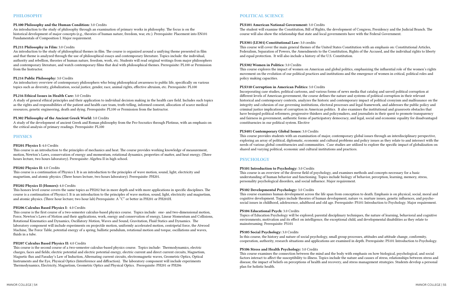# PHILOSOPHY

#### PL100 Philosophy and the Human Condition: 3.0 Credits

An introduction to the study of philosophy through an examination of primary works in philosophy. The focus is on the historical development of major concepts (e.g., theories of human nature, freedom, war, etc.). Prerequisite: Placement into EN101 Fundamentals of Composition I. Major requirement.

#### PL211 Philosophy in Film: 3.0 Credits

An introduction to the study of philosophical themes in film. The course is organized around a unifying theme presented in film and that theme is analyzed through the use of philosophical essays and contemporary literature. Topics include: the individual, authority and rebellion, theories of human nature, freedom, work, etc. Students will read original writings from major philosophers and contemporary literature, and watch contemporary films that deal with philosophical themes. Prerequisite: PL100 or Permission from the Instructor.

#### PL214 Public Philosophy: 3.0 Credits

An introductory overview of contemporary philosophers who bring philosophical awareness to public life, specifically on various topics such as diversity, globalization, social justice, gender, race, animal rights, effective altruism, etc. Prerequisite: PL100

#### PL216 Ethical Issues in Health Care: 3.0 Credits

A study of general ethical principles and their application to individual decision making in the health care field. Includes such topics as the rights and responsibilities of the patient and health care team, truth-telling, informed consent, allocation of scarce medical resources, genetic engineering, death and dying. Prerequisite: PL100 or Permission from the Instructor.

#### PL302 Philosophy of the Ancient Greek World: 3.0 Credits

A study of the development of ancient Greek and Roman philosophy from the Pro-Socratics through Plotinus, with an emphasis on the critical analysis of primary readings. Prerequisite: PL100

#### PHYSICS

#### PH201 Physics I: 4.0 Credits

This course is an introduction to the principles of mechanics and heat. The course provides working knowledge of measurement, motion, Newton's Laws, conservation of energy and momentum, rotational dynamics, properties of matter, and heat energy. (Three hours lecture, two hours laboratory). Prerequisite: Algebra II in high school.

#### PH202 Physics II: 4.0 Credits

This course is a continuation of Physics I. It is an introduction to the principles of wave motion, sound, light, electricity and magnetism, and atomic physics. (Three hours lecture, two hours laboratory). Prerequisite: PH201.

#### PH202 Physics II (Honors): 4.0 Credits

This honors level course covers the same topics as PH202 but in more depth and with more applications in specific disciplines. The course is a continuation of Physics I. It is an introduction to the principles of wave motion, sound, light, electricity and magnetism, and atomic physics. (Three hour lecture; two hour lab) Prerequisite: A "C" or better in PH201 or PH201H.

#### PH206 Calculus Based Physics I: 4.0 Credits

This course is the first course of a two-semester calculus-based physics course. Topics include: one- and two-dimensional motion, Force, Newton's Laws of Motion and their applications, work, energy and conservation of energy, Linear Momentum and Collisions, Rotational Kinematics and Dynamics, Oscillatory Motion, Waves and Sound, Gravitation, Fluid Statics and Dynamics. The laboratory component will include experiments on projectile motion, uniformly accelerated motion, centripetal force, the Atwood Machine, The Force Table, potential energy of a spring, ballistic pendulum, rotational motion and torque, oscillations and waves, fluids in a tube.

#### PH207 Calculus Based Physics II: 4.0 Credits

This course is the second course of a two-semester calculus-based physics course. Topics include: Thermodynamics, electric charges, faces and fields; electric potential and electric potential energy, electric current and direct current circuits, Magnetism, Magnetic flux and Faraday's Law of Induction, Alternating current circuits, electromagnetic waves, Geometric Optics, Optical Instruments and the Eye, Physical Optics (Interference and diffraction). The laboratory component will include experiments Thermodynamics, Electricity, Magnetism, Geometric Optics and Physical Optics. Prerequisite: PH201 or PH206

### POLITICAL SCIENCE

#### PLS101 American National Government: 3.0 Credits

The student will examine the Constitution, Bill of Rights, the development of Congress, Presidency and the Judicial Branch. The course will also show the relationship that state and local governments have with the Federal Government.

#### PLS301 (LE301) Constitutional Law: 3.0 credits

This course will cover the main general themes of the United States Constitution with an emphasis on: Constitutional Articles, Federalism, Separation of Powers, the Amendments to the Constitution, Rights of the Accused, and the individual rights to liberty and equal protection. It will also include a history of the U.S. Constitution.

#### PLS302 Women in Politics: 3.0 Credits

This course explores the impact of women on American and global politics, emphasizing the influential role of the women's rights movement on the evolution of our political practices and institutions and the emergence of women in critical, political roles and policy making capacities.

#### PLS310 Corruption in American Politics: 3.0 Credits

Incorporating case studies, political cartoons, and various forms of news media that catalog and unveil political corruption at different levels of American government, the course defines the nature and systems of political corruption in their relevant historical and contemporary contexts, analyzes the historic and contemporary impact of political cronyism and malfeasance on the integrity and cohesion of our governing institutions, electoral processes and legal framework, and addresses the public policy and criminal justice implications of corruption in American politics. It also examines the institutional and grassroots obstacles that have besieged political reformers, progressive thinkers and policymakers, and journalists in their quest to promote transparency and fairness in government, authentic forms of participatory democracy, and legal, social and economic equality for disadvantaged constituencies in our political system. Elective

#### PLS401 Contemporary Global Issues: 3.0 Credits

This course provides students with an examination of major, contemporary global issues through an interdisciplinary perspective, exploring an array of political, diplomatic, economic and cultural problems and policy issues as they relate to and intersect with the needs of various global constituencies and communities. Case studies are utilized to explore the specific impact of globalization on shared and varying political, economic and cultural institutions and practices.

### **PSYCHOLOGY**

#### PS101 Introduction to Psychology: 3.0 Credits

This course is an overview of the diverse field of psychology, and examines methods and concepts necessary for a basic understanding of human behavior and functioning. Topics include biology of behavior, perception, learning, memory, stress, personality psychological disorders, and social influence. Major requirement.

#### PS102 Developmental Psychology: 3.0 Credits

This course examines human development across the life span from conception to death. Emphasis is on physical, social, moral and cognitive development. Topics include theories of human development, nature vs. nurture issues, genetic influences, and psychosocial issues in childhood, adolescence, adulthood and old age. Prerequisite: PS101 Introduction to Psychology. Major requirement.

#### PS104 Educational Psych: 3.0 Credits

Topics of Education Psychology will be explored; parental disciplinary techniques, the nature of learning, behavioral and cognitive environments, motivation and its effect on intelligence, the exceptional child, and developmental disabilities as they relate to mainstreaming. Prerequisite: PS101

#### PS105 Social Psychology: 3.0 Credits

In this course, the history and nature of social psychology, small group processes, attitudes and attitude change, conformity, cooperation, authority, research situations and applications are examined in depth. Prerequisite: PS101 Introduction to Psychology.

#### PS106 Stress and Health Psychology: 3.0 Credits

This course examines the connection between the mind and the body with emphasis on how biological, psychological, and social factors interact to affect the susceptibility to illness. Topics include the nature and causes of stress, relationships between stress and disease, the impact of beliefs on perceptions of health and recovery, and stress management strategies. Students develop a personal plan for holistic health.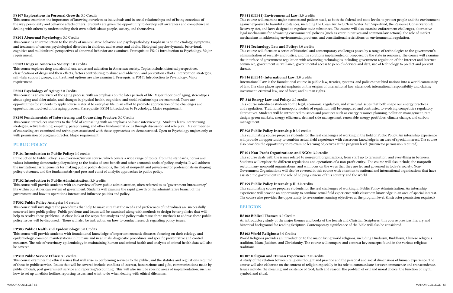#### PS107 Explorations in Personal Growth: 3.0 Credits

This course examines the importance of knowing ourselves as individuals and in social relationships and of being conscious of the way personality and behavior affects others. Students are given the opportunity to develop self awareness and competence in dealing with others by understanding their own beliefs about people, society, and themselves.

#### PS201 Abnormal Psychology: 3.0 Credits

This course is an introduction to the study of manipulative behavior and psychopathology. Emphasis is on the etiology, symptoms, and treatment of various psychological disorders in children, adolescents and adults. Biological, psycho-dynamic, behavioral, cognitive and multicultural perspectives of abnormal behavior are examined. Prerequisite: PS101 Introduction to Psychology. Major requirement.

#### PS203 Drugs in American Society: 3.0 Credits

This course explores drug and alcohol use, abuse and addiction in American society. Topics include historical perspectives, classifications of drugs and their effects, factors contributing to abuse and addiction, and prevention efforts. Intervention strategies, self -help support groups, and treatment options are also examined. Prerequisite: PS101 Introduction to Psychology. Major requirement.

#### PS204 Psychology of Aging: 3.0 Credits

This course is an overview of the aging process, with an emphasis on the later periods of life. Major theories of aging, stereotypes about aging and older adults, and changes in physical health, cognition, and social relationships are examined. There are opportunities for students to apply course material to everyday life in an effort to promote appreciation of the challenges and opportunities involved in the aging process. Prerequisite: PS101 Introduction to Psychology. Major requirement.

#### PS290 Fundamentals of Interviewing and Counseling Practice: 3.0 Credits

This course introduces students to the field of counseling with an emphasis on basic interviewing. Students learn interviewing strategies, active listening, empathy, paraphrasing, and other fundamental skills through discussion and role play. Major theories of counseling are examined and techniques associated with those approaches are demonstrated. Open to Psychology majors only or with permission of program director. Major requirement.

# PUBLIC POLICY

#### PP101 Introduction to Public Policy: 3.0 credits

Introduction to Public Policy is an overview/survey course, which covers a wide range of topics, from the standards, norms and values informing democratic policymaking to the basics of cost-benefit and other economic tools of policy analysis. It will address the institutional arrangements for making public policy decisions, the role of nonprofit and private-sector professionals-in shaping policy outcomes, and the fundamentals (and pros and cons) of analytic approaches to public policy.

#### PP102 Introduction to Public Administration: 3.0 credits

This course will provide students with an overview of how public administration, often referred to as "government bureaucracy" fits within our American system of government. Students will examine the rapid growth of the administrative branch of the government and how its operations interact and influence politics and policy.

#### PP302 Public Policy Analysis: 3.0 credits

This course will investigate the procedures that help to make sure that the needs and preferences of individuals are successfully converted into public policy. Public problems and issues will be examined along with methods to design better policies that will help to resolve these problems. A close look at the ways that analysts and policy makers use these methods to address these public policy issues will be discussed. There will also be instruction on how to conduct research regarding policy issues.

#### PP303 Public Health and Epidemiology: 3.0 Credits

This course will provide students with foundational knowledge of important zoonotic diseases, focusing on their etiology and epidemiology, common manifestations in humans and in animals, diagnostic procedures and specific preventative and control measures. The role of veterinary epidemiology in maintaining human and animal health and analysis of animal health data will also be covered.

#### PP310 Public Service Ethics: 3.0 credits

This course examines the ethical issues that will arise in performing services to the public, and the statutes and regulations required of those in public service. Issues that will be covered include: conflicts of interest, honorariums and gifts, communications made by public officials, post government service and reporting/accounting. This will also include specific areas of implementation, such as: how to set up an ethics hotline, reporting issues, and what to do when dealing with ethical dilemmas.

#### PP311 (LE311) Environmental Law: 3.0 credits

This course will examine major statutes and policies used, at both the federal and state levels, to protect people and the environment against exposure to harmful substances, including the Clean Air Act, Clean Water Act, Superfund, the Resource Conservation & Recovery Act, and laws designed to regulate toxic substances. The course will also examine enforcement challenges, alternative legal mechanisms for advancing environmental policies (such as voter initiatives and common-law actions), the role of market mechanisms in addressing environmental problems, and constitutional restrictions on environmental regulation.

#### PP314 Technology Law and Policy: 3.0 credits

This course will focus on a series of historical and contemporary challenges posed by a range of technologies to the government's administration of security and justice, and the solutions implemented or proposed by the state in response. The course will examine the interface of government regulation with advancing technologies including government regulation of the Internet and Internet commerce, government surveillance, governmental access to people's devices and data, use of technology to predict and prevent threats.

#### PP316 (LE316) International Law: 3.0 credits

International Law is the foundational course in public law, treaties, systems, and policies that bind nations into a world community of law. The class places special emphasis on the origins of international law; statehood; international responsibility and claims; investment, criminal law, use of force; and human rights.

#### PP 318 Energy Law and Policy: 3.0 credits

This course introduces students to the legal, economic, regulatory, and structural issues that both shape our energy practices and regulation. Traditional monopoly models of regulation will be compared and contrasted to evolving competitive regulatory alternatives. Students will be introduced to issues and practices such as energy resource planning, pollution management, rate design, green markets, energy efficiency, demand side management, renewable energy portfolios, climate change, and carbon management.

#### PP398 Public Policy Internship I: 3.0 credits

This culminating course prepares students for the real challenges of working in the field of Public Policy. An internship experience will provide an opportunity to combine actual field experience with classroom knowledge in an area of special interest. The course also provides the opportunity to re-examine learning objectives at the program level. (Instructor permission required)

#### PP401 Non-Profit Organizations and NGOs: 3.0 credits

This course deals with the issues related to non-profit organizations, from start up to termination, and everything in between. Students will explore the different regulations and operations of a non-profit entity. The course will also include, the nonprofit sector, many nonprofit organizations, and will focus on the ways that they are led and governed in today's society. Non-Government Organizations will also be covered in this course with attention to national and international organizations that have assisted the government in the role of helping citizens of this country and the world.

#### PP499 Public Policy Internship II: 3.0 credits

This culminating course prepares students for the real challenges of working in Public Policy Administration. An internship experience will provide an opportunity to combine actual field experience with classroom knowledge in an area of special interest. The course also provides the opportunity to re-examine learning objectives at the program level. (Instructor permission required)

#### RELIGION

#### RS102 Biblical Themes: 3.0 Credits

An introductory study of the major themes and books of the Jewish and Christian Scriptures, this course provides literary and historical background for reading Scripture. Contemporary significance of the Bible will also be considered.

#### RS103 World Religions: 3.0 Credits

World Religions provides an introduction to the major living world religions, including Hinduism, Buddhism, Chinese religious tradition, Islam, Judaism, and Christianity. The course will compare and contrast key concepts found in the various religious traditions.

#### RS107 Religion and Human Experience: 3.0 Credits

A study of the relation between religious thought and practice and the personal and social dimensions of human experience. The course will also elaborate on the content of religion especially in its role to communicate between immanence and transcendence. Issues include: the meaning and existence of God; faith and reason; the problem of evil and moral choice; the function of myth, symbol, and ritual.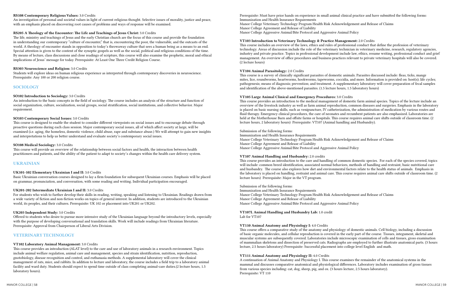#### RS108 Contemporary Religious Values: 3.0 Credits

An investigation of personal and societal values in light of current religious thought. Selective issues of morality, justice and peace, with an emphasis placed on discovering root causes of problems and ways of response will be examined.

#### RS205 A Theology of the Encounter: The Life and Teachings of Jesus Christ: 3.0 Credits

The life, ministry and teachings of Jesus and the early Christian church are the focus of this course and provide the foundation in understanding our contemporary "culture of encounter," that is, encountering the poor, the vulnerable, and the outcasts of the world. A theology of encounter stands in opposition to today's throwaway culture that sees a human being as a means to an end. Special attention is given to the content of the synoptic gospels as well as the social, political and religious conditions of the time. By means of lecture, class discussions and close readings of scripture, this course will also examine the prophetic, moral and ethical implications of Jesus' message for today. Prerequisite: At Least One Three Credit Religion Course.

#### RS303 Neuroscience and Religion: 3.0 Credits

Students will explore ideas on human religious experience as interpreted through contemporary discoveries in neuroscience. Prerequisite: Any 100 or 200 religion course.

### **SOCIOLOGY**

#### SO102 Introduction to Sociology: 3.0 Credits

An introduction to the basic concepts in the field of sociology. The course includes an analysis of the structure and function of social organization, culture, socialization, social groups, social stratification, social institutions, and collective behavior. Major requirement.

#### SO103 Contemporary Social Issues: 3.0 Credits

This course is designed to enable the student to consider different viewpoints on social issues and to encourage debate through proactive questions during each class session. Major contemporary social issues, all of which affect society at large, will be examined (i.e. aging, the homeless, domestic violence, child abuse, rape and substance abuse.) We will attempt to gain new insights and interpretations to help us better understand and evaluate society's contemporary social issues.

#### SO108 Medical Sociology: 3.0 Credits

This course will provide an overview of the relationship between social factors and health, the interaction between health practitioners and patients, and the ability of the patient to adapt to society's changes within the health care delivery system.

# UKRAINIAN

#### UK101-102 Elementary Ukrainian I and II: 3.0 Credits

Basic Ukrainian conversation courses designed to lay a firm foundation for subsequent Ukrainian courses. Emphasis will be placed on grammar, pronunciation, and conversation, with some reading and writing. Individual participation encouraged.

#### UK201-202 Intermediate Ukrainian I and II: 3.0 Credits

For students who wish to further develop their skills in reading, writing, speaking and listening to Ukrainian. Readings drawn from a wide variety of fiction and non-fiction works on topics of general interest. In addition, students are introduced to the Ukrainian world, its peoples, and their cultures. Prerequisite: UK 102 or placement into UK201 or UK202.

#### UK203 Independent Study: 3.0 Credits

Offered to students who desire to pursue more intensive study of the Ukrainian language beyond the introductory levels, especially with the purpose of developing conversational and translation skills. Work will include readings from Ukrainian literature. Prerequisite: Approval from Chairperson of Liberal Arts Division.

#### VETERINARY TECHNOLOGY

#### VT102 Laboratory Animal Management: 3.0 Credits

This course provides an introduction (ALAT level) to the care and use of laboratory animals in a research environment. Topics include animal welfare regulation, animal care and management, species and strain identification, nutrition, reproduction, gnotobiology, disease recognition and control, and euthanasia methods. A supplemental laboratory will cover the clinical management of rats, mice, and rabbits. In addition to lecture and laboratory, the course includes a field trip to a laboratory animal facility and ward duty. Students should expect to spend time outside of class completing animal-care duties.(2 lecture hours, 1.5 laboratory hours).

Prerequisite: Must have prior hands on experience in small animal clinical practice and have submitted the following forms: Immunization and Health Insurance Requirements Manor College Veterinary Technology Program Health Risk Acknowledgement and Release of Claims Manor College Agreement and Release of Liability Manor College Aggressive Animal/Bite Protocol and Aggressive Animal Policy

#### VT103 Introduction to Veterinary Technology & Practice Management: 2.0 Credits

This course includes an overview of the laws, ethics and rules of professional conduct that define the profession of veterinary technology. Areas of discussion include the role of the veterinary technician in veterinary medicine, research, regulatory agencies, industry and private practice. Topics in professional development include law, ethics, resume writing, professional conduct and grief management. An overview of office procedures and business practices relevant to private veterinary hospitals will also be covered. (2 lecture hours)

#### VT104 Animal Parasitology: 2.0 Credits

This course is a survey of clinically significant parasites of domestic animals. Parasites discussed include: fleas, ticks, mange mites, lice, roundworms, heartworms, hookworms, tapeworms, coccidia, and more. Information is provided on: host(s); life cycles; pathogenesis; means of diagnosis; prevention; and treatment. A supplementary laboratory will cover preparation of fecal samples and identification of the above-mentioned parasites. (1.5 lecture hours, 1.5 laboratory hours)

#### VT105 Large Animal Clinical and Emergency Procedures: 3.0 Credits

This course provides an introduction to the medical management of domestic farm animal species. Topics of the lecture include an overview of the livestock industry as well as farm animal reproduction, common diseases and surgeries. Emphasis in the laboratory is placed on basic nursing skills, such as venipuncture, IV catheterization, the administration of medication by various routes and fluid therapy. Emergency clinical procedures, the care of neonates and recumbent patients are also emphasized. Laboratories are held at the Motherhouse Barn and offsite farms or hospitals. This course requires animal care shifts outside of classroom time. (2 lecture hours, 2 laboratory hours) Prerequisite: VT107 (Animal handling and Husbandry).

#### Submission of the following forms:

Immunization and Health Insurance Requirements Manor College Veterinary Technology Program Health Risk Acknowledgement and Release of Claims Manor College Agreement and Release of Liability Manor College Aggressive Animal/Bite Protocol and Aggressive Animal Policy

#### VT107 Animal Handling and Husbandry: 2.0 credits

This course provides an introduction to the care and handling of common domestic species. For each of the species covered, topics will include: common breed identification, associated normal behaviors, methods of handling and restraint, basic nutritional care and husbandry. The course also explores how diet and environmental factors relate to the health status of animals. Emphasis in the laboratory is placed on handling, restraint and animal care. This course requires animal care shifts outside of classroom time. (2 lecture hours) Prerequisite: Major in the VT program.

#### Submission of the following forms:

Immunization and Health Insurance Requirements Manor College Veterinary Technology Program Health Risk Acknowledgement and Release of Claims Manor College Agreement and Release of Liability Manor College Aggressive Animal/Bite Protocol and Aggressive Animal Policy

VT107L Animal Handling and Husbandry Lab: 1.0 credit Lab for VT107

# VT110 Animal Anatomy and Physiology I: 4.0 Credits

This course offers a comparative study of the anatomy and physiology of domestic animals. Cell biology, including a discussion of basic organic molecules, and cellular reproduction is covered in the early part of the course. Tissues, integument, skeletal and muscular systems are subsequently covered. Laboratories include microscopic examination of cells and tissues, gross examination of mammalian skeletons and dissection of preserved cats. Radiographs are employed to further illustrate anatomical parts. (3 hours lecture, 2.5 hours laboratory) Prerequisite: Successful placement into college level English and math.

VT111 Animal Anatomy and Physiology II: 4.0 Credits A continuation of Animal Anatomy and Physiology I. This course examines the remainder of the anatomical systems in the mammal and discusses comparative anatomical and physiological differences. Laboratory includes examination of gross tissues from various species including: cat, dog, sheep, pig, and ox. (3 hours lecture, 2.5 hours laboratory). Prerequisite: VT 110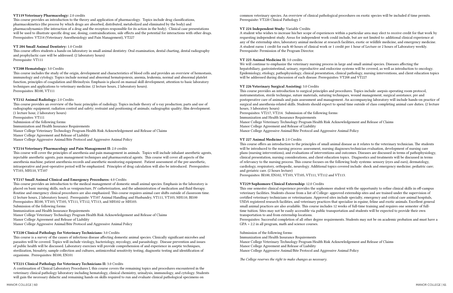#### VT119 Veterinary Pharmacology: 2.0 credits

This course provides an introduction to the theory and application of pharmacology. Topics include drug classifications, pharmacokinetics (the process by which drugs are absorbed, distributed, metabolized and eliminated by the body) and pharmacodynamics (the interaction of a drug and the receptors responsible for its action in the body). Clinical case presentations will be used to illustrate specific drug use, dosing, contraindications, side effects and the potential for interactions with other drugs. Prerequisites: VT214 (Veterinary Anesthesiology and Pain Management), VT227

#### VT 204 Small Animal Dentistry: 1.0 Credit

This course offers students a hands-on laboratory in small animal dentistry. Oral examination, dental charting, dental radiography and prophylactic care will be addressed. (2 laboratory hours) Prerequisite: VT111

### VT208 Hematology: 3.0 Credits

This course includes the study of the origin, development and characteristics of blood cells and provides an overview of hemostasis, immunology and cytology. Topics include normal and abnormal hematopoiesis, anemia, leukemia, normal and abnormal platelet function, principles of coagulation and fibrinolysis. Emphasis is placed on manual skill development, attention to basic laboratory techniques and applications to veterinary medicine. (2 lecture hours, 2 laboratory hours). Prerequisites: BI100, VT111

# VT212 Animal Radiology: 2.0 Credits

This course provides an overview of the basic principles of radiology. Topics include theory of x-ray production; parts and use of radiographic equipment; radiation control and safety; restraint and positioning of animals; radiographic quality; film development. (1 lecture hour, 2 laboratory hours) Prerequisites: VT111 Submission of the following forms: Immunization and Health Insurance Requirements Manor College Veterinary Technology Program Health Risk Acknowledgement and Release of Claims Manor College Agreement and Release of Liability

Manor College Aggressive Animal/Bite Protocol and Aggressive Animal Policy

# VT214 Veterinary Pharmacology and Pain Management II: 2.0 credits

This course will cover the principles of anesthesia and pain management in animals. Topics will include inhalant anesthetic agents, injectable anesthetic agents, pain management techniques and pharmaceutical agents. This course will cover all aspects of the anesthesia machine, patient anesthesia records and anesthetic monitoring equipment. Patient assessment of the pre-anesthetic, intraoperative and post-operative period will be emphasized. Principles of drug calculation will also be introduced. Prerequisites: VT103, MH110, VT107

# VT217 Small Animal Clinical and Emergency Procedures: 4.0 Credits

This course provides an introduction to the medical management of domestic small animal species. Emphasis in the laboratory is placed on basic nursing skills, such as venipuncture, IV catheterization, and the administration of medication and fluid therapy. Routine and emergency clinical procedures are also emphasized. This course requires animal care shifts outside of classroom time. (2 lecture hours, 2 laboratory hours). Prerequisite: VT107 Animal Handling and Husbandry, VT111, VT103, MH110, BI100 Prerequisites: BI100, VT103, VT105, VT111, VT112, VT113, and MH102 or MH103. Submission of the following forms: Immunization and Health Insurance Requirements

Manor College Veterinary Technology Program Health Risk Acknowledgement and Release of Claims Manor College Agreement and Release of Liability Manor College Aggressive Animal/Bite Protocol and Aggressive Animal Policy

# VT220 Clinical Pathology for Veterinary Technicians: 3.0 Credits

This course is a survey of the causes of infectious disease affecting domestic animal species. Clinically significant microbes and parasites will be covered. Topics will include virology, bacteriology, mycology, and parasitology. Disease prevention and issues of public health will be discussed. Laboratory exercises will provide comprehension of and experience in aseptic techniques, sterilization, biosafety, sample collection and cultures, antimicrobial sensitivity testing, diagnostic testing and identification of organisms. Prerequisites: BI100, EN101

#### VT221 Clinical Pathology for Veterinary Technicians II: 3.0 Credits

A continuation of Clinical Laboratory Procedures I, this course covers the remaining topics and procedures encountered in the veterinary clinical pathology laboratory including hematology, clinical chemistry, urinalysis, immunology, and cytology. Students will gain the necessary didactic and remaining hands on skills required to run and evaluate clinical pathological specimens on

common veterinary species. An overview of clinical pathological procedures on exotic species will be included if time permits. Prerequisite: VT220 Clinical Pathology I

### VT 224 Independent Study: Variable Credits

A student who wishes to increase his/her scope of experiences within a particular area may elect to receive credit for that work by requesting independent study. Areas for independent work could include, but are not limited to: additional clinical experience at any of the externship sites, laboratory animal medicine at research facilities, exotic or wildlife medicine, and emergency medicine. A student earns 1 credit for each 40 hours of clinical work or 1 credit per 1 hour of Lecture or 2 hours of Laboratory weekly. Prerequisite: Permission of the Program Director.

#### VT 225 Animal Medicine II: 3.0 credits

We will continue to emphasize the veterinary nursing process in large and small animal species. Diseases affecting the hepatobiliary, gastrointestinal, urinary, reproductive and endocrine systems will be covered, as well as introduction to oncology. Epidemiology, etiology, pathophysiology, clinical presentation, clinical pathology, nursing interventions, and client education topics will be addressed during discussion of each disease. Prerequisites: VT208 and VT227

#### VT 226 Veterinary Surgical Assisting: 3.0 Credits

This course provides an introduction to surgical principles and procedures. Topics include: asepsis operating room protocol, instrumentation, sterile technique, suture materials, suturing techniques, wound management, surgical assistance, pre and postoperative care of animals and pain assessment and management. An accompanying laboratory will include hands-on practice of surgical and anesthesia-related skills. Students should expect to spend time outside of class completing animal care duties. (2 lecture hours, 3 laboratory hours)

Prerequisites: VT217, VT214. Submission of the following forms: Immunization and Health Insurance Requirements Manor College Veterinary Technology Program Health Risk Acknowledgement and Release of Claims Manor College Agreement and Release of Liability Manor College Aggressive Animal/Bite Protocol and Aggressive Animal Policy

### VT 227 Animal Medicine I: 2.0 Credits

This course offers an introduction to the principles of small animal disease as it relates to the veterinary technician. The students will be introduced to the nursing process: assessment, nursing diagnoses/technician evaluation, development of nursing care plans (nursing interventions), and evaluations of interventions and outcomes. Diseases are discussed in terms of pathophysiology, clinical presentation, nursing considerations, and client education topics. Diagnostics and treatments will be discussed in terms of relevancy to the nursing process. This course focuses on the following body systems: sensory (eyes and ears), dermatology, cardiology, respiratory, orthopedic, neurology. Additional topics covered include: shock and emergency medicine; pediatric care; and geriatric care. (2 hours lecture) Prerequisites: BI100, EN102, VT103, VT105, VT111, VT112 and VT113.

#### VT229 Sophomore Clinical Externship: 12.0 Credits

This one semester clinical experience provides the sophomore student with the opportunity to refine clinical skills in off-campus veterinary facilities. Students choose from a list of College- approved externship sites and are trained under the supervision of certified veterinary technicians or veterinarians. Approved sites include specialty, emergency and critical care animal hospitals, USDA registered research facilities, and veterinary practices that specialize in equine, feline and exotic animals. Excellent general small animal practices are also available. This course includes 12 weeks of full-time training and requires one semester of fulltime tuition. Sites may not be easily accessible via public transportation and students will be expected to provide their own transportation to and from externship locations. Prerequisites: Successful completion of all other degree requirements. Students may not be on academic probation and must have a GPA > 2.2 in all program, math and science courses.

### Submission of the following forms:

Immunization and Health Insurance Requirements Manor College Veterinary Technology Program Health Risk Acknowledgement and Release of Claims Manor College Agreement and Release of Liability Manor College Aggressive Animal/Bite Protocol and Aggressive Animal Policy

*The College reserves the right to make changes as necessary.*